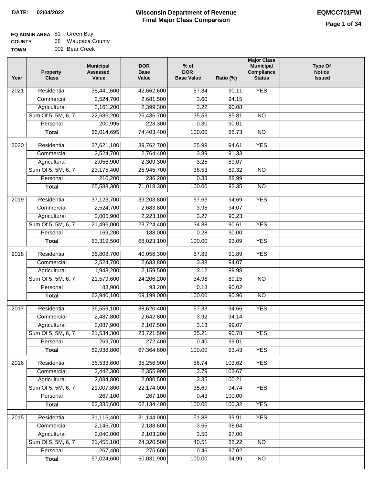| <b>COUNTY</b> | 68 Waupaca County |
|---------------|-------------------|
| <b>TOWN</b>   | 002 Bear Creek    |

| Year | <b>Property</b><br><b>Class</b> | <b>Municipal</b><br><b>Assessed</b><br>Value | <b>DOR</b><br><b>Base</b><br>Value | $%$ of<br><b>DOR</b><br><b>Base Value</b> | Ratio (%) | <b>Major Class</b><br><b>Municipal</b><br>Compliance<br><b>Status</b> | <b>Type Of</b><br><b>Notice</b><br><b>Issued</b> |
|------|---------------------------------|----------------------------------------------|------------------------------------|-------------------------------------------|-----------|-----------------------------------------------------------------------|--------------------------------------------------|
| 2021 | Residential                     | 38,441,600                                   | 42,662,600                         | 57.34                                     | 90.11     | <b>YES</b>                                                            |                                                  |
|      | Commercial                      | 2,524,700                                    | 2,681,500                          | 3.60                                      | 94.15     |                                                                       |                                                  |
|      | Agricultural                    | 2,161,200                                    | 2,399,300                          | 3.22                                      | 90.08     |                                                                       |                                                  |
|      | Sum Of 5, 5M, 6, 7              | 22,686,200                                   | 26,436,700                         | 35.53                                     | 85.81     | $\overline{NO}$                                                       |                                                  |
|      | Personal                        | 200,995                                      | 223,300                            | 0.30                                      | 90.01     |                                                                       |                                                  |
|      | <b>Total</b>                    | 66,014,695                                   | 74,403,400                         | 100.00                                    | 88.73     | $\overline{NO}$                                                       |                                                  |
| 2020 | Residential                     | 37,621,100                                   | 39,762,700                         | 55.99                                     | 94.61     | <b>YES</b>                                                            |                                                  |
|      | Commercial                      | 2,524,700                                    | 2,764,400                          | 3.89                                      | 91.33     |                                                                       |                                                  |
|      | Agricultural                    | 2,056,900                                    | 2,309,300                          | 3.25                                      | 89.07     |                                                                       |                                                  |
|      | Sum Of 5, 5M, 6, 7              | 23,175,400                                   | 25,945,700                         | 36.53                                     | 89.32     | $\overline{NO}$                                                       |                                                  |
|      | Personal                        | 210,200                                      | 236,200                            | 0.33                                      | 88.99     |                                                                       |                                                  |
|      | <b>Total</b>                    | 65,588,300                                   | 71,018,300                         | 100.00                                    | 92.35     | $\overline{NO}$                                                       |                                                  |
| 2019 | Residential                     | 37,123,700                                   | 39,203,800                         | 57.63                                     | 94.69     | <b>YES</b>                                                            |                                                  |
|      | Commercial                      | 2,524,700                                    | 2,683,800                          | 3.95                                      | 94.07     |                                                                       |                                                  |
|      | Agricultural                    | 2,005,900                                    | 2,223,100                          | 3.27                                      | 90.23     |                                                                       |                                                  |
|      | Sum Of 5, 5M, 6, 7              | 21,496,000                                   | 23,724,400                         | 34.88                                     | 90.61     | <b>YES</b>                                                            |                                                  |
|      | Personal                        | 169,200                                      | 188,000                            | 0.28                                      | 90.00     |                                                                       |                                                  |
|      | <b>Total</b>                    | 63,319,500                                   | 68,023,100                         | 100.00                                    | 93.09     | <b>YES</b>                                                            |                                                  |
| 2018 | Residential                     | 36,808,700                                   | 40,056,300                         | 57.89                                     | 91.89     | <b>YES</b>                                                            |                                                  |
|      | Commercial                      | 2,524,700                                    | 2,683,800                          | 3.88                                      | 94.07     |                                                                       |                                                  |
|      | Agricultural                    | 1,943,200                                    | 2,159,500                          | 3.12                                      | 89.98     |                                                                       |                                                  |
|      | Sum Of 5, 5M, 6, 7              | 21,579,600                                   | 24,206,200                         | 34.98                                     | 89.15     | $\overline{N}$                                                        |                                                  |
|      | Personal                        | 83,900                                       | 93,200                             | 0.13                                      | 90.02     |                                                                       |                                                  |
|      | <b>Total</b>                    | 62,940,100                                   | 69,199,000                         | 100.00                                    | 90.96     | <b>NO</b>                                                             |                                                  |
| 2017 | Residential                     | 36,559,100                                   | 38,620,400                         | 57.33                                     | 94.66     | <b>YES</b>                                                            |                                                  |
|      | Commercial                      | 2,487,800                                    | 2,642,800                          | 3.92                                      | 94.14     |                                                                       |                                                  |
|      | Agricultural                    | 2,087,900                                    | 2,107,500                          | 3.13                                      | 99.07     |                                                                       |                                                  |
|      | Sum Of 5, 5M, 6, 7              | 21,534,300                                   | 23,721,500                         | 35.21                                     | 90.78     | <b>YES</b>                                                            |                                                  |
|      | Personal                        | 269,700                                      | 272,400                            | 0.40                                      | 99.01     |                                                                       |                                                  |
|      | <b>Total</b>                    | 62,938,800                                   | 67,364,600                         | 100.00                                    | 93.43     | <b>YES</b>                                                            |                                                  |
| 2016 | Residential                     | 36,533,600                                   | 35,256,900                         | 56.74                                     | 103.62    | <b>YES</b>                                                            |                                                  |
|      | Commercial                      | 2,442,300                                    | 2,355,900                          | 3.79                                      | 103.67    |                                                                       |                                                  |
|      | Agricultural                    | 2,084,800                                    | 2,080,500                          | 3.35                                      | 100.21    |                                                                       |                                                  |
|      | Sum Of 5, 5M, 6, 7              | 21,007,800                                   | 22,174,000                         | 35.69                                     | 94.74     | <b>YES</b>                                                            |                                                  |
|      | Personal                        | 267,100                                      | 267,100                            | 0.43                                      | 100.00    |                                                                       |                                                  |
|      | <b>Total</b>                    | 62,335,600                                   | 62,134,400                         | 100.00                                    | 100.32    | <b>YES</b>                                                            |                                                  |
| 2015 | Residential                     | 31,116,400                                   | 31,144,000                         | 51.88                                     | 99.91     | <b>YES</b>                                                            |                                                  |
|      | Commercial                      | 2,145,700                                    | 2,188,600                          | 3.65                                      | 98.04     |                                                                       |                                                  |
|      | Agricultural                    | 2,040,000                                    | 2,103,200                          | 3.50                                      | 97.00     |                                                                       |                                                  |
|      | Sum Of 5, 5M, 6, 7              | 21,455,100                                   | 24,320,500                         | 40.51                                     | 88.22     | $\overline{NO}$                                                       |                                                  |
|      | Personal                        | 267,400                                      | 275,600                            | 0.46                                      | 97.02     |                                                                       |                                                  |
|      | <b>Total</b>                    | 57,024,600                                   | 60,031,900                         | 100.00                                    | 94.99     | NO                                                                    |                                                  |
|      |                                 |                                              |                                    |                                           |           |                                                                       |                                                  |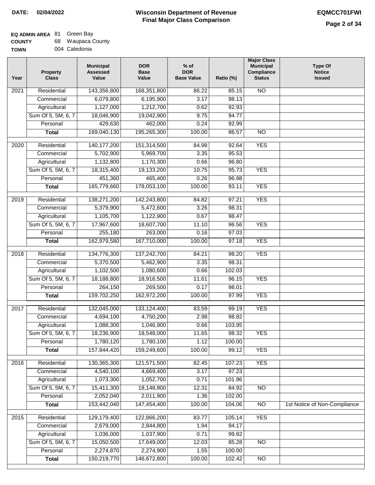┓

| <b>COUNTY</b> | 68 Waupaca County |  |
|---------------|-------------------|--|
|---------------|-------------------|--|

| <b>UUUN II</b> |  | ັບບ | waapaca Oodniy |               |  |  |
|----------------|--|-----|----------------|---------------|--|--|
| TOWN           |  |     |                | 004 Caledonia |  |  |
|                |  |     |                |               |  |  |

| Year             | <b>Property</b><br><b>Class</b> | <b>Municipal</b><br><b>Assessed</b><br>Value | <b>DOR</b><br><b>Base</b><br>Value | $%$ of<br><b>DOR</b><br><b>Base Value</b> | Ratio (%) | <b>Major Class</b><br><b>Municipal</b><br>Compliance<br><b>Status</b> | <b>Type Of</b><br><b>Notice</b><br><b>Issued</b> |
|------------------|---------------------------------|----------------------------------------------|------------------------------------|-------------------------------------------|-----------|-----------------------------------------------------------------------|--------------------------------------------------|
| 2021             | Residential                     | 143,356,800                                  | 168,351,800                        | 86.22                                     | 85.15     | $\overline{NO}$                                                       |                                                  |
|                  | Commercial                      | 6,079,800                                    | 6,195,900                          | 3.17                                      | 98.13     |                                                                       |                                                  |
|                  | Agricultural                    | 1,127,000                                    | 1,212,700                          | 0.62                                      | 92.93     |                                                                       |                                                  |
|                  | Sum Of 5, 5M, 6, 7              | 18,046,900                                   | 19,042,900                         | 9.75                                      | 94.77     |                                                                       |                                                  |
|                  | Personal                        | 429,630                                      | 462,000                            | 0.24                                      | 92.99     |                                                                       |                                                  |
|                  | <b>Total</b>                    | 169,040,130                                  | 195,265,300                        | 100.00                                    | 86.57     | $\overline{NO}$                                                       |                                                  |
| 2020             | Residential                     | 140, 177, 200                                | 151,314,500                        | 84.98                                     | 92.64     | <b>YES</b>                                                            |                                                  |
|                  | Commercial                      | 5,702,900                                    | 5,969,700                          | 3.35                                      | 95.53     |                                                                       |                                                  |
|                  | Agricultural                    | 1,132,800                                    | 1,170,300                          | 0.66                                      | 96.80     |                                                                       |                                                  |
|                  | Sum Of 5, 5M, 6, 7              | 18,315,400                                   | 19,133,200                         | 10.75                                     | 95.73     | <b>YES</b>                                                            |                                                  |
|                  | Personal                        | 451,360                                      | 465,400                            | 0.26                                      | 96.98     |                                                                       |                                                  |
|                  | <b>Total</b>                    | 165,779,660                                  | 178,053,100                        | 100.00                                    | 93.11     | <b>YES</b>                                                            |                                                  |
| $\frac{1}{2019}$ | Residential                     | 138,271,200                                  | 142,243,800                        | 84.82                                     | 97.21     | <b>YES</b>                                                            |                                                  |
|                  | Commercial                      | 5,379,900                                    | 5,472,600                          | 3.26                                      | 98.31     |                                                                       |                                                  |
|                  | Agricultural                    | 1,105,700                                    | 1,122,900                          | 0.67                                      | 98.47     |                                                                       |                                                  |
|                  | Sum Of 5, 5M, 6, 7              | 17,967,600                                   | 18,607,700                         | 11.10                                     | 96.56     | <b>YES</b>                                                            |                                                  |
|                  | Personal                        | 255,180                                      | 263,000                            | 0.16                                      | 97.03     |                                                                       |                                                  |
|                  | <b>Total</b>                    | 162,979,580                                  | 167,710,000                        | 100.00                                    | 97.18     | <b>YES</b>                                                            |                                                  |
| 2018             | Residential                     | 134,776,300                                  | 137,242,700                        | 84.21                                     | 98.20     | <b>YES</b>                                                            |                                                  |
|                  | Commercial                      | 5,370,500                                    | 5,462,900                          | 3.35                                      | 98.31     |                                                                       |                                                  |
|                  | Agricultural                    | 1,102,500                                    | 1,080,600                          | 0.66                                      | 102.03    |                                                                       |                                                  |
|                  | Sum Of 5, 5M, 6, 7              | 18,188,800                                   | 18,916,500                         | 11.61                                     | 96.15     | <b>YES</b>                                                            |                                                  |
|                  | Personal                        | 264,150                                      | 269,500                            | 0.17                                      | 98.01     |                                                                       |                                                  |
|                  | <b>Total</b>                    | 159,702,250                                  | 162,972,200                        | 100.00                                    | 97.99     | <b>YES</b>                                                            |                                                  |
| 2017             | Residential                     | 132,045,000                                  | 133,124,400                        | 83.59                                     | 99.19     | <b>YES</b>                                                            |                                                  |
|                  | Commercial                      | 4,694,100                                    | 4,750,200                          | 2.98                                      | 98.82     |                                                                       |                                                  |
|                  | Agricultural                    | 1,088,300                                    | 1,046,900                          | 0.66                                      | 103.95    |                                                                       |                                                  |
|                  | Sum Of 5, 5M, 6, 7              | 18,236,900                                   | 18,548,000                         | 11.65                                     | 98.32     | YES                                                                   |                                                  |
|                  | Personal                        | 1,780,120                                    | 1,780,100                          | 1.12                                      | 100.00    |                                                                       |                                                  |
|                  | <b>Total</b>                    | 157,844,420                                  | 159,249,600                        | 100.00                                    | 99.12     | <b>YES</b>                                                            |                                                  |
| 2016             | Residential                     | 130,365,300                                  | 121,571,500                        | 82.45                                     | 107.23    | <b>YES</b>                                                            |                                                  |
|                  | Commercial                      | 4,540,100                                    | 4,669,400                          | 3.17                                      | 97.23     |                                                                       |                                                  |
|                  | Agricultural                    | 1,073,300                                    | 1,052,700                          | 0.71                                      | 101.96    |                                                                       |                                                  |
|                  | Sum Of 5, 5M, 6, 7              | 15,411,300                                   | 18,148,900                         | 12.31                                     | 84.92     | N <sub>O</sub>                                                        |                                                  |
|                  | Personal                        | 2,052,040                                    | 2,011,900                          | 1.36                                      | 102.00    |                                                                       |                                                  |
|                  | <b>Total</b>                    | 153,442,040                                  | 147,454,400                        | 100.00                                    | 104.06    | $\overline{NO}$                                                       | 1st Notice of Non-Compliance                     |
| 2015             | Residential                     | 129,179,400                                  | 122,866,200                        | 83.77                                     | 105.14    | <b>YES</b>                                                            |                                                  |
|                  | Commercial                      | 2,679,000                                    | 2,844,800                          | 1.94                                      | 94.17     |                                                                       |                                                  |
|                  | Agricultural                    | 1,036,000                                    | 1,037,900                          | 0.71                                      | 99.82     |                                                                       |                                                  |
|                  | Sum Of 5, 5M, 6, 7              | 15,050,500                                   | 17,649,000                         | 12.03                                     | 85.28     | $\overline{NO}$                                                       |                                                  |
|                  | Personal                        | 2,274,870                                    | 2,274,900                          | 1.55                                      | 100.00    |                                                                       |                                                  |
|                  | <b>Total</b>                    | 150,219,770                                  | 146,672,800                        | 100.00                                    | 102.42    | $\overline{NO}$                                                       |                                                  |
|                  |                                 |                                              |                                    |                                           |           |                                                                       |                                                  |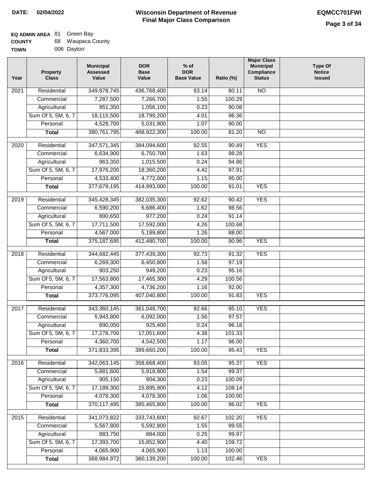#### **Wisconsin Department of Revenue Final Major Class Comparison DATE: 02/04/2022 EQMCC701FWI**

#### **EQ ADMIN AREA** 81 Green Bay **COUNTY** 68 Waupaca County

| <b>UUUNII</b> | ັບບ | waapaca Ooui |
|---------------|-----|--------------|
| <b>TOWN</b>   |     | 006 Dayton   |

| Year | <b>Property</b><br><b>Class</b> | <b>Municipal</b><br><b>Assessed</b><br>Value | <b>DOR</b><br><b>Base</b><br>Value | $%$ of<br><b>DOR</b><br><b>Base Value</b> | Ratio (%) | <b>Major Class</b><br><b>Municipal</b><br>Compliance<br><b>Status</b> | <b>Type Of</b><br><b>Notice</b><br><b>Issued</b> |
|------|---------------------------------|----------------------------------------------|------------------------------------|-------------------------------------------|-----------|-----------------------------------------------------------------------|--------------------------------------------------|
| 2021 | Residential                     | 349,878,745                                  | 436,768,400                        | 93.14                                     | 80.11     | <b>NO</b>                                                             |                                                  |
|      | Commercial                      | 7,287,500                                    | 7,266,700                          | 1.55                                      | 100.29    |                                                                       |                                                  |
|      | Agricultural                    | 951,350                                      | 1,056,100                          | 0.23                                      | 90.08     |                                                                       |                                                  |
|      | Sum Of 5, 5M, 6, 7              | 18,115,500                                   | 18,799,200                         | 4.01                                      | 96.36     |                                                                       |                                                  |
|      | Personal                        | 4,528,700                                    | 5,031,900                          | 1.07                                      | 90.00     |                                                                       |                                                  |
|      | <b>Total</b>                    | 380,761,795                                  | 468,922,300                        | 100.00                                    | 81.20     | $\overline{NO}$                                                       |                                                  |
| 2020 | Residential                     | 347,571,345                                  | 384,094,600                        | 92.55                                     | 90.49     | <b>YES</b>                                                            |                                                  |
|      | Commercial                      | 6,634,900                                    | 6,750,700                          | 1.63                                      | 98.28     |                                                                       |                                                  |
|      | Agricultural                    | 963,350                                      | 1,015,500                          | 0.24                                      | 94.86     |                                                                       |                                                  |
|      | Sum Of 5, 5M, 6, 7              | 17,976,200                                   | 18,360,200                         | 4.42                                      | 97.91     |                                                                       |                                                  |
|      | Personal                        | 4,533,400                                    | 4,772,000                          | 1.15                                      | 95.00     |                                                                       |                                                  |
|      | <b>Total</b>                    | 377,679,195                                  | 414,993,000                        | 100.00                                    | 91.01     | <b>YES</b>                                                            |                                                  |
| 2019 | Residential                     | 345,428,345                                  | 382,035,300                        | 92.62                                     | 90.42     | <b>YES</b>                                                            |                                                  |
|      | Commercial                      | 6,590,200                                    | 6,686,400                          | 1.62                                      | 98.56     |                                                                       |                                                  |
|      | Agricultural                    | 890,650                                      | 977,200                            | 0.24                                      | 91.14     |                                                                       |                                                  |
|      | Sum Of 5, 5M, 6, 7              | 17,711,500                                   | 17,592,000                         | 4.26                                      | 100.68    |                                                                       |                                                  |
|      | Personal                        | 4,567,000                                    | 5,189,800                          | 1.26                                      | 88.00     |                                                                       |                                                  |
|      | <b>Total</b>                    | 375, 187, 695                                | 412,480,700                        | 100.00                                    | 90.96     | <b>YES</b>                                                            |                                                  |
|      |                                 |                                              |                                    |                                           |           |                                                                       |                                                  |
| 2018 | Residential                     | 344,682,445                                  | 377,439,300                        | 92.73                                     | 91.32     | <b>YES</b>                                                            |                                                  |
|      | Commercial                      | 6,269,300                                    | 6,450,800                          | 1.58                                      | 97.19     |                                                                       |                                                  |
|      | Agricultural                    | 903,250                                      | 949,200                            | 0.23                                      | 95.16     |                                                                       |                                                  |
|      | Sum Of 5, 5M, 6, 7              | 17,563,800                                   | 17,465,300                         | 4.29                                      | 100.56    |                                                                       |                                                  |
|      | Personal                        | 4,357,300                                    | 4,736,200                          | 1.16                                      | 92.00     |                                                                       |                                                  |
|      | <b>Total</b>                    | 373,776,095                                  | 407,040,800                        | 100.00                                    | 91.83     | <b>YES</b>                                                            |                                                  |
| 2017 | Residential                     | 343,360,145                                  | 361,048,700                        | 92.66                                     | 95.10     | <b>YES</b>                                                            |                                                  |
|      | Commercial                      | 5,943,800                                    | 6,092,000                          | 1.56                                      | 97.57     |                                                                       |                                                  |
|      | Agricultural                    | 890,050                                      | 925,400                            | 0.24                                      | 96.18     |                                                                       |                                                  |
|      | Sum Of 5, 5M, 6, 7              | 17,278,700                                   | 17,051,600                         | 4.38                                      | 101.33    |                                                                       |                                                  |
|      | Personal                        | 4,360,700                                    | 4,542,500                          | 1.17                                      | 96.00     |                                                                       |                                                  |
|      | <b>Total</b>                    | 371,833,395                                  | 389,660,200                        | 100.00                                    | 95.43     | <b>YES</b>                                                            |                                                  |
| 2016 | Residential                     | 342,063,145                                  | 358,668,400                        | 93.05                                     | 95.37     | <b>YES</b>                                                            |                                                  |
|      | Commercial                      | 5,881,600                                    | 5,918,900                          | 1.54                                      | 99.37     |                                                                       |                                                  |
|      | Agricultural                    | 905,150                                      | 904,300                            | 0.23                                      | 100.09    |                                                                       |                                                  |
|      | Sum Of 5, 5M, 6, 7              | 17,189,300                                   | 15,895,900                         | 4.12                                      | 108.14    |                                                                       |                                                  |
|      | Personal                        | 4,078,300                                    | 4,078,300                          | 1.06                                      | 100.00    |                                                                       |                                                  |
|      | <b>Total</b>                    | 370,117,495                                  | 385,465,800                        | 100.00                                    | 96.02     | <b>YES</b>                                                            |                                                  |
|      |                                 |                                              |                                    |                                           |           |                                                                       |                                                  |
| 2015 | Residential                     | 341,073,822                                  | 333,743,600                        | 92.67                                     | 102.20    | <b>YES</b>                                                            |                                                  |
|      | Commercial                      | 5,567,800                                    | 5,592,800                          | 1.55                                      | 99.55     |                                                                       |                                                  |
|      | Agricultural                    | 883,750                                      | 884,000                            | 0.25                                      | 99.97     |                                                                       |                                                  |
|      | Sum Of 5, 5M, 6, 7              | 17,393,700                                   | 15,852,900                         | 4.40                                      | 109.72    |                                                                       |                                                  |
|      | Personal                        | 4,065,900                                    | 4,065,900                          | 1.13                                      | 100.00    |                                                                       |                                                  |
|      | <b>Total</b>                    | 368,984,972                                  | 360,139,200                        | 100.00                                    | 102.46    | <b>YES</b>                                                            |                                                  |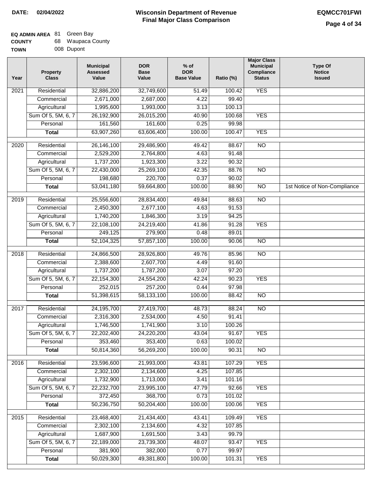| <b>COUNTY</b> | 68 Waupaca County |
|---------------|-------------------|
| <b>TOWN</b>   | 008 Dupont        |

| Year             | <b>Property</b><br><b>Class</b> | <b>Municipal</b><br><b>Assessed</b><br>Value | <b>DOR</b><br><b>Base</b><br>Value | $%$ of<br><b>DOR</b><br><b>Base Value</b> | Ratio (%) | <b>Major Class</b><br><b>Municipal</b><br><b>Compliance</b><br><b>Status</b> | <b>Type Of</b><br><b>Notice</b><br><b>Issued</b> |
|------------------|---------------------------------|----------------------------------------------|------------------------------------|-------------------------------------------|-----------|------------------------------------------------------------------------------|--------------------------------------------------|
| 2021             | Residential                     | 32,886,200                                   | 32,749,600                         | $\frac{1}{51.49}$                         | 100.42    | <b>YES</b>                                                                   |                                                  |
|                  | Commercial                      | 2,671,000                                    | 2,687,000                          | 4.22                                      | 99.40     |                                                                              |                                                  |
|                  | Agricultural                    | 1,995,600                                    | 1,993,000                          | 3.13                                      | 100.13    |                                                                              |                                                  |
|                  | Sum Of 5, 5M, 6, 7              | 26,192,900                                   | 26,015,200                         | 40.90                                     | 100.68    | <b>YES</b>                                                                   |                                                  |
|                  | Personal                        | 161,560                                      | 161,600                            | 0.25                                      | 99.98     |                                                                              |                                                  |
|                  | <b>Total</b>                    | 63,907,260                                   | 63,606,400                         | 100.00                                    | 100.47    | <b>YES</b>                                                                   |                                                  |
| $\frac{1}{2020}$ | Residential                     | 26,146,100                                   | 29,486,900                         | 49.42                                     | 88.67     | $\overline{NO}$                                                              |                                                  |
|                  | Commercial                      | 2,529,200                                    | 2,764,800                          | 4.63                                      | 91.48     |                                                                              |                                                  |
|                  | Agricultural                    | 1,737,200                                    | 1,923,300                          | 3.22                                      | 90.32     |                                                                              |                                                  |
|                  | Sum Of 5, 5M, 6, 7              | 22,430,000                                   | 25,269,100                         | 42.35                                     | 88.76     | $\overline{NO}$                                                              |                                                  |
|                  | Personal                        | 198,680                                      | 220,700                            | 0.37                                      | 90.02     |                                                                              |                                                  |
|                  | <b>Total</b>                    | 53,041,180                                   | 59,664,800                         | 100.00                                    | 88.90     | $\overline{NO}$                                                              | 1st Notice of Non-Compliance                     |
|                  |                                 |                                              |                                    |                                           |           |                                                                              |                                                  |
| 2019             | Residential                     | 25,556,600                                   | 28,834,400                         | 49.84                                     | 88.63     | $\overline{NO}$                                                              |                                                  |
|                  | Commercial                      | 2,450,300                                    | 2,677,100                          | 4.63                                      | 91.53     |                                                                              |                                                  |
|                  | Agricultural                    | 1,740,200                                    | 1,846,300                          | 3.19                                      | 94.25     |                                                                              |                                                  |
|                  | Sum Of 5, 5M, 6, 7              | 22,108,100                                   | 24,219,400                         | 41.86                                     | 91.28     | <b>YES</b>                                                                   |                                                  |
|                  | Personal                        | 249,125                                      | 279,900                            | 0.48                                      | 89.01     |                                                                              |                                                  |
|                  | <b>Total</b>                    | 52,104,325                                   | 57,857,100                         | 100.00                                    | 90.06     | $\overline{NO}$                                                              |                                                  |
| 2018             | Residential                     | 24,866,500                                   | 28,926,800                         | 49.76                                     | 85.96     | $\overline{NO}$                                                              |                                                  |
|                  | Commercial                      | 2,388,600                                    | 2,607,700                          | 4.49                                      | 91.60     |                                                                              |                                                  |
|                  | Agricultural                    | 1,737,200                                    | 1,787,200                          | 3.07                                      | 97.20     |                                                                              |                                                  |
|                  | Sum Of 5, 5M, 6, 7              | 22, 154, 300                                 | 24,554,200                         | 42.24                                     | 90.23     | <b>YES</b>                                                                   |                                                  |
|                  | Personal                        | 252,015                                      | 257,200                            | 0.44                                      | 97.98     |                                                                              |                                                  |
|                  | <b>Total</b>                    | 51,398,615                                   | 58,133,100                         | 100.00                                    | 88.42     | $\overline{10}$                                                              |                                                  |
| 2017             | Residential                     | 24,195,700                                   | 27,419,700                         | 48.73                                     | 88.24     | N <sub>O</sub>                                                               |                                                  |
|                  | Commercial                      | 2,316,300                                    | 2,534,000                          | 4.50                                      | 91.41     |                                                                              |                                                  |
|                  | Agricultural                    | 1,746,500                                    | 1,741,900                          | 3.10                                      | 100.26    |                                                                              |                                                  |
|                  | Sum Of 5, 5M, 6, 7              | 22,202,400                                   | 24,220,200                         | 43.04                                     | 91.67     | <b>YES</b>                                                                   |                                                  |
|                  | Personal                        | 353,460                                      | 353,400                            | 0.63                                      | 100.02    |                                                                              |                                                  |
|                  | <b>Total</b>                    | 50,814,360                                   | 56,269,200                         | 100.00                                    | 90.31     | <b>NO</b>                                                                    |                                                  |
| 2016             | Residential                     | 23,596,600                                   | 21,993,000                         | 43.81                                     | 107.29    | <b>YES</b>                                                                   |                                                  |
|                  | Commercial                      | 2,302,100                                    | 2,134,600                          | 4.25                                      | 107.85    |                                                                              |                                                  |
|                  | Agricultural                    | 1,732,900                                    | 1,713,000                          | 3.41                                      | 101.16    |                                                                              |                                                  |
|                  | Sum Of 5, 5M, 6, 7              | 22,232,700                                   | 23,995,100                         | 47.79                                     | 92.66     | <b>YES</b>                                                                   |                                                  |
|                  | Personal                        | 372,450                                      | 368,700                            | 0.73                                      | 101.02    |                                                                              |                                                  |
|                  | <b>Total</b>                    | 50,236,750                                   | 50,204,400                         | 100.00                                    | 100.06    | <b>YES</b>                                                                   |                                                  |
| 2015             | Residential                     | 23,468,400                                   | 21,434,400                         | 43.41                                     | 109.49    | <b>YES</b>                                                                   |                                                  |
|                  | Commercial                      | 2,302,100                                    | 2,134,600                          | 4.32                                      | 107.85    |                                                                              |                                                  |
|                  | Agricultural                    | 1,687,900                                    | 1,691,500                          | 3.43                                      | 99.79     |                                                                              |                                                  |
|                  | Sum Of 5, 5M, 6, 7              | 22,189,000                                   | 23,739,300                         | 48.07                                     | 93.47     | <b>YES</b>                                                                   |                                                  |
|                  | Personal                        | 381,900                                      | 382,000                            | 0.77                                      | 99.97     |                                                                              |                                                  |
|                  | <b>Total</b>                    | 50,029,300                                   | 49,381,800                         | 100.00                                    | 101.31    | <b>YES</b>                                                                   |                                                  |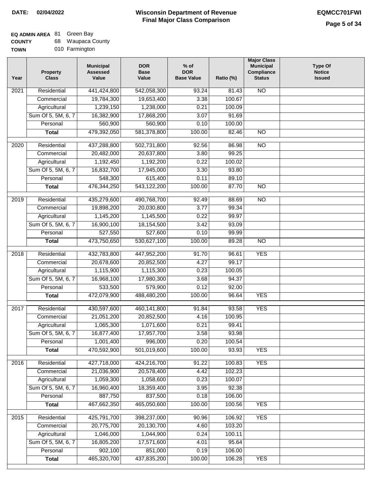# **EQ ADMIN AREA** 81 Green Bay

**COUNTY TOWN** 68 Waupaca County

|  | 010 Farmington |
|--|----------------|
|  |                |

| Year              | <b>Property</b><br><b>Class</b> | <b>Municipal</b><br><b>Assessed</b><br>Value | <b>DOR</b><br><b>Base</b><br>Value | $%$ of<br><b>DOR</b><br><b>Base Value</b> | Ratio (%) | <b>Major Class</b><br><b>Municipal</b><br>Compliance<br><b>Status</b> | <b>Type Of</b><br><b>Notice</b><br><b>Issued</b> |
|-------------------|---------------------------------|----------------------------------------------|------------------------------------|-------------------------------------------|-----------|-----------------------------------------------------------------------|--------------------------------------------------|
| $\overline{202}1$ | Residential                     | 441,424,800                                  | 542,058,300                        | 93.24                                     | 81.43     | <b>NO</b>                                                             |                                                  |
|                   | Commercial                      | 19,784,300                                   | 19,653,400                         | 3.38                                      | 100.67    |                                                                       |                                                  |
|                   | Agricultural                    | 1,239,150                                    | 1,238,000                          | 0.21                                      | 100.09    |                                                                       |                                                  |
|                   | Sum Of 5, 5M, 6, 7              | 16,382,900                                   | 17,868,200                         | 3.07                                      | 91.69     |                                                                       |                                                  |
|                   | Personal                        | 560,900                                      | 560,900                            | 0.10                                      | 100.00    |                                                                       |                                                  |
|                   | <b>Total</b>                    | 479,392,050                                  | 581,378,800                        | 100.00                                    | 82.46     | <b>NO</b>                                                             |                                                  |
| $\overline{2020}$ | Residential                     | 437,288,800                                  | 502,731,800                        | 92.56                                     | 86.98     | $\overline{10}$                                                       |                                                  |
|                   | Commercial                      | 20,482,000                                   | 20,637,800                         | 3.80                                      | 99.25     |                                                                       |                                                  |
|                   | Agricultural                    | 1,192,450                                    | 1,192,200                          | 0.22                                      | 100.02    |                                                                       |                                                  |
|                   | Sum Of 5, 5M, 6, 7              | 16,832,700                                   | 17,945,000                         | 3.30                                      | 93.80     |                                                                       |                                                  |
|                   | Personal                        | 548,300                                      | 615,400                            | 0.11                                      | 89.10     |                                                                       |                                                  |
|                   | <b>Total</b>                    | 476,344,250                                  | 543,122,200                        | 100.00                                    | 87.70     | $\overline{NO}$                                                       |                                                  |
|                   | Residential                     | 435,279,600                                  | 490,768,700                        | 92.49                                     | 88.69     | $\overline{10}$                                                       |                                                  |
| 2019              | Commercial                      | 19,898,200                                   | 20,030,800                         | 3.77                                      | 99.34     |                                                                       |                                                  |
|                   | Agricultural                    | 1,145,200                                    | 1,145,500                          | 0.22                                      | 99.97     |                                                                       |                                                  |
|                   | Sum Of 5, 5M, 6, 7              | 16,900,100                                   | 18,154,500                         | 3.42                                      | 93.09     |                                                                       |                                                  |
|                   | Personal                        | 527,550                                      | 527,600                            | 0.10                                      | 99.99     |                                                                       |                                                  |
|                   | <b>Total</b>                    | 473,750,650                                  | 530,627,100                        | 100.00                                    | 89.28     | $\overline{NO}$                                                       |                                                  |
|                   |                                 |                                              |                                    |                                           |           |                                                                       |                                                  |
| 2018              | Residential                     | 432,783,800                                  | 447,952,200                        | 91.70                                     | 96.61     | <b>YES</b>                                                            |                                                  |
|                   | Commercial                      | 20,678,600                                   | 20,852,500                         | 4.27                                      | 99.17     |                                                                       |                                                  |
|                   | Agricultural                    | 1,115,900                                    | 1,115,300                          | 0.23                                      | 100.05    |                                                                       |                                                  |
|                   | Sum Of 5, 5M, 6, 7              | 16,968,100                                   | 17,980,300                         | 3.68                                      | 94.37     |                                                                       |                                                  |
|                   | Personal                        | 533,500                                      | 579,900                            | 0.12                                      | 92.00     |                                                                       |                                                  |
|                   | <b>Total</b>                    | 472,079,900                                  | 488,480,200                        | 100.00                                    | 96.64     | <b>YES</b>                                                            |                                                  |
| 2017              | Residential                     | 430,597,600                                  | 460,141,800                        | 91.84                                     | 93.58     | <b>YES</b>                                                            |                                                  |
|                   | Commercial                      | 21,051,200                                   | 20,852,500                         | 4.16                                      | 100.95    |                                                                       |                                                  |
|                   | Agricultural                    | 1,065,300                                    | 1,071,600                          | 0.21                                      | 99.41     |                                                                       |                                                  |
|                   | Sum Of 5, 5M, 6, 7              | 16,877,400                                   | 17,957,700                         | 3.58                                      | 93.98     |                                                                       |                                                  |
|                   | Personal                        | 1,001,400                                    | 996,000                            | 0.20                                      | 100.54    |                                                                       |                                                  |
|                   | <b>Total</b>                    | 470,592,900                                  | 501,019,600                        | 100.00                                    | 93.93     | <b>YES</b>                                                            |                                                  |
| 2016              | Residential                     | 427,718,000                                  | 424,216,700                        | 91.22                                     | 100.83    | <b>YES</b>                                                            |                                                  |
|                   | Commercial                      | 21,036,900                                   | 20,578,400                         | 4.42                                      | 102.23    |                                                                       |                                                  |
|                   | Agricultural                    | 1,059,300                                    | 1,058,600                          | 0.23                                      | 100.07    |                                                                       |                                                  |
|                   | Sum Of 5, 5M, 6, 7              | 16,960,400                                   | 18,359,400                         | 3.95                                      | 92.38     |                                                                       |                                                  |
|                   | Personal                        | 887,750                                      | 837,500                            | 0.18                                      | 106.00    |                                                                       |                                                  |
|                   | <b>Total</b>                    | 467,662,350                                  | 465,050,600                        | 100.00                                    | 100.56    | <b>YES</b>                                                            |                                                  |
| 2015              | Residential                     | 425,791,700                                  | 398,237,000                        | 90.96                                     | 106.92    | <b>YES</b>                                                            |                                                  |
|                   | Commercial                      | 20,775,700                                   | 20,130,700                         | 4.60                                      | 103.20    |                                                                       |                                                  |
|                   | Agricultural                    | 1,046,000                                    | 1,044,900                          | 0.24                                      | 100.11    |                                                                       |                                                  |
|                   | Sum Of 5, 5M, 6, 7              | 16,805,200                                   | 17,571,600                         | 4.01                                      | 95.64     |                                                                       |                                                  |
|                   | Personal                        | 902,100                                      | 851,000                            | 0.19                                      | 106.00    |                                                                       |                                                  |
|                   | <b>Total</b>                    | 465,320,700                                  | 437,835,200                        | 100.00                                    | 106.28    | <b>YES</b>                                                            |                                                  |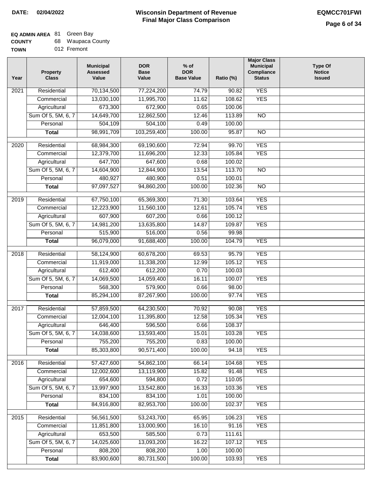### **EQ ADMIN AREA** 81 Green Bay

| <b>COUNTY</b> |  | 68 Waupaca County |  |
|---------------|--|-------------------|--|
|---------------|--|-------------------|--|

**TOWN** 012 Fremont

| Year              | <b>Property</b><br><b>Class</b> | <b>Municipal</b><br><b>Assessed</b><br>Value | <b>DOR</b><br><b>Base</b><br>Value | $%$ of<br><b>DOR</b><br><b>Base Value</b> | Ratio (%) | <b>Major Class</b><br><b>Municipal</b><br>Compliance<br><b>Status</b> | <b>Type Of</b><br><b>Notice</b><br><b>Issued</b> |
|-------------------|---------------------------------|----------------------------------------------|------------------------------------|-------------------------------------------|-----------|-----------------------------------------------------------------------|--------------------------------------------------|
| $\overline{202}1$ | Residential                     | 70,134,500                                   | 77,224,200                         | 74.79                                     | 90.82     | <b>YES</b>                                                            |                                                  |
|                   | Commercial                      | 13,030,100                                   | 11,995,700                         | 11.62                                     | 108.62    | <b>YES</b>                                                            |                                                  |
|                   | Agricultural                    | 673,300                                      | 672,900                            | 0.65                                      | 100.06    |                                                                       |                                                  |
|                   | Sum Of 5, 5M, 6, 7              | 14,649,700                                   | 12,862,500                         | 12.46                                     | 113.89    | $\overline{NO}$                                                       |                                                  |
|                   | Personal                        | 504,109                                      | 504,100                            | 0.49                                      | 100.00    |                                                                       |                                                  |
|                   | <b>Total</b>                    | 98,991,709                                   | 103,259,400                        | 100.00                                    | 95.87     | $\overline{NO}$                                                       |                                                  |
| $\overline{2020}$ | Residential                     | 68,984,300                                   | 69,190,600                         | 72.94                                     | 99.70     | <b>YES</b>                                                            |                                                  |
|                   | Commercial                      | 12,379,700                                   | 11,696,200                         | 12.33                                     | 105.84    | <b>YES</b>                                                            |                                                  |
|                   | Agricultural                    | 647,700                                      | 647,600                            | 0.68                                      | 100.02    |                                                                       |                                                  |
|                   | Sum Of 5, 5M, 6, 7              | 14,604,900                                   | 12,844,900                         | 13.54                                     | 113.70    | $\overline{NO}$                                                       |                                                  |
|                   | Personal                        | 480,927                                      | 480,900                            | 0.51                                      | 100.01    |                                                                       |                                                  |
|                   | <b>Total</b>                    | 97,097,527                                   | 94,860,200                         | 100.00                                    | 102.36    | $\overline{NO}$                                                       |                                                  |
| 2019              | Residential                     | 67,750,100                                   | 65,369,300                         | 71.30                                     | 103.64    | <b>YES</b>                                                            |                                                  |
|                   | Commercial                      | 12,223,900                                   | 11,560,100                         | 12.61                                     | 105.74    | <b>YES</b>                                                            |                                                  |
|                   | Agricultural                    | 607,900                                      | 607,200                            | 0.66                                      | 100.12    |                                                                       |                                                  |
|                   | Sum Of 5, 5M, 6, 7              | 14,981,200                                   | 13,635,800                         | 14.87                                     | 109.87    | <b>YES</b>                                                            |                                                  |
|                   | Personal                        | 515,900                                      | 516,000                            | 0.56                                      | 99.98     |                                                                       |                                                  |
|                   | <b>Total</b>                    | 96,079,000                                   |                                    | 100.00                                    | 104.79    | <b>YES</b>                                                            |                                                  |
|                   |                                 |                                              | 91,688,400                         |                                           |           |                                                                       |                                                  |
| 2018              | Residential                     | 58,124,900                                   | 60,678,200                         | 69.53                                     | 95.79     | <b>YES</b>                                                            |                                                  |
|                   | Commercial                      | 11,919,000                                   | 11,338,200                         | 12.99                                     | 105.12    | <b>YES</b>                                                            |                                                  |
|                   | Agricultural                    | 612,400                                      | 612,200                            | 0.70                                      | 100.03    |                                                                       |                                                  |
|                   | Sum Of 5, 5M, 6, 7              | 14,069,500                                   | 14,059,400                         | 16.11                                     | 100.07    | <b>YES</b>                                                            |                                                  |
|                   | Personal                        | 568,300                                      | 579,900                            | 0.66                                      | 98.00     |                                                                       |                                                  |
|                   | <b>Total</b>                    | 85,294,100                                   | 87,267,900                         | 100.00                                    | 97.74     | <b>YES</b>                                                            |                                                  |
| 2017              | Residential                     | 57,859,500                                   | 64,230,500                         | 70.92                                     | 90.08     | <b>YES</b>                                                            |                                                  |
|                   | Commercial                      | 12,004,100                                   | 11,395,800                         | 12.58                                     | 105.34    | <b>YES</b>                                                            |                                                  |
|                   | Agricultural                    | 646,400                                      | 596,500                            | 0.66                                      | 108.37    |                                                                       |                                                  |
|                   | Sum Of 5, 5M, 6, 7              | 14,038,600                                   | 13,593,400                         | 15.01                                     | 103.28    | <b>YES</b>                                                            |                                                  |
|                   | Personal                        | 755,200                                      | 755,200                            | 0.83                                      | 100.00    |                                                                       |                                                  |
|                   | <b>Total</b>                    | 85,303,800                                   | 90,571,400                         | 100.00                                    | 94.18     | <b>YES</b>                                                            |                                                  |
| 2016              | Residential                     | 57,427,600                                   | 54,862,100                         | 66.14                                     | 104.68    | <b>YES</b>                                                            |                                                  |
|                   | Commercial                      | 12,002,600                                   | 13,119,900                         | 15.82                                     | 91.48     | <b>YES</b>                                                            |                                                  |
|                   | Agricultural                    | 654,600                                      | 594,800                            | 0.72                                      | 110.05    |                                                                       |                                                  |
|                   | Sum Of 5, 5M, 6, 7              | 13,997,900                                   | 13,542,800                         | 16.33                                     | 103.36    | <b>YES</b>                                                            |                                                  |
|                   | Personal                        | 834,100                                      | 834,100                            | 1.01                                      | 100.00    |                                                                       |                                                  |
|                   | <b>Total</b>                    | 84,916,800                                   | 82,953,700                         | 100.00                                    | 102.37    | <b>YES</b>                                                            |                                                  |
|                   |                                 |                                              |                                    |                                           |           |                                                                       |                                                  |
| 2015              | Residential                     | 56,561,500                                   | 53,243,700                         | 65.95                                     | 106.23    | <b>YES</b>                                                            |                                                  |
|                   | Commercial                      | 11,851,800                                   | 13,000,900                         | 16.10                                     | 91.16     | <b>YES</b>                                                            |                                                  |
|                   | Agricultural                    | 653,500                                      | 585,500                            | 0.73                                      | 111.61    |                                                                       |                                                  |
|                   | Sum Of 5, 5M, 6, 7              | 14,025,600                                   | 13,093,200                         | 16.22                                     | 107.12    | <b>YES</b>                                                            |                                                  |
|                   | Personal                        | 808,200                                      | 808,200                            | 1.00                                      | 100.00    |                                                                       |                                                  |
|                   | <b>Total</b>                    | 83,900,600                                   | 80,731,500                         | 100.00                                    | 103.93    | <b>YES</b>                                                            |                                                  |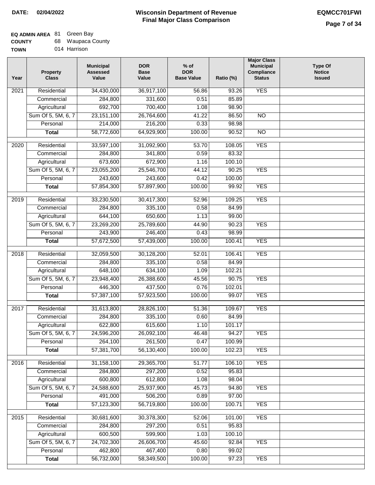### **EQ ADMIN AREA** 81 Green Bay

| <b>COUNTY</b> |  | 68 Waupaca County |  |
|---------------|--|-------------------|--|
|---------------|--|-------------------|--|

**TOWN** 014 Harrison

| Year              | <b>Property</b><br><b>Class</b> | <b>Municipal</b><br><b>Assessed</b><br>Value | <b>DOR</b><br><b>Base</b><br>Value | % of<br><b>DOR</b><br><b>Base Value</b> | Ratio (%)        | <b>Major Class</b><br><b>Municipal</b><br>Compliance<br><b>Status</b> | <b>Type Of</b><br><b>Notice</b><br><b>Issued</b> |
|-------------------|---------------------------------|----------------------------------------------|------------------------------------|-----------------------------------------|------------------|-----------------------------------------------------------------------|--------------------------------------------------|
| $\overline{202}1$ | Residential                     | 34,430,000                                   | 36,917,100                         | 56.86                                   | 93.26            | <b>YES</b>                                                            |                                                  |
|                   | Commercial                      | 284,800                                      | 331,600                            | 0.51                                    | 85.89            |                                                                       |                                                  |
|                   | Agricultural                    | 692,700                                      | 700,400                            | 1.08                                    | 98.90            |                                                                       |                                                  |
|                   | Sum Of 5, 5M, 6, 7              | 23, 151, 100                                 | 26,764,600                         | 41.22                                   | 86.50            | $\overline{NO}$                                                       |                                                  |
|                   | Personal                        | 214,000                                      | 216,200                            | 0.33                                    | 98.98            |                                                                       |                                                  |
|                   | <b>Total</b>                    | 58,772,600                                   | 64,929,900                         | 100.00                                  | 90.52            | $\overline{NO}$                                                       |                                                  |
| $\overline{2020}$ | Residential                     | 33,597,100                                   | 31,092,900                         | 53.70                                   | 108.05           | <b>YES</b>                                                            |                                                  |
|                   | Commercial                      | 284,800                                      | 341,800                            | 0.59                                    | 83.32            |                                                                       |                                                  |
|                   | Agricultural                    | 673,600                                      | 672,900                            | 1.16                                    | 100.10           |                                                                       |                                                  |
|                   | Sum Of 5, 5M, 6, 7              | 23,055,200                                   | 25,546,700                         | 44.12                                   | 90.25            | <b>YES</b>                                                            |                                                  |
|                   | Personal                        | 243,600                                      | 243,600                            | 0.42                                    | 100.00           |                                                                       |                                                  |
|                   | <b>Total</b>                    | 57,854,300                                   | 57,897,900                         | 100.00                                  | 99.92            | <b>YES</b>                                                            |                                                  |
| 2019              | Residential                     | 33,230,500                                   | 30,417,300                         | 52.96                                   | 109.25           | <b>YES</b>                                                            |                                                  |
|                   | Commercial                      | 284,800                                      | 335,100                            | 0.58                                    | 84.99            |                                                                       |                                                  |
|                   | Agricultural                    | 644,100                                      | 650,600                            | 1.13                                    | 99.00            |                                                                       |                                                  |
|                   | Sum Of 5, 5M, 6, 7              | 23,269,200                                   | 25,789,600                         | 44.90                                   | 90.23            | <b>YES</b>                                                            |                                                  |
|                   | Personal                        | 243,900                                      | 246,400                            | 0.43                                    | 98.99            |                                                                       |                                                  |
|                   | <b>Total</b>                    | 57,672,500                                   | 57,439,000                         | 100.00                                  | 100.41           | <b>YES</b>                                                            |                                                  |
| 2018              | Residential                     | 32,059,500                                   | 30,128,200                         | 52.01                                   | 106.41           | <b>YES</b>                                                            |                                                  |
|                   | Commercial                      | 284,800                                      | 335,100                            | 0.58                                    | 84.99            |                                                                       |                                                  |
|                   | Agricultural                    | 648,100                                      | 634,100                            | 1.09                                    | 102.21           |                                                                       |                                                  |
|                   | Sum Of 5, 5M, 6, 7              | 23,948,400                                   | 26,388,600                         | 45.56                                   | 90.75            | <b>YES</b>                                                            |                                                  |
|                   | Personal                        | 446,300                                      | 437,500                            | 0.76                                    | 102.01           |                                                                       |                                                  |
|                   | <b>Total</b>                    | 57,387,100                                   | 57,923,500                         | 100.00                                  | 99.07            | <b>YES</b>                                                            |                                                  |
|                   |                                 |                                              |                                    |                                         |                  |                                                                       |                                                  |
| 2017              | Residential                     | 31,613,800                                   | 28,826,100                         | 51.36                                   | 109.67           | <b>YES</b>                                                            |                                                  |
|                   | Commercial                      | 284,800                                      | 335,100                            | 0.60                                    | 84.99            |                                                                       |                                                  |
|                   | Agricultural                    | 622,800                                      | 615,600                            | 1.10                                    | 101.17           |                                                                       |                                                  |
|                   | Sum Of 5, 5M, 6, 7              | 24,596,200                                   | 26,092,100                         | 46.48                                   | 94.27            | <b>YES</b>                                                            |                                                  |
|                   | Personal                        | 264,100<br>57,381,700                        | 261,500<br>56,130,400              | 0.47<br>100.00                          | 100.99<br>102.23 | <b>YES</b>                                                            |                                                  |
|                   | <b>Total</b>                    |                                              |                                    |                                         |                  |                                                                       |                                                  |
| 2016              | Residential                     | 31, 158, 100                                 | 29,365,700                         | 51.77                                   | 106.10           | <b>YES</b>                                                            |                                                  |
|                   | Commercial                      | 284,800                                      | 297,200                            | 0.52                                    | 95.83            |                                                                       |                                                  |
|                   | Agricultural                    | 600,800                                      | 612,800                            | 1.08                                    | 98.04            |                                                                       |                                                  |
|                   | Sum Of 5, 5M, 6, 7              | 24,588,600                                   | 25,937,900                         | 45.73                                   | 94.80            | <b>YES</b>                                                            |                                                  |
|                   | Personal                        | 491,000                                      | 506,200                            | 0.89                                    | 97.00            |                                                                       |                                                  |
|                   | <b>Total</b>                    | 57,123,300                                   | 56,719,800                         | 100.00                                  | 100.71           | <b>YES</b>                                                            |                                                  |
| 2015              | Residential                     | 30,681,600                                   | 30,378,300                         | 52.06                                   | 101.00           | <b>YES</b>                                                            |                                                  |
|                   | Commercial                      | 284,800                                      | 297,200                            | 0.51                                    | 95.83            |                                                                       |                                                  |
|                   | Agricultural                    | 600,500                                      | 599,900                            | 1.03                                    | 100.10           |                                                                       |                                                  |
|                   | Sum Of 5, 5M, 6, 7              | 24,702,300                                   | 26,606,700                         | 45.60                                   | 92.84            | <b>YES</b>                                                            |                                                  |
|                   | Personal                        | 462,800                                      | 467,400                            | 0.80                                    | 99.02            |                                                                       |                                                  |
|                   | <b>Total</b>                    | 56,732,000                                   | 58,349,500                         | 100.00                                  | 97.23            | <b>YES</b>                                                            |                                                  |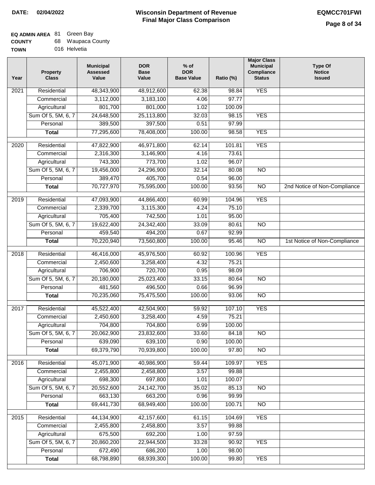| <b>COUNTY</b> | 68 Waupaca County |
|---------------|-------------------|
| <b>TOWN</b>   | 016 Helvetia      |

| 'N | 016 Helvetia |
|----|--------------|
|    |              |

| Year             | <b>Property</b><br><b>Class</b> | <b>Municipal</b><br><b>Assessed</b><br>Value | <b>DOR</b><br><b>Base</b><br>Value | $%$ of<br><b>DOR</b><br><b>Base Value</b> | Ratio (%) | <b>Major Class</b><br><b>Municipal</b><br>Compliance<br><b>Status</b> | <b>Type Of</b><br><b>Notice</b><br><b>Issued</b> |
|------------------|---------------------------------|----------------------------------------------|------------------------------------|-------------------------------------------|-----------|-----------------------------------------------------------------------|--------------------------------------------------|
| 2021             | Residential                     | 48,343,900                                   | 48,912,600                         | 62.38                                     | 98.84     | <b>YES</b>                                                            |                                                  |
|                  | Commercial                      | 3,112,000                                    | 3,183,100                          | 4.06                                      | 97.77     |                                                                       |                                                  |
|                  | Agricultural                    | 801,700                                      | 801,000                            | 1.02                                      | 100.09    |                                                                       |                                                  |
|                  | Sum Of 5, 5M, 6, 7              | 24,648,500                                   | 25,113,800                         | 32.03                                     | 98.15     | <b>YES</b>                                                            |                                                  |
|                  | Personal                        | 389,500                                      | 397,500                            | 0.51                                      | 97.99     |                                                                       |                                                  |
|                  | <b>Total</b>                    | 77,295,600                                   | 78,408,000                         | 100.00                                    | 98.58     | <b>YES</b>                                                            |                                                  |
| 2020             | Residential                     | 47,822,900                                   | 46,971,800                         | 62.14                                     | 101.81    | <b>YES</b>                                                            |                                                  |
|                  | Commercial                      | 2,316,300                                    | 3,146,900                          | 4.16                                      | 73.61     |                                                                       |                                                  |
|                  | Agricultural                    | 743,300                                      | 773,700                            | 1.02                                      | 96.07     |                                                                       |                                                  |
|                  | Sum Of 5, 5M, 6, 7              | 19,456,000                                   | 24,296,900                         | 32.14                                     | 80.08     | $\overline{NO}$                                                       |                                                  |
|                  | Personal                        | 389,470                                      | 405,700                            | 0.54                                      | 96.00     |                                                                       |                                                  |
|                  | <b>Total</b>                    | 70,727,970                                   | 75,595,000                         | 100.00                                    | 93.56     | $\overline{NO}$                                                       | 2nd Notice of Non-Compliance                     |
| $\frac{1}{2019}$ | Residential                     | 47,093,900                                   | 44,866,400                         | 60.99                                     | 104.96    | <b>YES</b>                                                            |                                                  |
|                  | Commercial                      | 2,339,700                                    | 3,115,300                          | 4.24                                      | 75.10     |                                                                       |                                                  |
|                  | Agricultural                    | 705,400                                      | 742,500                            | 1.01                                      | 95.00     |                                                                       |                                                  |
|                  | Sum Of 5, 5M, 6, 7              | 19,622,400                                   | 24,342,400                         | 33.09                                     | 80.61     | $\overline{NO}$                                                       |                                                  |
|                  | Personal                        | 459,540                                      | 494,200                            | 0.67                                      | 92.99     |                                                                       |                                                  |
|                  | <b>Total</b>                    | 70,220,940                                   | 73,560,800                         | 100.00                                    | 95.46     | $\overline{NO}$                                                       | 1st Notice of Non-Compliance                     |
| 2018             | Residential                     | 46,416,000                                   | 45,976,500                         | 60.92                                     | 100.96    | <b>YES</b>                                                            |                                                  |
|                  | Commercial                      | 2,450,600                                    | 3,258,400                          | 4.32                                      | 75.21     |                                                                       |                                                  |
|                  | Agricultural                    | 706,900                                      | 720,700                            | 0.95                                      | 98.09     |                                                                       |                                                  |
|                  | Sum Of 5, 5M, 6, 7              | 20,180,000                                   | 25,023,400                         | 33.15                                     | 80.64     | $\overline{10}$                                                       |                                                  |
|                  | Personal                        | 481,560                                      | 496,500                            | 0.66                                      | 96.99     |                                                                       |                                                  |
|                  | <b>Total</b>                    | 70,235,060                                   | 75,475,500                         | 100.00                                    | 93.06     | <b>NO</b>                                                             |                                                  |
|                  |                                 |                                              |                                    |                                           |           |                                                                       |                                                  |
| 2017             | Residential                     | 45,522,400                                   | 42,504,900                         | 59.92                                     | 107.10    | <b>YES</b>                                                            |                                                  |
|                  | Commercial                      | 2,450,600                                    | 3,258,400                          | 4.59                                      | 75.21     |                                                                       |                                                  |
|                  | Agricultural                    | 704,800                                      | 704,800                            | 0.99                                      | 100.00    |                                                                       |                                                  |
|                  | Sum Of 5, 5M, 6, 7              | 20,062,900                                   | 23,832,600                         | 33.60                                     | 84.18     | NO.                                                                   |                                                  |
|                  | Personal                        | 639,090                                      | 639,100                            | 0.90                                      | 100.00    |                                                                       |                                                  |
|                  | <b>Total</b>                    | 69,379,790                                   | 70,939,800                         | 100.00                                    | 97.80     | <b>NO</b>                                                             |                                                  |
| 2016             | Residential                     | 45,071,900                                   | 40,986,900                         | 59.44                                     | 109.97    | <b>YES</b>                                                            |                                                  |
|                  | Commercial                      | 2,455,800                                    | 2,458,800                          | 3.57                                      | 99.88     |                                                                       |                                                  |
|                  | Agricultural                    | 698,300                                      | 697,800                            | 1.01                                      | 100.07    |                                                                       |                                                  |
|                  | Sum Of 5, 5M, 6, 7              | 20,552,600                                   | 24, 142, 700                       | 35.02                                     | 85.13     | $\overline{NO}$                                                       |                                                  |
|                  | Personal                        | 663,130                                      | 663,200                            | 0.96                                      | 99.99     |                                                                       |                                                  |
|                  | <b>Total</b>                    | 69,441,730                                   | 68,949,400                         | 100.00                                    | 100.71    | N <sub>O</sub>                                                        |                                                  |
| 2015             | Residential                     | 44,134,900                                   | 42,157,600                         | 61.15                                     | 104.69    | <b>YES</b>                                                            |                                                  |
|                  | Commercial                      | 2,455,800                                    | 2,458,800                          | 3.57                                      | 99.88     |                                                                       |                                                  |
|                  | Agricultural                    | 675,500                                      | 692,200                            | 1.00                                      | 97.59     |                                                                       |                                                  |
|                  | Sum Of 5, 5M, 6, 7              | 20,860,200                                   | 22,944,500                         | 33.28                                     | 90.92     | <b>YES</b>                                                            |                                                  |
|                  | Personal                        | 672,490                                      | 686,200                            | 1.00                                      | 98.00     |                                                                       |                                                  |
|                  | <b>Total</b>                    | 68,798,890                                   | 68,939,300                         | 100.00                                    | 99.80     | <b>YES</b>                                                            |                                                  |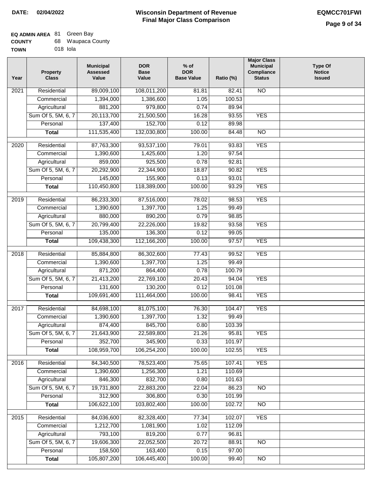#### **Wisconsin Department of Revenue Final Major Class Comparison DATE: 02/04/2022 EQMCC701FWI**

#### **EQ ADMIN AREA** 81 Green Bay

| <b>COUNTY</b> |          | 68 Waupaca County |
|---------------|----------|-------------------|
| <b>TOWN</b>   | 018 Iola |                   |

| Year              | <b>Property</b><br><b>Class</b> | <b>Municipal</b><br><b>Assessed</b><br>Value | <b>DOR</b><br><b>Base</b><br>Value | % of<br><b>DOR</b><br><b>Base Value</b> | Ratio (%) | <b>Major Class</b><br><b>Municipal</b><br>Compliance<br><b>Status</b> | <b>Type Of</b><br><b>Notice</b><br><b>Issued</b> |
|-------------------|---------------------------------|----------------------------------------------|------------------------------------|-----------------------------------------|-----------|-----------------------------------------------------------------------|--------------------------------------------------|
| 2021              | Residential                     | 89,009,100                                   | 108,011,200                        | 81.81                                   | 82.41     | $\overline{NO}$                                                       |                                                  |
|                   | Commercial                      | 1,394,000                                    | 1,386,600                          | 1.05                                    | 100.53    |                                                                       |                                                  |
|                   | Agricultural                    | 881,200                                      | 979,800                            | 0.74                                    | 89.94     |                                                                       |                                                  |
|                   | Sum Of 5, 5M, 6, 7              | 20,113,700                                   | 21,500,500                         | 16.28                                   | 93.55     | <b>YES</b>                                                            |                                                  |
|                   | Personal                        | 137,400                                      | 152,700                            | 0.12                                    | 89.98     |                                                                       |                                                  |
|                   | <b>Total</b>                    | 111,535,400                                  | 132,030,800                        | 100.00                                  | 84.48     | $\overline{NO}$                                                       |                                                  |
| 2020              | Residential                     | 87,763,300                                   | 93,537,100                         | 79.01                                   | 93.83     | <b>YES</b>                                                            |                                                  |
|                   | Commercial                      | 1,390,600                                    | 1,425,600                          | 1.20                                    | 97.54     |                                                                       |                                                  |
|                   | Agricultural                    | 859,000                                      | 925,500                            | 0.78                                    | 92.81     |                                                                       |                                                  |
|                   | Sum Of 5, 5M, 6, 7              | 20,292,900                                   | 22,344,900                         | 18.87                                   | 90.82     | <b>YES</b>                                                            |                                                  |
|                   | Personal                        | 145,000                                      | 155,900                            | 0.13                                    | 93.01     |                                                                       |                                                  |
|                   | <b>Total</b>                    | 110,450,800                                  | 118,389,000                        | 100.00                                  | 93.29     | <b>YES</b>                                                            |                                                  |
| $\frac{1}{2019}$  | Residential                     | 86,233,300                                   | 87,516,000                         | 78.02                                   | 98.53     | <b>YES</b>                                                            |                                                  |
|                   | Commercial                      | 1,390,600                                    | 1,397,700                          | 1.25                                    | 99.49     |                                                                       |                                                  |
|                   | Agricultural                    | 880,000                                      | 890,200                            | 0.79                                    | 98.85     |                                                                       |                                                  |
|                   | Sum Of 5, 5M, 6, 7              | 20,799,400                                   | 22,226,000                         | 19.82                                   | 93.58     | <b>YES</b>                                                            |                                                  |
|                   | Personal                        | 135,000                                      | 136,300                            | 0.12                                    | 99.05     |                                                                       |                                                  |
|                   | <b>Total</b>                    | 109,438,300                                  | 112,166,200                        | 100.00                                  | 97.57     | <b>YES</b>                                                            |                                                  |
| $\overline{2018}$ | Residential                     |                                              |                                    |                                         | 99.52     | <b>YES</b>                                                            |                                                  |
|                   | Commercial                      | 85,884,800                                   | 86,302,600                         | 77.43<br>1.25                           | 99.49     |                                                                       |                                                  |
|                   | Agricultural                    | 1,390,600<br>871,200                         | 1,397,700<br>864,400               | 0.78                                    | 100.79    |                                                                       |                                                  |
|                   | Sum Of 5, 5M, 6, 7              | 21,413,200                                   | 22,769,100                         | 20.43                                   | 94.04     | <b>YES</b>                                                            |                                                  |
|                   | Personal                        | 131,600                                      | 130,200                            | 0.12                                    | 101.08    |                                                                       |                                                  |
|                   | <b>Total</b>                    | 109,691,400                                  | 111,464,000                        | 100.00                                  | 98.41     | <b>YES</b>                                                            |                                                  |
|                   |                                 |                                              |                                    |                                         |           |                                                                       |                                                  |
| 2017              | Residential                     | 84,698,100                                   | 81,075,100                         | 76.30                                   | 104.47    | <b>YES</b>                                                            |                                                  |
|                   | Commercial                      | 1,390,600                                    | 1,397,700                          | 1.32                                    | 99.49     |                                                                       |                                                  |
|                   | Agricultural                    | 874,400                                      | 845,700                            | 0.80                                    | 103.39    |                                                                       |                                                  |
|                   | Sum Of 5, 5M, 6, 7              | 21,643,900                                   | 22,589,800                         | 21.26                                   | 95.81     | <b>YES</b>                                                            |                                                  |
|                   | Personal                        | 352,700                                      | 345,900                            | 0.33                                    | 101.97    |                                                                       |                                                  |
|                   | <b>Total</b>                    | 108,959,700                                  | 106,254,200                        | 100.00                                  | 102.55    | <b>YES</b>                                                            |                                                  |
| 2016              | Residential                     | 84,340,500                                   | 78,523,400                         | 75.65                                   | 107.41    | <b>YES</b>                                                            |                                                  |
|                   | Commercial                      | 1,390,600                                    | 1,256,300                          | 1.21                                    | 110.69    |                                                                       |                                                  |
|                   | Agricultural                    | 846,300                                      | 832,700                            | 0.80                                    | 101.63    |                                                                       |                                                  |
|                   | Sum Of 5, 5M, 6, 7              | 19,731,800                                   | 22,883,200                         | 22.04                                   | 86.23     | <b>NO</b>                                                             |                                                  |
|                   | Personal                        | 312,900                                      | 306,800                            | 0.30                                    | 101.99    |                                                                       |                                                  |
|                   | <b>Total</b>                    | 106,622,100                                  | 103,802,400                        | 100.00                                  | 102.72    | <b>NO</b>                                                             |                                                  |
| 2015              | Residential                     | 84,036,600                                   | 82,328,400                         | 77.34                                   | 102.07    | <b>YES</b>                                                            |                                                  |
|                   | Commercial                      | 1,212,700                                    | 1,081,900                          | 1.02                                    | 112.09    |                                                                       |                                                  |
|                   | Agricultural                    | 793,100                                      | 819,200                            | 0.77                                    | 96.81     |                                                                       |                                                  |
|                   | Sum Of 5, 5M, 6, 7              | 19,606,300                                   | 22,052,500                         | 20.72                                   | 88.91     | <b>NO</b>                                                             |                                                  |
|                   | Personal                        | 158,500                                      | 163,400                            | 0.15                                    | 97.00     |                                                                       |                                                  |
|                   | <b>Total</b>                    | 105,807,200                                  | 106,445,400                        | 100.00                                  | 99.40     | $\overline{NO}$                                                       |                                                  |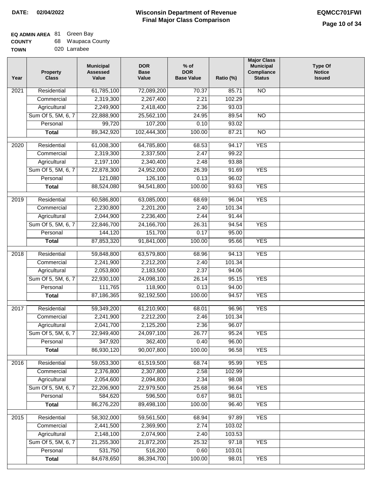### **EQ ADMIN AREA** 81 Green Bay

| <b>COUNTY</b> | 68 Waupaca County |
|---------------|-------------------|
| <b>TOWN</b>   | 020 Larrabee      |

020 Larrabee

| Year              | <b>Property</b><br><b>Class</b> | <b>Municipal</b><br><b>Assessed</b><br>Value | <b>DOR</b><br><b>Base</b><br>Value | % of<br><b>DOR</b><br><b>Base Value</b> | Ratio (%) | <b>Major Class</b><br><b>Municipal</b><br>Compliance<br><b>Status</b> | <b>Type Of</b><br><b>Notice</b><br><b>Issued</b> |
|-------------------|---------------------------------|----------------------------------------------|------------------------------------|-----------------------------------------|-----------|-----------------------------------------------------------------------|--------------------------------------------------|
| $\overline{202}1$ | Residential                     | 61,785,100                                   | 72,089,200                         | 70.37                                   | 85.71     | $\overline{NO}$                                                       |                                                  |
|                   | Commercial                      | 2,319,300                                    | 2,267,400                          | 2.21                                    | 102.29    |                                                                       |                                                  |
|                   | Agricultural                    | 2,249,900                                    | 2,418,400                          | 2.36                                    | 93.03     |                                                                       |                                                  |
|                   | Sum Of 5, 5M, 6, 7              | 22,888,900                                   | 25,562,100                         | 24.95                                   | 89.54     | $\overline{NO}$                                                       |                                                  |
|                   | Personal                        | 99,720                                       | 107,200                            | 0.10                                    | 93.02     |                                                                       |                                                  |
|                   | <b>Total</b>                    | 89,342,920                                   | 102,444,300                        | 100.00                                  | 87.21     | $\overline{NO}$                                                       |                                                  |
| $\overline{2020}$ | Residential                     | 61,008,300                                   | 64,785,800                         | 68.53                                   | 94.17     | <b>YES</b>                                                            |                                                  |
|                   | Commercial                      | 2,319,300                                    | 2,337,500                          | 2.47                                    | 99.22     |                                                                       |                                                  |
|                   | Agricultural                    | 2,197,100                                    | 2,340,400                          | 2.48                                    | 93.88     |                                                                       |                                                  |
|                   | Sum Of 5, 5M, 6, 7              | 22,878,300                                   | 24,952,000                         | 26.39                                   | 91.69     | <b>YES</b>                                                            |                                                  |
|                   | Personal                        | 121,080                                      | 126,100                            | 0.13                                    | 96.02     |                                                                       |                                                  |
|                   | <b>Total</b>                    | 88,524,080                                   | 94,541,800                         | 100.00                                  | 93.63     | <b>YES</b>                                                            |                                                  |
|                   |                                 |                                              |                                    |                                         |           |                                                                       |                                                  |
| 2019              | Residential                     | 60,586,800                                   | 63,085,000                         | 68.69                                   | 96.04     | <b>YES</b>                                                            |                                                  |
|                   | Commercial                      | 2,230,800                                    | 2,201,200                          | 2.40                                    | 101.34    |                                                                       |                                                  |
|                   | Agricultural                    | 2,044,900                                    | 2,236,400                          | 2.44                                    | 91.44     |                                                                       |                                                  |
|                   | Sum Of 5, 5M, 6, 7              | 22,846,700                                   | 24,166,700                         | 26.31                                   | 94.54     | <b>YES</b>                                                            |                                                  |
|                   | Personal                        | 144,120                                      | 151,700                            | 0.17                                    | 95.00     |                                                                       |                                                  |
|                   | <b>Total</b>                    | 87,853,320                                   | 91,841,000                         | 100.00                                  | 95.66     | <b>YES</b>                                                            |                                                  |
| 2018              | Residential                     | 59,848,800                                   | 63,579,800                         | 68.96                                   | 94.13     | <b>YES</b>                                                            |                                                  |
|                   | Commercial                      | 2,241,900                                    | 2,212,200                          | 2.40                                    | 101.34    |                                                                       |                                                  |
|                   | Agricultural                    | 2,053,800                                    | 2,183,500                          | 2.37                                    | 94.06     |                                                                       |                                                  |
|                   | Sum Of 5, 5M, 6, 7              | 22,930,100                                   | 24,098,100                         | 26.14                                   | 95.15     | <b>YES</b>                                                            |                                                  |
|                   | Personal                        | 111,765                                      | 118,900                            | 0.13                                    | 94.00     |                                                                       |                                                  |
|                   | <b>Total</b>                    | 87,186,365                                   | 92,192,500                         | 100.00                                  | 94.57     | <b>YES</b>                                                            |                                                  |
| 2017              | Residential                     | 59,349,200                                   | 61,210,900                         | 68.01                                   | 96.96     | <b>YES</b>                                                            |                                                  |
|                   | Commercial                      | 2,241,900                                    | 2,212,200                          | 2.46                                    | 101.34    |                                                                       |                                                  |
|                   | Agricultural                    | 2,041,700                                    | 2,125,200                          | 2.36                                    | 96.07     |                                                                       |                                                  |
|                   | Sum Of 5, 5M, 6, 7              | 22,949,400                                   | 24,097,100                         | 26.77                                   | 95.24     | <b>YES</b>                                                            |                                                  |
|                   | Personal                        | 347,920                                      | 362,400                            | 0.40                                    | 96.00     |                                                                       |                                                  |
|                   | <b>Total</b>                    | 86,930,120                                   | 90,007,800                         | 100.00                                  | 96.58     | <b>YES</b>                                                            |                                                  |
| 2016              | Residential                     | 59,053,300                                   | 61,519,500                         | 68.74                                   | 95.99     | <b>YES</b>                                                            |                                                  |
|                   | Commercial                      | 2,376,800                                    | 2,307,800                          | 2.58                                    | 102.99    |                                                                       |                                                  |
|                   | Agricultural                    | 2,054,600                                    | 2,094,800                          | 2.34                                    | 98.08     |                                                                       |                                                  |
|                   | Sum Of 5, 5M, 6, 7              | 22,206,900                                   | 22,979,500                         | 25.68                                   | 96.64     | <b>YES</b>                                                            |                                                  |
|                   | Personal                        | 584,620                                      | 596,500                            | 0.67                                    | 98.01     |                                                                       |                                                  |
|                   | <b>Total</b>                    | 86,276,220                                   | 89,498,100                         | 100.00                                  | 96.40     | <b>YES</b>                                                            |                                                  |
| 2015              | Residential                     | 58,302,000                                   | 59,561,500                         | 68.94                                   | 97.89     | <b>YES</b>                                                            |                                                  |
|                   | Commercial                      | 2,441,500                                    | 2,369,900                          | 2.74                                    | 103.02    |                                                                       |                                                  |
|                   | Agricultural                    | 2,148,100                                    | 2,074,900                          | 2.40                                    | 103.53    |                                                                       |                                                  |
|                   | Sum Of 5, 5M, 6, 7              | 21,255,300                                   | 21,872,200                         | 25.32                                   | 97.18     | <b>YES</b>                                                            |                                                  |
|                   | Personal                        | 531,750                                      | 516,200                            | 0.60                                    | 103.01    |                                                                       |                                                  |
|                   | <b>Total</b>                    | 84,678,650                                   | 86,394,700                         | 100.00                                  | 98.01     | <b>YES</b>                                                            |                                                  |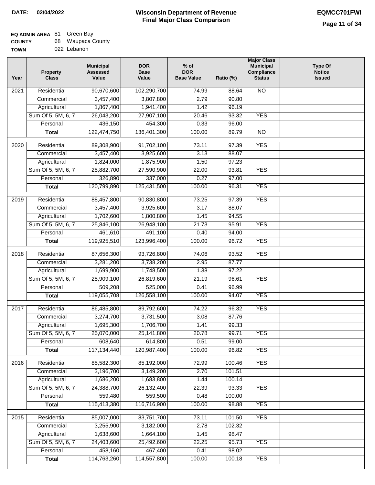**Major Class**

| <b>COUNTY</b> | 68 Waupaca County |
|---------------|-------------------|
| <b>TOWN</b>   | 022 Lebanon       |

| Year | Property<br><b>Class</b> | <b>Municipal</b><br><b>Assessed</b><br>Value | <b>DOR</b><br><b>Base</b><br>Value | $%$ of<br><b>DOR</b><br><b>Base Value</b> | Ratio (%) | <b>Municipal</b><br>Compliance<br><b>Status</b> | <b>Type Of</b><br><b>Notice</b><br><b>Issued</b> |
|------|--------------------------|----------------------------------------------|------------------------------------|-------------------------------------------|-----------|-------------------------------------------------|--------------------------------------------------|
| 2021 | Residential              | 90,670,600                                   | 102,290,700                        | 74.99                                     | 88.64     | $\overline{NO}$                                 |                                                  |
|      | Commercial               | 3,457,400                                    | 3,807,800                          | 2.79                                      | 90.80     |                                                 |                                                  |
|      | Agricultural             | 1,867,400                                    | 1,941,400                          | 1.42                                      | 96.19     |                                                 |                                                  |
|      | Sum Of 5, 5M, 6, 7       | 26,043,200                                   | 27,907,100                         | 20.46                                     | 93.32     | <b>YES</b>                                      |                                                  |
|      | Personal                 | 436,150                                      | 454,300                            | 0.33                                      | 96.00     |                                                 |                                                  |
|      | <b>Total</b>             | 122,474,750                                  | 136,401,300                        | 100.00                                    | 89.79     | $\overline{NO}$                                 |                                                  |
| 2020 | Residential              | 89,308,900                                   | 91,702,100                         | 73.11                                     | 97.39     | <b>YES</b>                                      |                                                  |
|      | Commercial               | 3,457,400                                    | 3,925,600                          | 3.13                                      | 88.07     |                                                 |                                                  |
|      | Agricultural             | 1,824,000                                    | 1,875,900                          | 1.50                                      | 97.23     |                                                 |                                                  |
|      | Sum Of 5, 5M, 6, 7       | 25,882,700                                   | 27,590,900                         | 22.00                                     | 93.81     | <b>YES</b>                                      |                                                  |
|      | Personal                 | 326,890                                      | 337,000                            | 0.27                                      | 97.00     |                                                 |                                                  |
|      | <b>Total</b>             | 120,799,890                                  | 125,431,500                        | 100.00                                    | 96.31     | <b>YES</b>                                      |                                                  |
| 2019 | Residential              | 88,457,800                                   | 90,830,800                         | 73.25                                     | 97.39     | <b>YES</b>                                      |                                                  |
|      | Commercial               | 3,457,400                                    | 3,925,600                          | 3.17                                      | 88.07     |                                                 |                                                  |
|      | Agricultural             | 1,702,600                                    | 1,800,800                          | 1.45                                      | 94.55     |                                                 |                                                  |
|      | Sum Of 5, 5M, 6, 7       | 25,846,100                                   | 26,948,100                         | 21.73                                     | 95.91     | <b>YES</b>                                      |                                                  |
|      | Personal                 | 461,610                                      | 491,100                            | 0.40                                      | 94.00     |                                                 |                                                  |
|      | <b>Total</b>             | 119,925,510                                  | 123,996,400                        | 100.00                                    | 96.72     | <b>YES</b>                                      |                                                  |
| 2018 | Residential              | 87,656,300                                   | 93,726,800                         | 74.06                                     | 93.52     | <b>YES</b>                                      |                                                  |
|      | Commercial               | 3,281,200                                    | 3,738,200                          | 2.95                                      | 87.77     |                                                 |                                                  |
|      | Agricultural             | 1,699,900                                    | 1,748,500                          | 1.38                                      | 97.22     |                                                 |                                                  |
|      | Sum Of 5, 5M, 6, 7       | 25,909,100                                   | 26,819,600                         | 21.19                                     | 96.61     | <b>YES</b>                                      |                                                  |
|      | Personal                 | 509,208                                      | 525,000                            | 0.41                                      | 96.99     |                                                 |                                                  |
|      | <b>Total</b>             | 119,055,708                                  | 126,558,100                        | 100.00                                    | 94.07     | <b>YES</b>                                      |                                                  |
|      |                          |                                              |                                    |                                           |           |                                                 |                                                  |
| 2017 | Residential              | 86,485,800                                   | 89,792,600                         | 74.22                                     | 96.32     | <b>YES</b>                                      |                                                  |
|      | Commercial               | 3,274,700                                    | 3,731,500                          | 3.08                                      | 87.76     |                                                 |                                                  |
|      | Agricultural             | 1,695,300                                    | 1,706,700                          | 1.41                                      | 99.33     |                                                 |                                                  |
|      | Sum Of 5, 5M, 6, 7       | 25,070,000                                   | 25,141,800                         | 20.78                                     | 99.71     | <b>YES</b>                                      |                                                  |
|      | Personal                 | 608,640                                      | 614,800                            | 0.51                                      | 99.00     |                                                 |                                                  |
|      | <b>Total</b>             | 117,134,440                                  | 120,987,400                        | 100.00                                    | 96.82     | <b>YES</b>                                      |                                                  |
| 2016 | Residential              | 85,582,300                                   | 85,192,000                         | 72.99                                     | 100.46    | <b>YES</b>                                      |                                                  |
|      | Commercial               | 3,196,700                                    | 3,149,200                          | 2.70                                      | 101.51    |                                                 |                                                  |
|      | Agricultural             | 1,686,200                                    | 1,683,800                          | 1.44                                      | 100.14    |                                                 |                                                  |
|      | Sum Of 5, 5M, 6, 7       | 24,388,700                                   | 26,132,400                         | 22.39                                     | 93.33     | <b>YES</b>                                      |                                                  |
|      | Personal                 | 559,480                                      | 559,500                            | 0.48                                      | 100.00    |                                                 |                                                  |
|      | <b>Total</b>             | 115,413,380                                  | 116,716,900                        | 100.00                                    | 98.88     | <b>YES</b>                                      |                                                  |
| 2015 | Residential              | 85,007,000                                   | 83,751,700                         | 73.11                                     | 101.50    | <b>YES</b>                                      |                                                  |
|      | Commercial               | 3,255,900                                    | 3,182,000                          | 2.78                                      | 102.32    |                                                 |                                                  |
|      | Agricultural             | 1,638,600                                    | 1,664,100                          | 1.45                                      | 98.47     |                                                 |                                                  |
|      | Sum Of 5, 5M, 6, 7       | 24,403,600                                   | 25,492,600                         | 22.25                                     | 95.73     | <b>YES</b>                                      |                                                  |
|      | Personal                 | 458,160                                      | 467,400                            | 0.41                                      | 98.02     |                                                 |                                                  |
|      | <b>Total</b>             | 114,763,260                                  | 114,557,800                        | 100.00                                    | 100.18    | <b>YES</b>                                      |                                                  |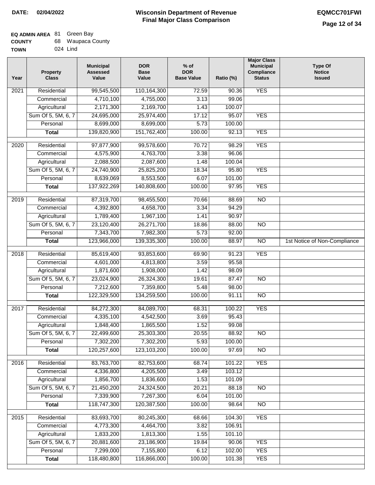#### **Wisconsin Department of Revenue Final Major Class Comparison DATE: 02/04/2022 EQMCC701FWI**

٦

#### **EQ ADMIN AREA** 81 Green Bay

| <b>COUNTY</b> | 68 Waupaca County |
|---------------|-------------------|
| TOWN          | 024 Lind          |

| Year              | <b>Property</b><br><b>Class</b> | <b>Municipal</b><br><b>Assessed</b><br>Value | <b>DOR</b><br><b>Base</b><br>Value | $%$ of<br><b>DOR</b><br><b>Base Value</b> | Ratio (%)        | <b>Major Class</b><br><b>Municipal</b><br>Compliance<br><b>Status</b> | <b>Type Of</b><br><b>Notice</b><br><b>Issued</b> |
|-------------------|---------------------------------|----------------------------------------------|------------------------------------|-------------------------------------------|------------------|-----------------------------------------------------------------------|--------------------------------------------------|
| 2021              | Residential                     | 99,545,500                                   | 110,164,300                        | 72.59                                     | 90.36            | <b>YES</b>                                                            |                                                  |
|                   | Commercial                      | 4,710,100                                    | 4,755,000                          | 3.13                                      | 99.06            |                                                                       |                                                  |
|                   | Agricultural                    | 2,171,300                                    | 2,169,700                          | 1.43                                      | 100.07           |                                                                       |                                                  |
|                   | Sum Of 5, 5M, 6, 7              | 24,695,000                                   | 25,974,400                         | 17.12                                     | 95.07            | <b>YES</b>                                                            |                                                  |
|                   | Personal                        | 8,699,000                                    | 8,699,000                          | 5.73                                      | 100.00           |                                                                       |                                                  |
|                   | <b>Total</b>                    | 139,820,900                                  | 151,762,400                        | 100.00                                    | 92.13            | <b>YES</b>                                                            |                                                  |
| $\overline{2020}$ | Residential                     | 97,877,900                                   | 99,578,600                         | 70.72                                     | 98.29            | <b>YES</b>                                                            |                                                  |
|                   | Commercial                      | 4,575,900                                    | 4,763,700                          | 3.38                                      | 96.06            |                                                                       |                                                  |
|                   | Agricultural                    | 2,088,500                                    | 2,087,600                          | 1.48                                      | 100.04           |                                                                       |                                                  |
|                   | Sum Of 5, 5M, 6, 7              | 24,740,900                                   | 25,825,200                         | 18.34                                     | 95.80            | <b>YES</b>                                                            |                                                  |
|                   | Personal                        | 8,639,069                                    | 8,553,500                          | 6.07                                      | 101.00           |                                                                       |                                                  |
|                   | <b>Total</b>                    | 137,922,269                                  | 140,808,600                        | 100.00                                    | 97.95            | <b>YES</b>                                                            |                                                  |
| $\frac{1}{2019}$  | Residential                     | 87,319,700                                   | 98,455,500                         | 70.66                                     | 88.69            | $\overline{NO}$                                                       |                                                  |
|                   | Commercial                      | 4,392,800                                    | 4,658,700                          | 3.34                                      | 94.29            |                                                                       |                                                  |
|                   | Agricultural                    | 1,789,400                                    | 1,967,100                          | 1.41                                      | 90.97            |                                                                       |                                                  |
|                   | Sum Of 5, 5M, 6, 7              | 23,120,400                                   | 26,271,700                         | 18.86                                     | 88.00            | $\overline{NO}$                                                       |                                                  |
|                   | Personal                        | 7,343,700                                    | 7,982,300                          | 5.73                                      | 92.00            |                                                                       |                                                  |
|                   | <b>Total</b>                    | 123,966,000                                  | 139,335,300                        | 100.00                                    | 88.97            | $\overline{NO}$                                                       | 1st Notice of Non-Compliance                     |
| 2018              | Residential                     | 85,619,400                                   | 93,853,600                         | 69.90                                     | 91.23            | <b>YES</b>                                                            |                                                  |
|                   | Commercial                      | 4,601,000                                    | 4,813,800                          | 3.59                                      | 95.58            |                                                                       |                                                  |
|                   | Agricultural                    | 1,871,600                                    | 1,908,000                          | 1.42                                      | 98.09            |                                                                       |                                                  |
|                   | Sum Of 5, 5M, 6, 7              | 23,024,900                                   | 26,324,300                         | 19.61                                     | 87.47            | N <sub>O</sub>                                                        |                                                  |
|                   | Personal                        | 7,212,600                                    | 7,359,800                          | 5.48                                      | 98.00            |                                                                       |                                                  |
|                   | <b>Total</b>                    | 122,329,500                                  | 134,259,500                        | 100.00                                    | 91.11            | $\overline{NO}$                                                       |                                                  |
| 2017              | Residential                     | 84,272,300                                   | 84,089,700                         | 68.31                                     | 100.22           | <b>YES</b>                                                            |                                                  |
|                   | Commercial                      | 4,335,100                                    | 4,542,500                          | 3.69                                      | 95.43            |                                                                       |                                                  |
|                   | Agricultural                    | 1,848,400                                    | 1,865,500                          | 1.52                                      | 99.08            |                                                                       |                                                  |
|                   | Sum Of 5, 5M, 6, 7              | 22,499,600                                   | 25,303,300                         | 20.55                                     | 88.92            | $\overline{NO}$                                                       |                                                  |
|                   | Personal                        | 7,302,200                                    | 7,302,200                          | 5.93                                      | 100.00           |                                                                       |                                                  |
|                   | <b>Total</b>                    | 120,257,600                                  | 123,103,200                        | 100.00                                    | 97.69            | $\overline{NO}$                                                       |                                                  |
| 2016              | Residential                     | 83,763,700                                   | 82,753,600                         | 68.74                                     | 101.22           | <b>YES</b>                                                            |                                                  |
|                   | Commercial                      | 4,336,800                                    | 4,205,500                          | 3.49                                      | 103.12           |                                                                       |                                                  |
|                   | Agricultural                    | 1,856,700                                    | 1,836,600                          | 1.53                                      | 101.09           |                                                                       |                                                  |
|                   | Sum Of 5, 5M, 6, 7              | 21,450,200                                   | 24,324,500                         | 20.21                                     | 88.18            | <b>NO</b>                                                             |                                                  |
|                   | Personal                        | 7,339,900                                    | 7,267,300                          | 6.04                                      | 101.00           |                                                                       |                                                  |
|                   | <b>Total</b>                    | 118,747,300                                  | 120,387,500                        | 100.00                                    | 98.64            | $\overline{NO}$                                                       |                                                  |
|                   |                                 |                                              |                                    |                                           |                  |                                                                       |                                                  |
| 2015              | Residential                     | 83,693,700                                   | 80,245,300                         | 68.66                                     | 104.30           | <b>YES</b>                                                            |                                                  |
|                   | Commercial<br>Agricultural      | 4,773,300<br>1,833,200                       | 4,464,700<br>1,813,300             | 3.82<br>1.55                              | 106.91<br>101.10 |                                                                       |                                                  |
|                   | Sum Of 5, 5M, 6, 7              | 20,881,600                                   | 23,186,900                         | 19.84                                     | 90.06            | <b>YES</b>                                                            |                                                  |
|                   | Personal                        | 7,299,000                                    | 7,155,800                          | 6.12                                      | 102.00           | <b>YES</b>                                                            |                                                  |
|                   | <b>Total</b>                    | 118,480,800                                  | 116,866,000                        | 100.00                                    | 101.38           | <b>YES</b>                                                            |                                                  |
|                   |                                 |                                              |                                    |                                           |                  |                                                                       |                                                  |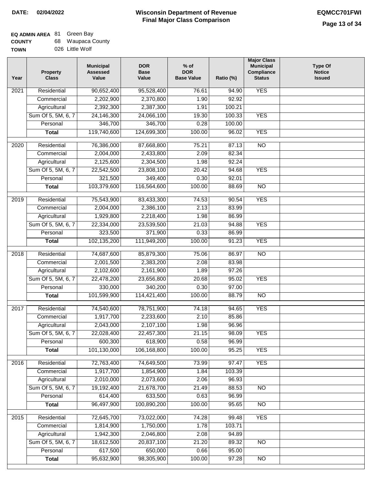#### **Wisconsin Department of Revenue Final Major Class Comparison DATE: 02/04/2022 EQMCC701FWI**

٦

#### **EQ ADMIN AREA** 81 Green Bay **COUNTY** 68 Waupaca County

| TOWN | 026 Little Wolf |
|------|-----------------|

| Year | <b>Property</b><br><b>Class</b> | <b>Municipal</b><br><b>Assessed</b><br>Value | <b>DOR</b><br><b>Base</b><br>Value | $%$ of<br><b>DOR</b><br><b>Base Value</b> | Ratio (%)      | <b>Major Class</b><br><b>Municipal</b><br>Compliance<br><b>Status</b> | <b>Type Of</b><br><b>Notice</b><br><b>Issued</b> |
|------|---------------------------------|----------------------------------------------|------------------------------------|-------------------------------------------|----------------|-----------------------------------------------------------------------|--------------------------------------------------|
| 2021 | Residential                     | 90,652,400                                   | 95,528,400                         | 76.61                                     | 94.90          | <b>YES</b>                                                            |                                                  |
|      | Commercial                      | 2,202,900                                    | 2,370,800                          | 1.90                                      | 92.92          |                                                                       |                                                  |
|      | Agricultural                    | 2,392,300                                    | 2,387,300                          | 1.91                                      | 100.21         |                                                                       |                                                  |
|      | Sum Of 5, 5M, 6, 7              | 24,146,300                                   | 24,066,100                         | 19.30                                     | 100.33         | <b>YES</b>                                                            |                                                  |
|      | Personal                        | 346,700                                      | 346,700                            | 0.28                                      | 100.00         |                                                                       |                                                  |
|      | <b>Total</b>                    | 119,740,600                                  | 124,699,300                        | 100.00                                    | 96.02          | <b>YES</b>                                                            |                                                  |
| 2020 | Residential                     | 76,386,000                                   | 87,668,800                         | 75.21                                     | 87.13          | $\overline{NO}$                                                       |                                                  |
|      | Commercial                      | 2,004,000                                    | 2,433,800                          | 2.09                                      | 82.34          |                                                                       |                                                  |
|      | Agricultural                    | 2,125,600                                    | 2,304,500                          | 1.98                                      | 92.24          |                                                                       |                                                  |
|      | Sum Of 5, 5M, 6, 7              | 22,542,500                                   | 23,808,100                         | 20.42                                     | 94.68          | <b>YES</b>                                                            |                                                  |
|      | Personal                        | 321,500                                      | 349,400                            | 0.30                                      | 92.01          |                                                                       |                                                  |
|      | Total                           | 103,379,600                                  | 116,564,600                        | 100.00                                    | 88.69          | $\overline{NO}$                                                       |                                                  |
|      | Residential                     | 75,543,900                                   | 83,433,300                         | 74.53                                     |                | <b>YES</b>                                                            |                                                  |
| 2019 | Commercial                      | 2,004,000                                    | 2,386,100                          | 2.13                                      | 90.54<br>83.99 |                                                                       |                                                  |
|      | Agricultural                    | 1,929,800                                    | 2,218,400                          | 1.98                                      | 86.99          |                                                                       |                                                  |
|      | Sum Of 5, 5M, 6, 7              | 22,334,000                                   | 23,539,500                         | 21.03                                     | 94.88          | <b>YES</b>                                                            |                                                  |
|      | Personal                        | 323,500                                      | 371,900                            | 0.33                                      | 86.99          |                                                                       |                                                  |
|      | <b>Total</b>                    | 102,135,200                                  | 111,949,200                        | 100.00                                    | 91.23          | <b>YES</b>                                                            |                                                  |
|      |                                 |                                              |                                    |                                           |                |                                                                       |                                                  |
| 2018 | Residential                     | 74,687,600                                   | 85,879,300                         | 75.06                                     | 86.97          | $\overline{NO}$                                                       |                                                  |
|      | Commercial                      | 2,001,500                                    | 2,383,200                          | 2.08                                      | 83.98          |                                                                       |                                                  |
|      | Agricultural                    | 2,102,600                                    | 2,161,900                          | 1.89                                      | 97.26          |                                                                       |                                                  |
|      | Sum Of 5, 5M, 6, 7              | 22,478,200                                   | 23,656,800                         | 20.68                                     | 95.02          | <b>YES</b>                                                            |                                                  |
|      | Personal                        | 330,000                                      | 340,200                            | 0.30                                      | 97.00          |                                                                       |                                                  |
|      | <b>Total</b>                    | 101,599,900                                  | 114,421,400                        | 100.00                                    | 88.79          | $\overline{10}$                                                       |                                                  |
| 2017 | Residential                     | 74,540,600                                   | 78,751,900                         | 74.18                                     | 94.65          | <b>YES</b>                                                            |                                                  |
|      | Commercial                      | 1,917,700                                    | 2,233,600                          | 2.10                                      | 85.86          |                                                                       |                                                  |
|      | Agricultural                    | 2,043,000                                    | 2,107,100                          | 1.98                                      | 96.96          |                                                                       |                                                  |
|      | Sum Of 5, 5M, 6, 7              | 22,028,400                                   | 22,457,300                         | 21.15                                     | 98.09          | <b>YES</b>                                                            |                                                  |
|      | Personal                        | 600,300                                      | 618,900                            | 0.58                                      | 96.99          |                                                                       |                                                  |
|      | <b>Total</b>                    | 101,130,000                                  | 106,168,800                        | 100.00                                    | 95.25          | <b>YES</b>                                                            |                                                  |
| 2016 | Residential                     | 72,763,400                                   | 74,649,500                         | 73.99                                     | 97.47          | <b>YES</b>                                                            |                                                  |
|      | Commercial                      | 1,917,700                                    | 1,854,900                          | 1.84                                      | 103.39         |                                                                       |                                                  |
|      | Agricultural                    | 2,010,000                                    | 2,073,600                          | 2.06                                      | 96.93          |                                                                       |                                                  |
|      | Sum Of 5, 5M, 6, 7              | 19,192,400                                   | 21,678,700                         | 21.49                                     | 88.53          | $\overline{NO}$                                                       |                                                  |
|      | Personal                        | 614,400                                      | 633,500                            | 0.63                                      | 96.99          |                                                                       |                                                  |
|      | <b>Total</b>                    | 96,497,900                                   | 100,890,200                        | 100.00                                    | 95.65          | $\overline{NO}$                                                       |                                                  |
|      |                                 |                                              |                                    |                                           |                |                                                                       |                                                  |
| 2015 | Residential                     | 72,645,700                                   | 73,022,000                         | 74.28                                     | 99.48          | <b>YES</b>                                                            |                                                  |
|      | Commercial                      | 1,814,900                                    | 1,750,000                          | 1.78                                      | 103.71         |                                                                       |                                                  |
|      | Agricultural                    | 1,942,300                                    | 2,046,800                          | 2.08                                      | 94.89          |                                                                       |                                                  |
|      | Sum Of 5, 5M, 6, 7              | 18,612,500                                   | 20,837,100                         | 21.20                                     | 89.32          | <b>NO</b>                                                             |                                                  |
|      | Personal                        | 617,500                                      | 650,000                            | 0.66                                      | 95.00          |                                                                       |                                                  |
|      | <b>Total</b>                    | 95,632,900                                   | 98,305,900                         | 100.00                                    | 97.28          | N <sub>O</sub>                                                        |                                                  |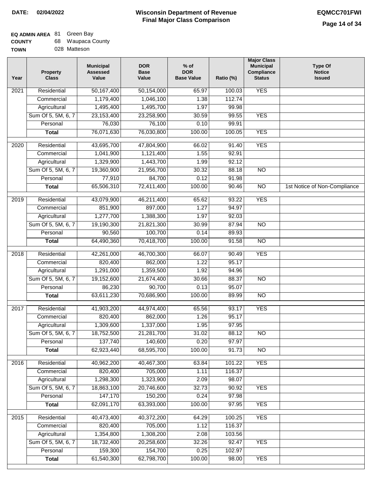I

| <b>COUNTY</b> | 68 Waupaca County |
|---------------|-------------------|
| <b>TOWN</b>   | 028 Matteson      |

| Year              | <b>Property</b><br><b>Class</b> | <b>Municipal</b><br><b>Assessed</b><br>Value | <b>DOR</b><br><b>Base</b><br>Value | $%$ of<br><b>DOR</b><br><b>Base Value</b> | Ratio (%) | <b>Major Class</b><br><b>Municipal</b><br><b>Compliance</b><br><b>Status</b> | <b>Type Of</b><br><b>Notice</b><br><b>Issued</b> |
|-------------------|---------------------------------|----------------------------------------------|------------------------------------|-------------------------------------------|-----------|------------------------------------------------------------------------------|--------------------------------------------------|
| $\overline{202}1$ | Residential                     | 50,167,400                                   | 50,154,000                         | 65.97                                     | 100.03    | <b>YES</b>                                                                   |                                                  |
|                   | Commercial                      | 1,179,400                                    | 1,046,100                          | 1.38                                      | 112.74    |                                                                              |                                                  |
|                   | Agricultural                    | 1,495,400                                    | 1,495,700                          | 1.97                                      | 99.98     |                                                                              |                                                  |
|                   | Sum Of 5, 5M, 6, 7              | 23, 153, 400                                 | 23,258,900                         | 30.59                                     | 99.55     | <b>YES</b>                                                                   |                                                  |
|                   | Personal                        | 76,030                                       | 76,100                             | 0.10                                      | 99.91     |                                                                              |                                                  |
|                   | <b>Total</b>                    | 76,071,630                                   | 76,030,800                         | 100.00                                    | 100.05    | <b>YES</b>                                                                   |                                                  |
| 2020              | Residential                     | 43,695,700                                   | 47,804,900                         | 66.02                                     | 91.40     | <b>YES</b>                                                                   |                                                  |
|                   | Commercial                      | 1,041,900                                    | 1,121,400                          | 1.55                                      | 92.91     |                                                                              |                                                  |
|                   | Agricultural                    | 1,329,900                                    | 1,443,700                          | 1.99                                      | 92.12     |                                                                              |                                                  |
|                   | Sum Of 5, 5M, 6, 7              | 19,360,900                                   | 21,956,700                         | 30.32                                     | 88.18     | $\overline{NO}$                                                              |                                                  |
|                   | Personal                        | 77,910                                       | 84,700                             | 0.12                                      | 91.98     |                                                                              |                                                  |
|                   | <b>Total</b>                    | 65,506,310                                   | 72,411,400                         | 100.00                                    | 90.46     | $\overline{NO}$                                                              | 1st Notice of Non-Compliance                     |
| 2019              | Residential                     | 43,079,900                                   | 46,211,400                         | 65.62                                     | 93.22     | <b>YES</b>                                                                   |                                                  |
|                   | Commercial                      | 851,900                                      | 897,000                            | 1.27                                      | 94.97     |                                                                              |                                                  |
|                   | Agricultural                    | 1,277,700                                    | 1,388,300                          | 1.97                                      | 92.03     |                                                                              |                                                  |
|                   | Sum Of 5, 5M, 6, 7              | 19,190,300                                   | 21,821,300                         | 30.99                                     | 87.94     | $\overline{N}$                                                               |                                                  |
|                   | Personal                        | 90,560                                       | 100,700                            | 0.14                                      | 89.93     |                                                                              |                                                  |
|                   | <b>Total</b>                    | 64,490,360                                   | 70,418,700                         | 100.00                                    | 91.58     | $\overline{NO}$                                                              |                                                  |
| 2018              | Residential                     | 42,261,000                                   | 46,700,300                         | 66.07                                     | 90.49     | <b>YES</b>                                                                   |                                                  |
|                   | Commercial                      | 820,400                                      | 862,000                            | 1.22                                      | 95.17     |                                                                              |                                                  |
|                   | Agricultural                    | 1,291,000                                    | 1,359,500                          | 1.92                                      | 94.96     |                                                                              |                                                  |
|                   | Sum Of 5, 5M, 6, 7              | 19,152,600                                   | 21,674,400                         | 30.66                                     | 88.37     | $\overline{N}$                                                               |                                                  |
|                   | Personal                        | 86,230                                       | 90,700                             | 0.13                                      | 95.07     |                                                                              |                                                  |
|                   | <b>Total</b>                    | 63,611,230                                   | 70,686,900                         | 100.00                                    | 89.99     | $\overline{10}$                                                              |                                                  |
| $\overline{2017}$ | Residential                     | 41,903,200                                   | 44,974,400                         | 65.56                                     | 93.17     | <b>YES</b>                                                                   |                                                  |
|                   | Commercial                      | 820,400                                      | 862,000                            | 1.26                                      | 95.17     |                                                                              |                                                  |
|                   | Agricultural                    | 1,309,600                                    | 1,337,000                          | 1.95                                      | 97.95     |                                                                              |                                                  |
|                   | Sum Of 5, 5M, 6, 7              | 18,752,500                                   | 21,281,700                         | 31.02                                     | 88.12     | <b>NO</b>                                                                    |                                                  |
|                   | Personal                        | 137,740                                      | 140,600                            | 0.20                                      | 97.97     |                                                                              |                                                  |
|                   | <b>Total</b>                    | 62,923,440                                   | 68,595,700                         | 100.00                                    | 91.73     | <b>NO</b>                                                                    |                                                  |
| 2016              | Residential                     | 40,962,200                                   | 40,467,300                         | 63.84                                     | 101.22    | <b>YES</b>                                                                   |                                                  |
|                   | Commercial                      | 820,400                                      | 705,000                            | 1.11                                      | 116.37    |                                                                              |                                                  |
|                   | Agricultural                    | 1,298,300                                    | 1,323,900                          | 2.09                                      | 98.07     |                                                                              |                                                  |
|                   | Sum Of 5, 5M, 6, 7              | 18,863,100                                   | 20,746,600                         | 32.73                                     | 90.92     | <b>YES</b>                                                                   |                                                  |
|                   | Personal                        | 147,170                                      | 150,200                            | 0.24                                      | 97.98     |                                                                              |                                                  |
|                   | <b>Total</b>                    | 62,091,170                                   | 63,393,000                         | 100.00                                    | 97.95     | <b>YES</b>                                                                   |                                                  |
| 2015              | Residential                     | 40,473,400                                   | 40,372,200                         | 64.29                                     | 100.25    | <b>YES</b>                                                                   |                                                  |
|                   | Commercial                      | 820,400                                      | 705,000                            | 1.12                                      | 116.37    |                                                                              |                                                  |
|                   | Agricultural                    | 1,354,800                                    | 1,308,200                          | 2.08                                      | 103.56    |                                                                              |                                                  |
|                   | Sum Of 5, 5M, 6, 7              | 18,732,400                                   | 20,258,600                         | 32.26                                     | 92.47     | <b>YES</b>                                                                   |                                                  |
|                   | Personal                        | 159,300                                      | 154,700                            | 0.25                                      | 102.97    |                                                                              |                                                  |
|                   | <b>Total</b>                    | 61,540,300                                   | 62,798,700                         | 100.00                                    | 98.00     | <b>YES</b>                                                                   |                                                  |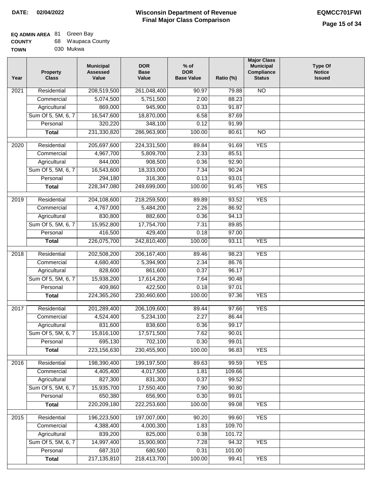### **EQ ADMIN AREA** 81 Green Bay **COUNTY**

| <b>COUNTY</b> | 68. | Waupaca County |
|---------------|-----|----------------|
| <b>TOWN</b>   |     | 030 Mukwa      |

| Year | <b>Property</b><br><b>Class</b> | <b>Municipal</b><br><b>Assessed</b><br>Value | <b>DOR</b><br><b>Base</b><br>Value | $%$ of<br><b>DOR</b><br><b>Base Value</b> | Ratio (%) | <b>Major Class</b><br><b>Municipal</b><br>Compliance<br><b>Status</b> | <b>Type Of</b><br><b>Notice</b><br><b>Issued</b> |
|------|---------------------------------|----------------------------------------------|------------------------------------|-------------------------------------------|-----------|-----------------------------------------------------------------------|--------------------------------------------------|
| 2021 | Residential                     | 208,519,500                                  | 261,048,400                        | 90.97                                     | 79.88     | $\overline{NO}$                                                       |                                                  |
|      | Commercial                      | 5,074,500                                    | 5,751,500                          | 2.00                                      | 88.23     |                                                                       |                                                  |
|      | Agricultural                    | 869,000                                      | 945,900                            | 0.33                                      | 91.87     |                                                                       |                                                  |
|      | Sum Of 5, 5M, 6, 7              | 16,547,600                                   | 18,870,000                         | 6.58                                      | 87.69     |                                                                       |                                                  |
|      | Personal                        | 320,220                                      | 348,100                            | 0.12                                      | 91.99     |                                                                       |                                                  |
|      | <b>Total</b>                    | 231,330,820                                  | 286,963,900                        | 100.00                                    | 80.61     | $\overline{NO}$                                                       |                                                  |
| 2020 | Residential                     | 205,697,600                                  | 224,331,500                        | 89.84                                     | 91.69     | <b>YES</b>                                                            |                                                  |
|      | Commercial                      | 4,967,700                                    | 5,809,700                          | 2.33                                      | 85.51     |                                                                       |                                                  |
|      | Agricultural                    | 844,000                                      | 908,500                            | 0.36                                      | 92.90     |                                                                       |                                                  |
|      | Sum Of 5, 5M, 6, 7              | 16,543,600                                   | 18,333,000                         | 7.34                                      | 90.24     |                                                                       |                                                  |
|      | Personal                        | 294,180                                      | 316,300                            | 0.13                                      | 93.01     |                                                                       |                                                  |
|      | <b>Total</b>                    | 228,347,080                                  | 249,699,000                        | 100.00                                    | 91.45     | <b>YES</b>                                                            |                                                  |
|      |                                 |                                              |                                    |                                           |           |                                                                       |                                                  |
| 2019 | Residential                     | 204,108,600                                  | 218,259,500                        | 89.89                                     | 93.52     | <b>YES</b>                                                            |                                                  |
|      | Commercial                      | 4,767,000                                    | 5,484,200                          | 2.26                                      | 86.92     |                                                                       |                                                  |
|      | Agricultural                    | 830,800                                      | 882,600                            | 0.36                                      | 94.13     |                                                                       |                                                  |
|      | Sum Of 5, 5M, 6, 7              | 15,952,800                                   | 17,754,700                         | 7.31                                      | 89.85     |                                                                       |                                                  |
|      | Personal                        | 416,500                                      | 429,400                            | 0.18                                      | 97.00     |                                                                       |                                                  |
|      | <b>Total</b>                    | 226,075,700                                  | 242,810,400                        | 100.00                                    | 93.11     | <b>YES</b>                                                            |                                                  |
| 2018 | Residential                     | 202,508,200                                  | 206, 167, 400                      | 89.46                                     | 98.23     | <b>YES</b>                                                            |                                                  |
|      | Commercial                      | 4,680,400                                    | 5,394,900                          | 2.34                                      | 86.76     |                                                                       |                                                  |
|      | Agricultural                    | 828,600                                      | 861,600                            | 0.37                                      | 96.17     |                                                                       |                                                  |
|      | Sum Of 5, 5M, 6, 7              | 15,938,200                                   | 17,614,200                         | 7.64                                      | 90.48     |                                                                       |                                                  |
|      | Personal                        | 409,860                                      | 422,500                            | 0.18                                      | 97.01     |                                                                       |                                                  |
|      | <b>Total</b>                    | 224,365,260                                  | 230,460,600                        | 100.00                                    | 97.36     | <b>YES</b>                                                            |                                                  |
| 2017 | Residential                     | 201,289,400                                  | 206,109,600                        | 89.44                                     | 97.66     | <b>YES</b>                                                            |                                                  |
|      | Commercial                      | 4,524,400                                    | 5,234,100                          | 2.27                                      | 86.44     |                                                                       |                                                  |
|      | Agricultural                    | 831,600                                      | 838,600                            | 0.36                                      | 99.17     |                                                                       |                                                  |
|      | Sum Of 5, 5M, 6, 7              | 15,816,100                                   | 17,571,500                         | 7.62                                      | 90.01     |                                                                       |                                                  |
|      | Personal                        | 695,130                                      | 702,100                            | 0.30                                      | 99.01     |                                                                       |                                                  |
|      | <b>Total</b>                    | 223,156,630                                  | 230,455,900                        | 100.00                                    | 96.83     | <b>YES</b>                                                            |                                                  |
| 2016 | Residential                     | 198,390,400                                  | 199,197,500                        | 89.63                                     | 99.59     | <b>YES</b>                                                            |                                                  |
|      | Commercial                      | 4,405,400                                    | 4,017,500                          | 1.81                                      | 109.66    |                                                                       |                                                  |
|      | Agricultural                    | 827,300                                      | 831,300                            | 0.37                                      | 99.52     |                                                                       |                                                  |
|      | Sum Of 5, 5M, 6, 7              | 15,935,700                                   | 17,550,400                         | 7.90                                      | 90.80     |                                                                       |                                                  |
|      | Personal                        | 650,380                                      | 656,900                            | 0.30                                      | 99.01     |                                                                       |                                                  |
|      | <b>Total</b>                    | 220,209,180                                  | 222,253,600                        | 100.00                                    | 99.08     | <b>YES</b>                                                            |                                                  |
| 2015 | Residential                     | 196,223,500                                  | 197,007,000                        | 90.20                                     | 99.60     | <b>YES</b>                                                            |                                                  |
|      | Commercial                      | 4,388,400                                    | 4,000,300                          | 1.83                                      | 109.70    |                                                                       |                                                  |
|      | Agricultural                    | 839,200                                      | 825,000                            | 0.38                                      | 101.72    |                                                                       |                                                  |
|      | Sum Of 5, 5M, 6, 7              | 14,997,400                                   | 15,900,900                         | 7.28                                      | 94.32     | <b>YES</b>                                                            |                                                  |
|      | Personal                        | 687,310                                      | 680,500                            | 0.31                                      | 101.00    |                                                                       |                                                  |
|      | <b>Total</b>                    | 217, 135, 810                                | 218,413,700                        | 100.00                                    | 99.41     | <b>YES</b>                                                            |                                                  |
|      |                                 |                                              |                                    |                                           |           |                                                                       |                                                  |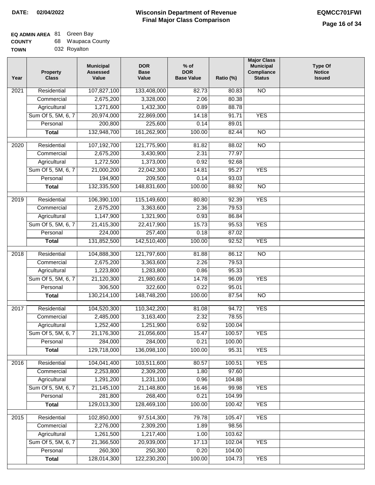| <b>COUNTY</b> | 68 Waupaca County |
|---------------|-------------------|
| <b>TOWN</b>   | 032 Royalton      |

| Year              | <b>Property</b><br><b>Class</b> | <b>Municipal</b><br><b>Assessed</b><br>Value | <b>DOR</b><br><b>Base</b><br>Value | % of<br><b>DOR</b><br><b>Base Value</b> | Ratio (%) | <b>Major Class</b><br><b>Municipal</b><br>Compliance<br><b>Status</b> | <b>Type Of</b><br><b>Notice</b><br><b>Issued</b> |
|-------------------|---------------------------------|----------------------------------------------|------------------------------------|-----------------------------------------|-----------|-----------------------------------------------------------------------|--------------------------------------------------|
| $\overline{202}1$ | Residential                     | 107,827,100                                  | 133,408,000                        | 82.73                                   | 80.83     | <b>NO</b>                                                             |                                                  |
|                   | Commercial                      | 2,675,200                                    | 3,328,000                          | 2.06                                    | 80.38     |                                                                       |                                                  |
|                   | Agricultural                    | 1,271,600                                    | 1,432,300                          | 0.89                                    | 88.78     |                                                                       |                                                  |
|                   | Sum Of 5, 5M, 6, 7              | 20,974,000                                   | 22,869,000                         | 14.18                                   | 91.71     | <b>YES</b>                                                            |                                                  |
|                   | Personal                        | 200,800                                      | 225,600                            | 0.14                                    | 89.01     |                                                                       |                                                  |
|                   | <b>Total</b>                    | 132,948,700                                  | 161,262,900                        | 100.00                                  | 82.44     | $\overline{NO}$                                                       |                                                  |
| $\overline{2020}$ | Residential                     | 107,192,700                                  | 121,775,900                        | 81.82                                   | 88.02     | N <sub>O</sub>                                                        |                                                  |
|                   | Commercial                      | 2,675,200                                    | 3,430,900                          | 2.31                                    | 77.97     |                                                                       |                                                  |
|                   | Agricultural                    | 1,272,500                                    | 1,373,000                          | 0.92                                    | 92.68     |                                                                       |                                                  |
|                   | Sum Of 5, 5M, 6, 7              | 21,000,200                                   | 22,042,300                         | 14.81                                   | 95.27     | <b>YES</b>                                                            |                                                  |
|                   | Personal                        | 194,900                                      | 209,500                            | 0.14                                    | 93.03     |                                                                       |                                                  |
|                   | <b>Total</b>                    | 132,335,500                                  | 148,831,600                        | 100.00                                  | 88.92     | $\overline{NO}$                                                       |                                                  |
| 2019              | Residential                     | 106,390,100                                  | 115,149,600                        | 80.80                                   | 92.39     | <b>YES</b>                                                            |                                                  |
|                   | Commercial                      | 2,675,200                                    | 3,363,600                          | 2.36                                    | 79.53     |                                                                       |                                                  |
|                   | Agricultural                    | 1,147,900                                    | 1,321,900                          | 0.93                                    | 86.84     |                                                                       |                                                  |
|                   | Sum Of 5, 5M, 6, 7              | 21,415,300                                   | 22,417,900                         | 15.73                                   | 95.53     | <b>YES</b>                                                            |                                                  |
|                   | Personal                        | 224,000                                      | 257,400                            | 0.18                                    | 87.02     |                                                                       |                                                  |
|                   | <b>Total</b>                    | 131,852,500                                  | 142,510,400                        | 100.00                                  | 92.52     | <b>YES</b>                                                            |                                                  |
| 2018              | Residential                     | 104,888,300                                  | 121,797,600                        | 81.88                                   | 86.12     | $\overline{10}$                                                       |                                                  |
|                   | Commercial                      | 2,675,200                                    | 3,363,600                          | 2.26                                    | 79.53     |                                                                       |                                                  |
|                   | Agricultural                    | 1,223,800                                    | 1,283,800                          | 0.86                                    | 95.33     |                                                                       |                                                  |
|                   | Sum Of 5, 5M, 6, 7              | 21,120,300                                   | 21,980,600                         | 14.78                                   | 96.09     | <b>YES</b>                                                            |                                                  |
|                   | Personal                        | 306,500                                      | 322,600                            | 0.22                                    | 95.01     |                                                                       |                                                  |
|                   | <b>Total</b>                    | 130,214,100                                  | 148,748,200                        | 100.00                                  | 87.54     | <b>NO</b>                                                             |                                                  |
| $\overline{2017}$ | Residential                     | 104,520,300                                  | 110,342,200                        | 81.08                                   | 94.72     | <b>YES</b>                                                            |                                                  |
|                   | Commercial                      | 2,485,000                                    | 3,163,400                          | 2.32                                    | 78.55     |                                                                       |                                                  |
|                   | Agricultural                    | 1,252,400                                    | 1,251,900                          | 0.92                                    | 100.04    |                                                                       |                                                  |
|                   | Sum Of 5, 5M, 6, 7              | 21,176,300                                   | 21,056,600                         | 15.47                                   | 100.57    | <b>YES</b>                                                            |                                                  |
|                   | Personal                        | 284,000                                      | 284,000                            | 0.21                                    | 100.00    |                                                                       |                                                  |
|                   | <b>Total</b>                    | 129,718,000                                  | 136,098,100                        | 100.00                                  | 95.31     | <b>YES</b>                                                            |                                                  |
| 2016              | Residential                     | 104,041,400                                  | 103,511,600                        | 80.57                                   | 100.51    | <b>YES</b>                                                            |                                                  |
|                   | Commercial                      | 2,253,800                                    | 2,309,200                          | 1.80                                    | 97.60     |                                                                       |                                                  |
|                   | Agricultural                    | 1,291,200                                    | 1,231,100                          | 0.96                                    | 104.88    |                                                                       |                                                  |
|                   | Sum Of 5, 5M, 6, 7              | 21, 145, 100                                 | 21,148,800                         | 16.46                                   | 99.98     | <b>YES</b>                                                            |                                                  |
|                   | Personal                        | 281,800                                      | 268,400                            | 0.21                                    | 104.99    |                                                                       |                                                  |
|                   | <b>Total</b>                    | 129,013,300                                  | 128,469,100                        | 100.00                                  | 100.42    | <b>YES</b>                                                            |                                                  |
| 2015              | Residential                     | 102,850,000                                  | 97,514,300                         | 79.78                                   | 105.47    | <b>YES</b>                                                            |                                                  |
|                   | Commercial                      | 2,276,000                                    | 2,309,200                          | 1.89                                    | 98.56     |                                                                       |                                                  |
|                   | Agricultural                    | 1,261,500                                    | 1,217,400                          | 1.00                                    | 103.62    |                                                                       |                                                  |
|                   | Sum Of 5, 5M, 6, 7              | 21,366,500                                   | 20,939,000                         | 17.13                                   | 102.04    | <b>YES</b>                                                            |                                                  |
|                   | Personal                        | 260,300                                      | 250,300                            | 0.20                                    | 104.00    |                                                                       |                                                  |
|                   | <b>Total</b>                    | 128,014,300                                  | 122,230,200                        | 100.00                                  | 104.73    | <b>YES</b>                                                            |                                                  |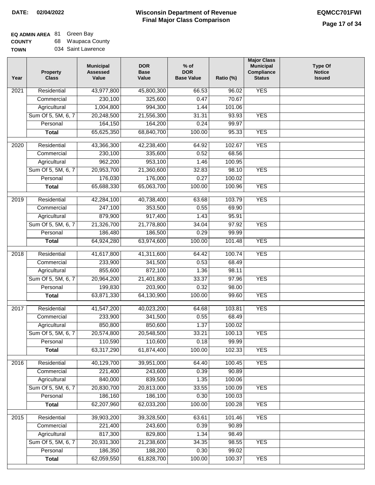٦

# **EQ ADMIN AREA** 81 Green Bay

**COUNTY TOWN** 68 Waupaca County 034 Saint Lawrence

| Year | Property<br><b>Class</b> | <b>Municipal</b><br><b>Assessed</b><br>Value | <b>DOR</b><br><b>Base</b><br>Value | $%$ of<br><b>DOR</b><br><b>Base Value</b> | Ratio (%) | <b>Major Class</b><br><b>Municipal</b><br>Compliance<br><b>Status</b> | <b>Type Of</b><br><b>Notice</b><br><b>Issued</b> |
|------|--------------------------|----------------------------------------------|------------------------------------|-------------------------------------------|-----------|-----------------------------------------------------------------------|--------------------------------------------------|
| 2021 | Residential              | 43,977,800                                   | 45,800,300                         | 66.53                                     | 96.02     | <b>YES</b>                                                            |                                                  |
|      | Commercial               | 230,100                                      | 325,600                            | 0.47                                      | 70.67     |                                                                       |                                                  |
|      | Agricultural             | 1,004,800                                    | 994,300                            | 1.44                                      | 101.06    |                                                                       |                                                  |
|      | Sum Of 5, 5M, 6, 7       | 20,248,500                                   | 21,556,300                         | 31.31                                     | 93.93     | <b>YES</b>                                                            |                                                  |
|      | Personal                 | 164,150                                      | 164,200                            | 0.24                                      | 99.97     |                                                                       |                                                  |
|      | <b>Total</b>             | 65,625,350                                   | 68,840,700                         | 100.00                                    | 95.33     | <b>YES</b>                                                            |                                                  |
| 2020 | Residential              | 43,366,300                                   | 42,238,400                         | 64.92                                     | 102.67    | <b>YES</b>                                                            |                                                  |
|      | Commercial               | 230,100                                      | 335,600                            | 0.52                                      | 68.56     |                                                                       |                                                  |
|      | Agricultural             | 962,200                                      | 953,100                            | 1.46                                      | 100.95    |                                                                       |                                                  |
|      | Sum Of 5, 5M, 6, 7       | 20,953,700                                   | 21,360,600                         | 32.83                                     | 98.10     | <b>YES</b>                                                            |                                                  |
|      | Personal                 | 176,030                                      | 176,000                            | 0.27                                      | 100.02    |                                                                       |                                                  |
|      | <b>Total</b>             | 65,688,330                                   | 65,063,700                         | 100.00                                    | 100.96    | <b>YES</b>                                                            |                                                  |
| 2019 | Residential              | 42,284,100                                   | 40,738,400                         | 63.68                                     | 103.79    | <b>YES</b>                                                            |                                                  |
|      | Commercial               | 247,100                                      | 353,500                            | 0.55                                      | 69.90     |                                                                       |                                                  |
|      | Agricultural             | 879,900                                      | 917,400                            | 1.43                                      | 95.91     |                                                                       |                                                  |
|      | Sum Of 5, 5M, 6, 7       | 21,326,700                                   | 21,778,800                         | 34.04                                     | 97.92     | <b>YES</b>                                                            |                                                  |
|      | Personal                 | 186,480                                      | 186,500                            | 0.29                                      | 99.99     |                                                                       |                                                  |
|      | <b>Total</b>             | 64,924,280                                   | 63,974,600                         | 100.00                                    | 101.48    | <b>YES</b>                                                            |                                                  |
|      |                          |                                              |                                    |                                           |           |                                                                       |                                                  |
| 2018 | Residential              | 41,617,800                                   | 41,311,600                         | 64.42                                     | 100.74    | <b>YES</b>                                                            |                                                  |
|      | Commercial               | 233,900                                      | 341,500                            | 0.53                                      | 68.49     |                                                                       |                                                  |
|      | Agricultural             | 855,600                                      | 872,100                            | 1.36                                      | 98.11     |                                                                       |                                                  |
|      | Sum Of 5, 5M, 6, 7       | 20,964,200                                   | 21,401,800                         | 33.37                                     | 97.96     | <b>YES</b>                                                            |                                                  |
|      | Personal                 | 199,830                                      | 203,900                            | 0.32                                      | 98.00     |                                                                       |                                                  |
|      | <b>Total</b>             | 63,871,330                                   | 64,130,900                         | 100.00                                    | 99.60     | <b>YES</b>                                                            |                                                  |
| 2017 | Residential              | 41,547,200                                   | 40,023,200                         | 64.68                                     | 103.81    | <b>YES</b>                                                            |                                                  |
|      | Commercial               | 233,900                                      | 341,500                            | 0.55                                      | 68.49     |                                                                       |                                                  |
|      | Agricultural             | 850,800                                      | 850,600                            | 1.37                                      | 100.02    |                                                                       |                                                  |
|      | Sum Of 5, 5M, 6, 7       | 20,574,800                                   | 20,548,500                         | 33.21                                     | 100.13    | <b>YES</b>                                                            |                                                  |
|      | Personal                 | 110,590                                      | 110,600                            | 0.18                                      | 99.99     |                                                                       |                                                  |
|      | <b>Total</b>             | 63,317,290                                   | 61,874,400                         | 100.00                                    | 102.33    | <b>YES</b>                                                            |                                                  |
| 2016 | Residential              | 40,129,700                                   | 39,951,000                         | 64.40                                     | 100.45    | <b>YES</b>                                                            |                                                  |
|      | Commercial               | 221,400                                      | 243,600                            | 0.39                                      | 90.89     |                                                                       |                                                  |
|      | Agricultural             | 840,000                                      | 839,500                            | 1.35                                      | 100.06    |                                                                       |                                                  |
|      | Sum Of 5, 5M, 6, 7       | 20,830,700                                   | 20,813,000                         | 33.55                                     | 100.09    | <b>YES</b>                                                            |                                                  |
|      | Personal                 | 186,160                                      | 186,100                            | 0.30                                      | 100.03    |                                                                       |                                                  |
|      | <b>Total</b>             | 62,207,960                                   | 62,033,200                         | 100.00                                    | 100.28    | <b>YES</b>                                                            |                                                  |
|      |                          |                                              |                                    |                                           |           |                                                                       |                                                  |
| 2015 | Residential              | 39,903,200                                   | 39,328,500                         | 63.61                                     | 101.46    | <b>YES</b>                                                            |                                                  |
|      | Commercial               | 221,400                                      | 243,600                            | 0.39                                      | 90.89     |                                                                       |                                                  |
|      | Agricultural             | 817,300                                      | 829,800                            | 1.34                                      | 98.49     |                                                                       |                                                  |
|      | Sum Of 5, 5M, 6, 7       | 20,931,300                                   | 21,238,600                         | 34.35                                     | 98.55     | <b>YES</b>                                                            |                                                  |
|      | Personal                 | 186,350                                      | 188,200                            | 0.30                                      | 99.02     | <b>YES</b>                                                            |                                                  |
|      | <b>Total</b>             | 62,059,550                                   | 61,828,700                         | 100.00                                    | 100.37    |                                                                       |                                                  |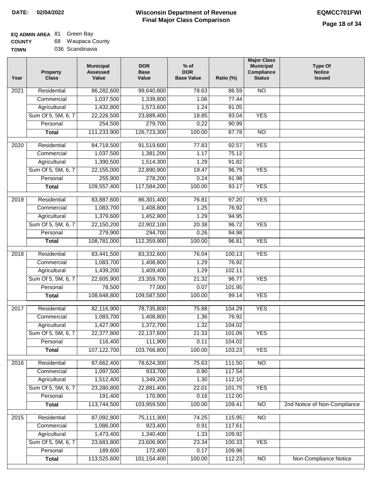| <b>COUNTY</b> | 68. | Waupaca County  |
|---------------|-----|-----------------|
| <b>TOWN</b>   |     | 036 Scandinavia |

| Year | <b>Property</b><br><b>Class</b> | <b>Municipal</b><br><b>Assessed</b><br>Value | <b>DOR</b><br><b>Base</b><br>Value | $%$ of<br><b>DOR</b><br><b>Base Value</b> | Ratio (%) | <b>Major Class</b><br><b>Municipal</b><br>Compliance<br><b>Status</b> | <b>Type Of</b><br><b>Notice</b><br><b>Issued</b> |
|------|---------------------------------|----------------------------------------------|------------------------------------|-------------------------------------------|-----------|-----------------------------------------------------------------------|--------------------------------------------------|
| 2021 | Residential                     | 86,282,600                                   | 99,640,800                         | 78.63                                     | 86.59     | <b>NO</b>                                                             |                                                  |
|      | Commercial                      | 1,037,500                                    | 1,339,800                          | 1.06                                      | 77.44     |                                                                       |                                                  |
|      | Agricultural                    | 1,432,800                                    | 1,573,600                          | 1.24                                      | 91.05     |                                                                       |                                                  |
|      | Sum Of 5, 5M, 6, 7              | 22,226,500                                   | 23,889,400                         | 18.85                                     | 93.04     | <b>YES</b>                                                            |                                                  |
|      | Personal                        | 254,500                                      | 279,700                            | 0.22                                      | 90.99     |                                                                       |                                                  |
|      | <b>Total</b>                    | 111,233,900                                  | 126,723,300                        | 100.00                                    | 87.78     | $\overline{NO}$                                                       |                                                  |
| 2020 | Residential                     | 84,718,500                                   | 91,519,600                         | 77.83                                     | 92.57     | <b>YES</b>                                                            |                                                  |
|      | Commercial                      | 1,037,500                                    | 1,381,200                          | 1.17                                      | 75.12     |                                                                       |                                                  |
|      | Agricultural                    | 1,390,500                                    | 1,514,300                          | 1.29                                      | 91.82     |                                                                       |                                                  |
|      | Sum Of 5, 5M, 6, 7              | 22,155,000                                   | 22,890,900                         | 19.47                                     | 96.79     | <b>YES</b>                                                            |                                                  |
|      | Personal                        | 255,900                                      | 278,200                            | 0.24                                      | 91.98     |                                                                       |                                                  |
|      | <b>Total</b>                    | 109,557,400                                  | 117,584,200                        | 100.00                                    | 93.17     | <b>YES</b>                                                            |                                                  |
| 2019 | Residential                     | 83,887,600                                   | 86,301,400                         | 76.81                                     | 97.20     | <b>YES</b>                                                            |                                                  |
|      | Commercial                      | 1,083,700                                    | 1,408,800                          | 1.25                                      | 76.92     |                                                                       |                                                  |
|      | Agricultural                    | 1,379,600                                    | 1,452,900                          | 1.29                                      | 94.95     |                                                                       |                                                  |
|      | Sum Of 5, 5M, 6, 7              | 22,150,200                                   | 22,902,100                         | 20.38                                     | 96.72     | <b>YES</b>                                                            |                                                  |
|      | Personal                        | 279,900                                      | 294,700                            | 0.26                                      | 94.98     |                                                                       |                                                  |
|      | <b>Total</b>                    | 108,781,000                                  | 112,359,900                        | 100.00                                    | 96.81     | <b>YES</b>                                                            |                                                  |
|      |                                 |                                              |                                    |                                           |           |                                                                       |                                                  |
| 2018 | Residential                     | 83,441,500                                   | 83,332,600                         | 76.04                                     | 100.13    | <b>YES</b>                                                            |                                                  |
|      | Commercial                      | 1,083,700                                    | 1,408,800                          | 1.29                                      | 76.92     |                                                                       |                                                  |
|      | Agricultural                    | 1,439,200                                    | 1,409,400                          | 1.29                                      | 102.11    |                                                                       |                                                  |
|      | Sum Of 5, 5M, 6, 7              | 22,605,900                                   | 23,359,700                         | 21.32                                     | 96.77     | <b>YES</b>                                                            |                                                  |
|      | Personal                        | 78,500                                       | 77,000                             | 0.07                                      | 101.95    |                                                                       |                                                  |
|      | <b>Total</b>                    | 108,648,800                                  | 109,587,500                        | 100.00                                    | 99.14     | <b>YES</b>                                                            |                                                  |
| 2017 | Residential                     | 82,116,900                                   | 78,735,800                         | 75.88                                     | 104.29    | <b>YES</b>                                                            |                                                  |
|      | Commercial                      | 1,083,700                                    | 1,408,800                          | 1.36                                      | 76.92     |                                                                       |                                                  |
|      | Agricultural                    | 1,427,900                                    | 1,372,700                          | 1.32                                      | 104.02    |                                                                       |                                                  |
|      | Sum Of 5, 5M, 6, 7              | 22,377,800                                   | 22,137,600                         | 21.33                                     | 101.09    | <b>YES</b>                                                            |                                                  |
|      | Personal                        | 116,400                                      | 111,900                            | 0.11                                      | 104.02    |                                                                       |                                                  |
|      | <b>Total</b>                    | 107,122,700                                  | 103,766,800                        | 100.00                                    | 103.23    | <b>YES</b>                                                            |                                                  |
| 2016 | Residential                     | 87,662,400                                   | 78,624,300                         | 75.63                                     | 111.50    | $\overline{NO}$                                                       |                                                  |
|      | Commercial                      | 1,097,500                                    | 933,700                            | 0.90                                      | 117.54    |                                                                       |                                                  |
|      | Agricultural                    | 1,512,400                                    | 1,349,200                          | 1.30                                      | 112.10    |                                                                       |                                                  |
|      | Sum Of 5, 5M, 6, 7              | 23,280,800                                   | 22,881,400                         | 22.01                                     | 101.75    | <b>YES</b>                                                            |                                                  |
|      | Personal                        | 191,400                                      | 170,900                            | 0.16                                      | 112.00    |                                                                       |                                                  |
|      | <b>Total</b>                    | 113,744,500                                  | 103,959,500                        | 100.00                                    | 109.41    | $\overline{NO}$                                                       | 2nd Notice of Non-Compliance                     |
| 2015 | Residential                     | 87,092,800                                   | 75,111,300                         | 74.25                                     | 115.95    | $\overline{NO}$                                                       |                                                  |
|      | Commercial                      | 1,086,000                                    | 923,400                            | 0.91                                      | 117.61    |                                                                       |                                                  |
|      | Agricultural                    | 1,473,400                                    | 1,340,400                          | 1.33                                      | 109.92    |                                                                       |                                                  |
|      | Sum Of 5, 5M, 6, 7              | 23,683,800                                   | 23,606,900                         | 23.34                                     | 100.33    | <b>YES</b>                                                            |                                                  |
|      | Personal                        | 189,600                                      | 172,400                            | 0.17                                      | 109.98    |                                                                       |                                                  |
|      | <b>Total</b>                    | 113,525,600                                  | 101,154,400                        | 100.00                                    | 112.23    | NO                                                                    | <b>Non-Compliance Notice</b>                     |
|      |                                 |                                              |                                    |                                           |           |                                                                       |                                                  |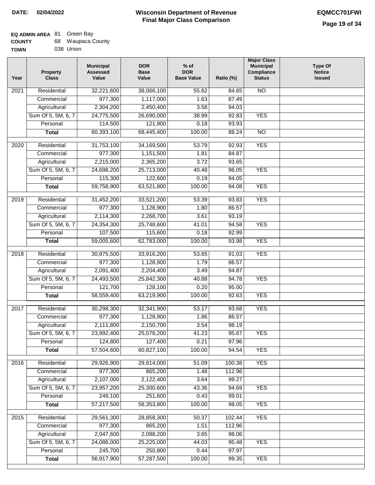#### **EQ ADMIN AREA COUNTY** 68 Waupaca County Green Bay

| <b>TOWN</b> | 038 Union |
|-------------|-----------|
|             |           |

| Year              | <b>Property</b><br><b>Class</b> | <b>Municipal</b><br><b>Assessed</b><br>Value | <b>DOR</b><br><b>Base</b><br>Value | $%$ of<br><b>DOR</b><br><b>Base Value</b> | Ratio (%) | <b>Major Class</b><br><b>Municipal</b><br>Compliance<br><b>Status</b> | Type Of<br><b>Notice</b><br><b>Issued</b> |
|-------------------|---------------------------------|----------------------------------------------|------------------------------------|-------------------------------------------|-----------|-----------------------------------------------------------------------|-------------------------------------------|
| 2021              | Residential                     | 32,221,600                                   | 38,066,100                         | 55.62                                     | 84.65     | <b>NO</b>                                                             |                                           |
|                   | Commercial                      | 977,300                                      | 1,117,000                          | 1.63                                      | 87.49     |                                                                       |                                           |
|                   | Agricultural                    | 2,304,200                                    | 2,450,400                          | 3.58                                      | 94.03     |                                                                       |                                           |
|                   | Sum Of 5, 5M, 6, 7              | 24,775,500                                   | 26,690,000                         | 38.99                                     | 92.83     | <b>YES</b>                                                            |                                           |
|                   | Personal                        | 114,500                                      | 121,900                            | 0.18                                      | 93.93     |                                                                       |                                           |
|                   | <b>Total</b>                    | 60,393,100                                   | 68,445,400                         | 100.00                                    | 88.24     | $\overline{NO}$                                                       |                                           |
| 2020              | Residential                     | 31,753,100                                   | 34,169,500                         | 53.79                                     | 92.93     | <b>YES</b>                                                            |                                           |
|                   | Commercial                      | 977,300                                      | 1,151,500                          | 1.81                                      | 84.87     |                                                                       |                                           |
|                   | Agricultural                    | 2,215,000                                    | 2,365,200                          | 3.72                                      | 93.65     |                                                                       |                                           |
|                   | Sum Of 5, 5M, 6, 7              | 24,698,200                                   | 25,713,000                         | 40.48                                     | 96.05     | <b>YES</b>                                                            |                                           |
|                   | Personal                        | 115,300                                      | 122,600                            | 0.19                                      | 94.05     |                                                                       |                                           |
|                   | <b>Total</b>                    | 59,758,900                                   | 63,521,800                         | 100.00                                    | 94.08     | <b>YES</b>                                                            |                                           |
|                   |                                 |                                              |                                    |                                           |           |                                                                       |                                           |
| 2019              | Residential                     | 31,452,200                                   | 33,521,200                         | 53.39                                     | 93.83     | <b>YES</b>                                                            |                                           |
|                   | Commercial                      | 977,300                                      | 1,128,900                          | 1.80                                      | 86.57     |                                                                       |                                           |
|                   | Agricultural                    | 2,114,300                                    | 2,268,700                          | 3.61                                      | 93.19     |                                                                       |                                           |
|                   | Sum Of 5, 5M, 6, 7              | 24,354,300                                   | 25,748,600                         | 41.01                                     | 94.58     | <b>YES</b>                                                            |                                           |
|                   | Personal                        | 107,500                                      | 115,600                            | 0.18                                      | 92.99     |                                                                       |                                           |
|                   | <b>Total</b>                    | 59,005,600                                   | 62,783,000                         | 100.00                                    | 93.98     | <b>YES</b>                                                            |                                           |
| 2018              | Residential                     | 30,875,500                                   | 33,916,200                         | 53.65                                     | 91.03     | <b>YES</b>                                                            |                                           |
|                   | Commercial                      | 977,300                                      | 1,128,900                          | 1.79                                      | 86.57     |                                                                       |                                           |
|                   | Agricultural                    | 2,091,400                                    | 2,204,400                          | 3.49                                      | 94.87     |                                                                       |                                           |
|                   | Sum Of 5, 5M, 6, 7              | 24,493,500                                   | 25,842,300                         | 40.88                                     | 94.78     | <b>YES</b>                                                            |                                           |
|                   | Personal                        | 121,700                                      | 128,100                            | 0.20                                      | 95.00     |                                                                       |                                           |
|                   | <b>Total</b>                    | 58,559,400                                   | 63,219,900                         | 100.00                                    | 92.63     | <b>YES</b>                                                            |                                           |
| $\overline{20}17$ | Residential                     | 30,298,300                                   | 32,341,900                         | 53.17                                     | 93.68     | <b>YES</b>                                                            |                                           |
|                   | Commercial                      | 977,300                                      | 1,128,900                          | 1.86                                      | 86.57     |                                                                       |                                           |
|                   | Agricultural                    | 2,111,800                                    | 2,150,700                          | 3.54                                      | 98.19     |                                                                       |                                           |
|                   | Sum Of 5, 5M, 6, 7              | 23,992,400                                   | 25,078,200                         | 41.23                                     | 95.67     | <b>YES</b>                                                            |                                           |
|                   | Personal                        | 124,800                                      | 127,400                            | 0.21                                      | 97.96     |                                                                       |                                           |
|                   | <b>Total</b>                    | 57,504,600                                   | 60,827,100                         | 100.00                                    | 94.54     | <b>YES</b>                                                            |                                           |
|                   |                                 |                                              |                                    |                                           |           |                                                                       |                                           |
| 2016              | Residential                     | 29,926,900                                   | 29,814,000                         | 51.09                                     | 100.38    | <b>YES</b>                                                            |                                           |
|                   | Commercial                      | 977,300                                      | 865,200                            | 1.48                                      | 112.96    |                                                                       |                                           |
|                   | Agricultural                    | 2,107,000                                    | 2,122,400                          | 3.64                                      | 99.27     |                                                                       |                                           |
|                   | Sum Of 5, 5M, 6, 7              | 23,957,200                                   | 25,300,600                         | 43.36                                     | 94.69     | <b>YES</b>                                                            |                                           |
|                   | Personal                        | 249,100                                      | 251,600                            | 0.43                                      | 99.01     |                                                                       |                                           |
|                   | <b>Total</b>                    | 57,217,500                                   | 58,353,800                         | 100.00                                    | 98.05     | <b>YES</b>                                                            |                                           |
| 2015              | Residential                     | 29,561,300                                   | 28,858,300                         | 50.37                                     | 102.44    | <b>YES</b>                                                            |                                           |
|                   | Commercial                      | 977,300                                      | 865,200                            | 1.51                                      | 112.96    |                                                                       |                                           |
|                   | Agricultural                    | 2,047,600                                    | 2,088,200                          | 3.65                                      | 98.06     |                                                                       |                                           |
|                   | Sum Of 5, 5M, 6, 7              | 24,086,000                                   | 25,225,000                         | 44.03                                     | 95.48     | <b>YES</b>                                                            |                                           |
|                   | Personal                        | 245,700                                      | 250,800                            | 0.44                                      | 97.97     |                                                                       |                                           |
|                   | <b>Total</b>                    | 56,917,900                                   | 57,287,500                         | 100.00                                    | 99.35     | <b>YES</b>                                                            |                                           |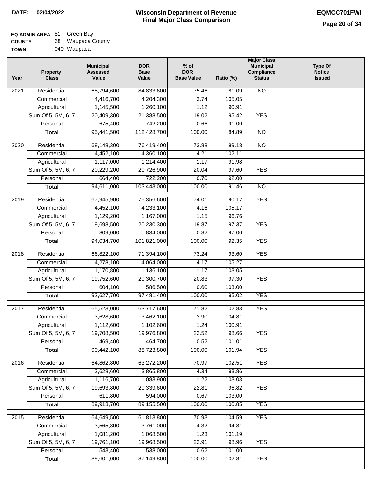| <b>COUNTY</b> | 68. | Waupaca County |
|---------------|-----|----------------|
| <b>TOWN</b>   |     | 040 Waupaca    |

| Year             | <b>Property</b><br><b>Class</b> | <b>Municipal</b><br><b>Assessed</b><br>Value | <b>DOR</b><br><b>Base</b><br>Value | $%$ of<br><b>DOR</b><br><b>Base Value</b> | Ratio (%) | <b>Major Class</b><br><b>Municipal</b><br>Compliance<br><b>Status</b> | <b>Type Of</b><br><b>Notice</b><br><b>Issued</b> |
|------------------|---------------------------------|----------------------------------------------|------------------------------------|-------------------------------------------|-----------|-----------------------------------------------------------------------|--------------------------------------------------|
| 2021             | Residential                     | 68,794,600                                   | 84,833,600                         | 75.46                                     | 81.09     | <b>NO</b>                                                             |                                                  |
|                  | Commercial                      | 4,416,700                                    | 4,204,300                          | 3.74                                      | 105.05    |                                                                       |                                                  |
|                  | Agricultural                    | 1,145,500                                    | 1,260,100                          | 1.12                                      | 90.91     |                                                                       |                                                  |
|                  | Sum Of 5, 5M, 6, 7              | 20,409,300                                   | 21,388,500                         | 19.02                                     | 95.42     | <b>YES</b>                                                            |                                                  |
|                  | Personal                        | 675,400                                      | 742,200                            | 0.66                                      | 91.00     |                                                                       |                                                  |
|                  | <b>Total</b>                    | 95,441,500                                   | 112,428,700                        | 100.00                                    | 84.89     | $\overline{NO}$                                                       |                                                  |
| $\frac{1}{2020}$ | Residential                     | 68,148,300                                   | 76,419,400                         | 73.88                                     | 89.18     | $\overline{NO}$                                                       |                                                  |
|                  | Commercial                      | 4,452,100                                    | 4,360,100                          | 4.21                                      | 102.11    |                                                                       |                                                  |
|                  | Agricultural                    | 1,117,000                                    | 1,214,400                          | 1.17                                      | 91.98     |                                                                       |                                                  |
|                  | Sum Of 5, 5M, 6, 7              | 20,229,200                                   | 20,726,900                         | 20.04                                     | 97.60     | <b>YES</b>                                                            |                                                  |
|                  | Personal                        | 664,400                                      | 722,200                            | 0.70                                      | 92.00     |                                                                       |                                                  |
|                  | <b>Total</b>                    | 94,611,000                                   | 103,443,000                        | 100.00                                    | 91.46     | <b>NO</b>                                                             |                                                  |
| $\frac{1}{2019}$ | Residential                     | 67,945,900                                   | 75,356,600                         | 74.01                                     | 90.17     | <b>YES</b>                                                            |                                                  |
|                  | Commercial                      | 4,452,100                                    | 4,233,100                          | 4.16                                      | 105.17    |                                                                       |                                                  |
|                  | Agricultural                    | 1,129,200                                    | 1,167,000                          | 1.15                                      | 96.76     |                                                                       |                                                  |
|                  | Sum Of 5, 5M, 6, 7              | 19,698,500                                   | 20,230,300                         | 19.87                                     | 97.37     | <b>YES</b>                                                            |                                                  |
|                  | Personal                        | 809,000                                      | 834,000                            | 0.82                                      | 97.00     |                                                                       |                                                  |
|                  | <b>Total</b>                    | 94,034,700                                   | 101,821,000                        | 100.00                                    | 92.35     | <b>YES</b>                                                            |                                                  |
|                  |                                 |                                              |                                    |                                           |           |                                                                       |                                                  |
| 2018             | Residential                     | 66,822,100                                   | 71,394,100                         | 73.24                                     | 93.60     | <b>YES</b>                                                            |                                                  |
|                  | Commercial                      | 4,278,100                                    | 4,064,000                          | 4.17                                      | 105.27    |                                                                       |                                                  |
|                  | Agricultural                    | 1,170,800                                    | 1,136,100                          | 1.17                                      | 103.05    |                                                                       |                                                  |
|                  | Sum Of 5, 5M, 6, 7              | 19,752,600                                   | 20,300,700                         | 20.83                                     | 97.30     | <b>YES</b>                                                            |                                                  |
|                  | Personal                        | 604,100                                      | 586,500                            | 0.60                                      | 103.00    |                                                                       |                                                  |
|                  | <b>Total</b>                    | 92,627,700                                   | 97,481,400                         | 100.00                                    | 95.02     | <b>YES</b>                                                            |                                                  |
| 2017             | Residential                     | 65,523,000                                   | 63,717,600                         | 71.82                                     | 102.83    | <b>YES</b>                                                            |                                                  |
|                  | Commercial                      | 3,628,600                                    | 3,462,100                          | 3.90                                      | 104.81    |                                                                       |                                                  |
|                  | Agricultural                    | 1,112,600                                    | 1,102,600                          | 1.24                                      | 100.91    |                                                                       |                                                  |
|                  | Sum Of 5, 5M, 6, 7              | 19,708,500                                   | 19,976,800                         | 22.52                                     | 98.66     | <b>YES</b>                                                            |                                                  |
|                  | Personal                        | 469,400                                      | 464,700                            | 0.52                                      | 101.01    |                                                                       |                                                  |
|                  | <b>Total</b>                    | 90,442,100                                   | 88,723,800                         | 100.00                                    | 101.94    | <b>YES</b>                                                            |                                                  |
| 2016             | Residential                     | 64,862,800                                   | 63,272,200                         | 70.97                                     | 102.51    | <b>YES</b>                                                            |                                                  |
|                  | Commercial                      | 3,628,600                                    | 3,865,800                          | 4.34                                      | 93.86     |                                                                       |                                                  |
|                  | Agricultural                    | 1,116,700                                    | 1,083,900                          | 1.22                                      | 103.03    |                                                                       |                                                  |
|                  | Sum Of 5, 5M, 6, 7              | 19,693,800                                   | 20,339,600                         | 22.81                                     | 96.82     | <b>YES</b>                                                            |                                                  |
|                  | Personal                        | 611,800                                      | 594,000                            | 0.67                                      | 103.00    |                                                                       |                                                  |
|                  | <b>Total</b>                    | 89,913,700                                   | 89,155,500                         | 100.00                                    | 100.85    | <b>YES</b>                                                            |                                                  |
|                  |                                 |                                              |                                    |                                           |           |                                                                       |                                                  |
| 2015             | Residential                     | 64,649,500                                   | 61,813,800                         | 70.93                                     | 104.59    | <b>YES</b>                                                            |                                                  |
|                  | Commercial                      | 3,565,800                                    | 3,761,000                          | 4.32                                      | 94.81     |                                                                       |                                                  |
|                  | Agricultural                    | 1,081,200                                    | 1,068,500                          | 1.23                                      | 101.19    |                                                                       |                                                  |
|                  | Sum Of 5, 5M, 6, 7              | 19,761,100                                   | 19,968,500                         | 22.91                                     | 98.96     | <b>YES</b>                                                            |                                                  |
|                  | Personal                        | 543,400                                      | 538,000                            | 0.62                                      | 101.00    |                                                                       |                                                  |
|                  | <b>Total</b>                    | 89,601,000                                   | 87,149,800                         | 100.00                                    | 102.81    | <b>YES</b>                                                            |                                                  |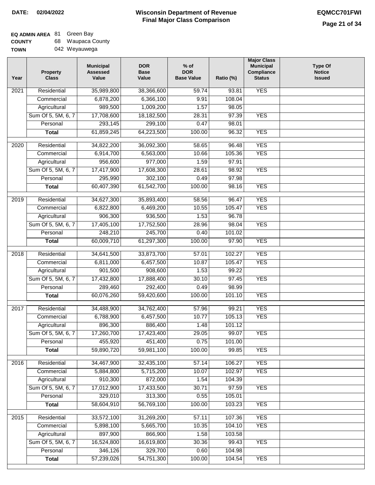#### **Wisconsin Department of Revenue Final Major Class Comparison DATE: 02/04/2022 EQMCC701FWI**

# **EQ ADMIN AREA** 81 Green Bay

| <b>COUNTY</b> | 68. | Waupaca County |
|---------------|-----|----------------|
| <b>TOWN</b>   |     | 042 Weyauwega  |

|  | 042 Weyauwega |
|--|---------------|
|--|---------------|

| Year              | <b>Property</b><br><b>Class</b> | <b>Municipal</b><br><b>Assessed</b><br>Value | <b>DOR</b><br><b>Base</b><br>Value | $%$ of<br><b>DOR</b><br><b>Base Value</b> | Ratio (%) | <b>Major Class</b><br><b>Municipal</b><br>Compliance<br><b>Status</b> | <b>Type Of</b><br><b>Notice</b><br><b>Issued</b> |
|-------------------|---------------------------------|----------------------------------------------|------------------------------------|-------------------------------------------|-----------|-----------------------------------------------------------------------|--------------------------------------------------|
| 2021              | Residential                     | 35,989,800                                   | 38,366,600                         | 59.74                                     | 93.81     | <b>YES</b>                                                            |                                                  |
|                   | Commercial                      | 6,878,200                                    | 6,366,100                          | 9.91                                      | 108.04    |                                                                       |                                                  |
|                   | Agricultural                    | 989,500                                      | 1,009,200                          | 1.57                                      | 98.05     |                                                                       |                                                  |
|                   | Sum Of 5, 5M, 6, 7              | 17,708,600                                   | 18,182,500                         | 28.31                                     | 97.39     | <b>YES</b>                                                            |                                                  |
|                   | Personal                        | 293,145                                      | 299,100                            | 0.47                                      | 98.01     |                                                                       |                                                  |
|                   | <b>Total</b>                    | 61,859,245                                   | 64,223,500                         | 100.00                                    | 96.32     | <b>YES</b>                                                            |                                                  |
| $\overline{2020}$ | Residential                     | 34,822,200                                   | 36,092,300                         | 58.65                                     | 96.48     | <b>YES</b>                                                            |                                                  |
|                   | Commercial                      | 6,914,700                                    | 6,563,000                          | 10.66                                     | 105.36    | <b>YES</b>                                                            |                                                  |
|                   | Agricultural                    | 956,600                                      | 977,000                            | 1.59                                      | 97.91     |                                                                       |                                                  |
|                   | Sum Of 5, 5M, 6, 7              | 17,417,900                                   | 17,608,300                         | 28.61                                     | 98.92     | <b>YES</b>                                                            |                                                  |
|                   | Personal                        | 295,990                                      | 302,100                            | 0.49                                      | 97.98     |                                                                       |                                                  |
|                   | <b>Total</b>                    | 60,407,390                                   | 61,542,700                         | 100.00                                    | 98.16     | <b>YES</b>                                                            |                                                  |
|                   |                                 |                                              |                                    |                                           |           |                                                                       |                                                  |
| $\frac{1}{2019}$  | Residential                     | 34,627,300                                   | 35,893,400                         | 58.56                                     | 96.47     | <b>YES</b>                                                            |                                                  |
|                   | Commercial                      | 6,822,800                                    | 6,469,200                          | 10.55                                     | 105.47    | <b>YES</b>                                                            |                                                  |
|                   | Agricultural                    | 906,300                                      | 936,500                            | 1.53                                      | 96.78     |                                                                       |                                                  |
|                   | Sum Of 5, 5M, 6, 7              | 17,405,100                                   | 17,752,500                         | 28.96                                     | 98.04     | <b>YES</b>                                                            |                                                  |
|                   | Personal                        | 248,210                                      | 245,700                            | 0.40                                      | 101.02    |                                                                       |                                                  |
|                   | <b>Total</b>                    | 60,009,710                                   | 61,297,300                         | 100.00                                    | 97.90     | <b>YES</b>                                                            |                                                  |
| 2018              | Residential                     | 34,641,500                                   | 33,873,700                         | 57.01                                     | 102.27    | <b>YES</b>                                                            |                                                  |
|                   | Commercial                      | 6,811,000                                    | 6,457,500                          | 10.87                                     | 105.47    | <b>YES</b>                                                            |                                                  |
|                   | Agricultural                    | 901,500                                      | 908,600                            | 1.53                                      | 99.22     |                                                                       |                                                  |
|                   | Sum Of 5, 5M, 6, 7              | 17,432,800                                   | 17,888,400                         | 30.10                                     | 97.45     | <b>YES</b>                                                            |                                                  |
|                   | Personal                        | 289,460                                      | 292,400                            | 0.49                                      | 98.99     |                                                                       |                                                  |
|                   | <b>Total</b>                    | 60,076,260                                   | 59,420,600                         | 100.00                                    | 101.10    | <b>YES</b>                                                            |                                                  |
| 2017              | Residential                     | 34,488,900                                   | 34,762,400                         | 57.96                                     | 99.21     | <b>YES</b>                                                            |                                                  |
|                   | Commercial                      | 6,788,900                                    | 6,457,500                          | 10.77                                     | 105.13    | <b>YES</b>                                                            |                                                  |
|                   | Agricultural                    | 896,300                                      | 886,400                            | 1.48                                      | 101.12    |                                                                       |                                                  |
|                   | Sum Of 5, 5M, 6, 7              | 17,260,700                                   | 17,423,400                         | 29.05                                     | 99.07     | <b>YES</b>                                                            |                                                  |
|                   | Personal                        | 455,920                                      | 451,400                            | 0.75                                      | 101.00    |                                                                       |                                                  |
|                   | <b>Total</b>                    | 59,890,720                                   | 59,981,100                         | 100.00                                    | 99.85     | <b>YES</b>                                                            |                                                  |
| 2016              | Residential                     | 34,467,900                                   | 32,435,100                         | 57.14                                     | 106.27    | <b>YES</b>                                                            |                                                  |
|                   | Commercial                      | 5,884,800                                    | 5,715,200                          | 10.07                                     | 102.97    | <b>YES</b>                                                            |                                                  |
|                   | Agricultural                    | 910,300                                      | 872,000                            | 1.54                                      | 104.39    |                                                                       |                                                  |
|                   | Sum Of 5, 5M, 6, 7              | 17,012,900                                   | 17,433,500                         | 30.71                                     | 97.59     | <b>YES</b>                                                            |                                                  |
|                   | Personal                        | 329,010                                      | 313,300                            | 0.55                                      | 105.01    |                                                                       |                                                  |
|                   | <b>Total</b>                    | 58,604,910                                   | 56,769,100                         | 100.00                                    | 103.23    | <b>YES</b>                                                            |                                                  |
| 2015              | Residential                     | 33,572,100                                   | 31,269,200                         | 57.11                                     | 107.36    | <b>YES</b>                                                            |                                                  |
|                   | Commercial                      | 5,898,100                                    | 5,665,700                          | 10.35                                     | 104.10    | <b>YES</b>                                                            |                                                  |
|                   | Agricultural                    | 897,900                                      | 866,900                            | 1.58                                      | 103.58    |                                                                       |                                                  |
|                   | Sum Of 5, 5M, 6, 7              | 16,524,800                                   | 16,619,800                         | 30.36                                     | 99.43     | <b>YES</b>                                                            |                                                  |
|                   | Personal                        | 346,126                                      | 329,700                            | 0.60                                      | 104.98    |                                                                       |                                                  |
|                   | <b>Total</b>                    | 57,239,026                                   | 54,751,300                         | 100.00                                    | 104.54    | <b>YES</b>                                                            |                                                  |
|                   |                                 |                                              |                                    |                                           |           |                                                                       |                                                  |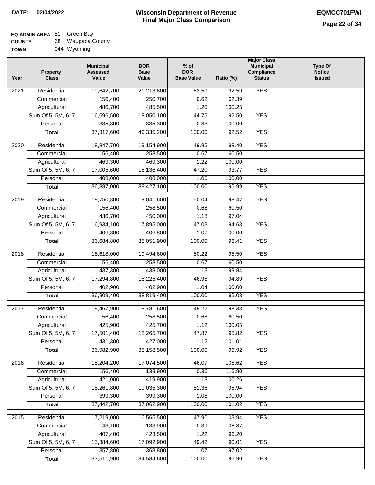| <b>COUNTY</b> | 68. | Waupaca County |
|---------------|-----|----------------|
| <b>TOWN</b>   |     | 044 Wyoming    |

| Year              | <b>Property</b><br><b>Class</b> | <b>Municipal</b><br><b>Assessed</b><br>Value | <b>DOR</b><br><b>Base</b><br>Value | $%$ of<br><b>DOR</b><br><b>Base Value</b> | Ratio (%) | <b>Major Class</b><br><b>Municipal</b><br>Compliance<br><b>Status</b> | <b>Type Of</b><br><b>Notice</b><br><b>Issued</b> |
|-------------------|---------------------------------|----------------------------------------------|------------------------------------|-------------------------------------------|-----------|-----------------------------------------------------------------------|--------------------------------------------------|
| 2021              | Residential                     | 19,642,700                                   | 21,213,600                         | 52.59                                     | 92.59     | <b>YES</b>                                                            |                                                  |
|                   | Commercial                      | 156,400                                      | 250,700                            | 0.62                                      | 62.39     |                                                                       |                                                  |
|                   | Agricultural                    | 486,700                                      | 485,500                            | 1.20                                      | 100.25    |                                                                       |                                                  |
|                   | Sum Of 5, 5M, 6, 7              | 16,696,500                                   | 18,050,100                         | 44.75                                     | 92.50     | <b>YES</b>                                                            |                                                  |
|                   | Personal                        | 335,300                                      | 335,300                            | 0.83                                      | 100.00    |                                                                       |                                                  |
|                   | <b>Total</b>                    | 37,317,600                                   | 40,335,200                         | 100.00                                    | 92.52     | <b>YES</b>                                                            |                                                  |
| $\overline{2020}$ | Residential                     | 18,847,700                                   | 19,154,900                         | 49.85                                     | 98.40     | <b>YES</b>                                                            |                                                  |
|                   | Commercial                      | 156,400                                      | 258,500                            | 0.67                                      | 60.50     |                                                                       |                                                  |
|                   | Agricultural                    | 469,300                                      | 469,300                            | 1.22                                      | 100.00    |                                                                       |                                                  |
|                   | Sum Of 5, 5M, 6, 7              | 17,005,600                                   | 18,136,400                         | 47.20                                     | 93.77     | <b>YES</b>                                                            |                                                  |
|                   | Personal                        | 408,000                                      | 408,000                            | 1.06                                      | 100.00    |                                                                       |                                                  |
|                   | <b>Total</b>                    | 36,887,000                                   | 38,427,100                         | 100.00                                    | 95.99     | <b>YES</b>                                                            |                                                  |
|                   |                                 |                                              |                                    |                                           |           |                                                                       |                                                  |
| 2019              | Residential                     | 18,750,800                                   | 19,041,600                         | 50.04                                     | 98.47     | <b>YES</b>                                                            |                                                  |
|                   | Commercial                      | 156,400                                      | 258,500                            | 0.68                                      | 60.50     |                                                                       |                                                  |
|                   | Agricultural                    | 436,700                                      | 450,000                            | 1.18                                      | 97.04     |                                                                       |                                                  |
|                   | Sum Of 5, 5M, 6, 7              | 16,934,100                                   | 17,895,000                         | 47.03                                     | 94.63     | <b>YES</b>                                                            |                                                  |
|                   | Personal                        | 406,800                                      | 406,800                            | 1.07                                      | 100.00    |                                                                       |                                                  |
|                   | <b>Total</b>                    | 36,684,800                                   | 38,051,900                         | 100.00                                    | 96.41     | <b>YES</b>                                                            |                                                  |
| 2018              | Residential                     | 18,618,000                                   | 19,494,600                         | 50.22                                     | 95.50     | <b>YES</b>                                                            |                                                  |
|                   | Commercial                      | 156,400                                      | 258,500                            | 0.67                                      | 60.50     |                                                                       |                                                  |
|                   | Agricultural                    | 437,300                                      | 438,000                            | 1.13                                      | 99.84     |                                                                       |                                                  |
|                   | Sum Of 5, 5M, 6, 7              | 17,294,800                                   | 18,225,400                         | 46.95                                     | 94.89     | <b>YES</b>                                                            |                                                  |
|                   | Personal                        | 402,900                                      | 402,900                            | 1.04                                      | 100.00    |                                                                       |                                                  |
|                   | <b>Total</b>                    | 36,909,400                                   | 38,819,400                         | 100.00                                    | 95.08     | <b>YES</b>                                                            |                                                  |
| 2017              | Residential                     | 18,467,900                                   | 18,781,600                         | 49.22                                     | 98.33     | <b>YES</b>                                                            |                                                  |
|                   | Commercial                      | 156,400                                      | 258,500                            | 0.68                                      | 60.50     |                                                                       |                                                  |
|                   | Agricultural                    | 425,900                                      | 425,700                            | 1.12                                      | 100.05    |                                                                       |                                                  |
|                   | Sum Of 5, 5M, 6, 7              | 17,501,400                                   | 18,265,700                         | 47.87                                     | 95.82     | <b>YES</b>                                                            |                                                  |
|                   | Personal                        | 431,300                                      | 427,000                            | 1.12                                      | 101.01    |                                                                       |                                                  |
|                   | <b>Total</b>                    | 36,982,900                                   | 38,158,500                         | 100.00                                    | 96.92     | <b>YES</b>                                                            |                                                  |
|                   |                                 |                                              |                                    |                                           |           |                                                                       |                                                  |
| 2016              | Residential                     | 18,204,200                                   | 17,074,500                         | 46.07                                     | 106.62    | <b>YES</b>                                                            |                                                  |
|                   | Commercial                      | 156,400                                      | 133,900                            | 0.36                                      | 116.80    |                                                                       |                                                  |
|                   | Agricultural                    | 421,000                                      | 419,900                            | 1.13                                      | 100.26    |                                                                       |                                                  |
|                   | Sum Of 5, 5M, 6, 7              | 18,261,800                                   | 19,035,300                         | 51.36                                     | 95.94     | <b>YES</b>                                                            |                                                  |
|                   | Personal                        | 399,300                                      | 399,300                            | 1.08                                      | 100.00    |                                                                       |                                                  |
|                   | <b>Total</b>                    | 37,442,700                                   | 37,062,900                         | 100.00                                    | 101.02    | <b>YES</b>                                                            |                                                  |
| 2015              | Residential                     | 17,219,000                                   | 16,565,500                         | 47.90                                     | 103.94    | <b>YES</b>                                                            |                                                  |
|                   | Commercial                      | 143,100                                      | 133,900                            | 0.39                                      | 106.87    |                                                                       |                                                  |
|                   | Agricultural                    | 407,400                                      | 423,500                            | 1.22                                      | 96.20     |                                                                       |                                                  |
|                   | Sum Of 5, 5M, 6, 7              | 15,384,600                                   | 17,092,900                         | 49.42                                     | 90.01     | <b>YES</b>                                                            |                                                  |
|                   | Personal                        | 357,800                                      | 368,800                            | 1.07                                      | 97.02     |                                                                       |                                                  |
|                   | <b>Total</b>                    | 33,511,900                                   | 34,584,600                         | 100.00                                    | 96.90     | <b>YES</b>                                                            |                                                  |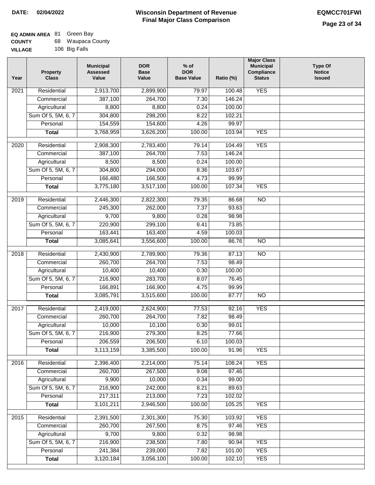#### **Wisconsin Department of Revenue Final Major Class Comparison DATE: 02/04/2022 EQMCC701FWI**

#### **EQ ADMIN AREA** 81 Green Bay **COUNTY** 68 Waupaca County

| <b>COUNTY</b>  | ບບ | waupaca Coul  |
|----------------|----|---------------|
| <b>VILLAGE</b> |    | 106 Big Falls |

| Year              | <b>Property</b><br><b>Class</b> | <b>Municipal</b><br><b>Assessed</b><br>Value | <b>DOR</b><br><b>Base</b><br>Value | $%$ of<br><b>DOR</b><br><b>Base Value</b> | Ratio (%) | <b>Major Class</b><br><b>Municipal</b><br>Compliance<br><b>Status</b> | <b>Type Of</b><br><b>Notice</b><br><b>Issued</b> |
|-------------------|---------------------------------|----------------------------------------------|------------------------------------|-------------------------------------------|-----------|-----------------------------------------------------------------------|--------------------------------------------------|
| 2021              | Residential                     | 2,913,700                                    | 2,899,900                          | 79.97                                     | 100.48    | <b>YES</b>                                                            |                                                  |
|                   | Commercial                      | 387,100                                      | 264,700                            | 7.30                                      | 146.24    |                                                                       |                                                  |
|                   | Agricultural                    | 8,800                                        | 8,800                              | 0.24                                      | 100.00    |                                                                       |                                                  |
|                   | Sum Of 5, 5M, 6, 7              | 304,800                                      | 298,200                            | 8.22                                      | 102.21    |                                                                       |                                                  |
|                   | Personal                        | 154,559                                      | 154,600                            | 4.26                                      | 99.97     |                                                                       |                                                  |
|                   | <b>Total</b>                    | 3,768,959                                    | 3,626,200                          | 100.00                                    | 103.94    | <b>YES</b>                                                            |                                                  |
| $\overline{2020}$ | Residential                     | 2,908,300                                    | 2,783,400                          | 79.14                                     | 104.49    | <b>YES</b>                                                            |                                                  |
|                   | Commercial                      | 387,100                                      | 264,700                            | 7.53                                      | 146.24    |                                                                       |                                                  |
|                   | Agricultural                    | 8,500                                        | 8,500                              | 0.24                                      | 100.00    |                                                                       |                                                  |
|                   | Sum Of 5, 5M, 6, 7              | 304,800                                      | 294,000                            | 8.36                                      | 103.67    |                                                                       |                                                  |
|                   | Personal                        | 166,480                                      | 166,500                            | 4.73                                      | 99.99     |                                                                       |                                                  |
|                   | <b>Total</b>                    | 3,775,180                                    | 3,517,100                          | 100.00                                    | 107.34    | <b>YES</b>                                                            |                                                  |
|                   |                                 |                                              |                                    |                                           |           |                                                                       |                                                  |
| $\frac{1}{2019}$  | Residential                     | 2,446,300                                    | 2,822,300                          | 79.35                                     | 86.68     | $\overline{NO}$                                                       |                                                  |
|                   | Commercial                      | 245,300                                      | 262,000                            | 7.37                                      | 93.63     |                                                                       |                                                  |
|                   | Agricultural                    | 9,700                                        | 9,800                              | 0.28                                      | 98.98     |                                                                       |                                                  |
|                   | Sum Of 5, 5M, 6, 7              | 220,900                                      | 299,100                            | 8.41                                      | 73.85     |                                                                       |                                                  |
|                   | Personal                        | 163,441                                      | 163,400                            | 4.59                                      | 100.03    |                                                                       |                                                  |
|                   | <b>Total</b>                    | 3,085,641                                    | 3,556,600                          | 100.00                                    | 86.76     | $\overline{NO}$                                                       |                                                  |
| 2018              | Residential                     | 2,430,900                                    | 2,789,900                          | 79.36                                     | 87.13     | NO                                                                    |                                                  |
|                   | Commercial                      | 260,700                                      | 264,700                            | 7.53                                      | 98.49     |                                                                       |                                                  |
|                   | Agricultural                    | 10,400                                       | 10,400                             | 0.30                                      | 100.00    |                                                                       |                                                  |
|                   | Sum Of 5, 5M, 6, 7              | 216,900                                      | 283,700                            | 8.07                                      | 76.45     |                                                                       |                                                  |
|                   | Personal                        | 166,891                                      | 166,900                            | 4.75                                      | 99.99     |                                                                       |                                                  |
|                   | <b>Total</b>                    | 3,085,791                                    | 3,515,600                          | 100.00                                    | 87.77     | NO                                                                    |                                                  |
| 2017              | Residential                     | 2,419,000                                    | 2,624,900                          | 77.53                                     | 92.16     | <b>YES</b>                                                            |                                                  |
|                   | Commercial                      | 260,700                                      | 264,700                            | 7.82                                      | 98.49     |                                                                       |                                                  |
|                   | Agricultural                    | 10,000                                       | 10,100                             | 0.30                                      | 99.01     |                                                                       |                                                  |
|                   | Sum Of 5, 5M, 6, 7              | 216,900                                      | 279,300                            | 8.25                                      | 77.66     |                                                                       |                                                  |
|                   | Personal                        | 206,559                                      | 206,500                            | 6.10                                      | 100.03    |                                                                       |                                                  |
|                   | <b>Total</b>                    | 3,113,159                                    | 3,385,500                          | 100.00                                    | 91.96     | <b>YES</b>                                                            |                                                  |
| 2016              | Residential                     | 2,396,400                                    | 2,214,000                          | 75.14                                     | 108.24    | <b>YES</b>                                                            |                                                  |
|                   | Commercial                      | 260,700                                      | 267,500                            | 9.08                                      | 97.46     |                                                                       |                                                  |
|                   | Agricultural                    | 9,900                                        | 10,000                             | 0.34                                      | 99.00     |                                                                       |                                                  |
|                   | Sum Of 5, 5M, 6, 7              | 216,900                                      | 242,000                            | 8.21                                      | 89.63     |                                                                       |                                                  |
|                   | Personal                        | 217,311                                      | 213,000                            | 7.23                                      | 102.02    |                                                                       |                                                  |
|                   | <b>Total</b>                    | 3,101,211                                    | 2,946,500                          | 100.00                                    | 105.25    | <b>YES</b>                                                            |                                                  |
|                   |                                 |                                              |                                    |                                           |           |                                                                       |                                                  |
| 2015              | Residential                     | 2,391,500                                    | 2,301,300                          | 75.30                                     | 103.92    | <b>YES</b>                                                            |                                                  |
|                   | Commercial                      | 260,700                                      | 267,500                            | 8.75                                      | 97.46     | <b>YES</b>                                                            |                                                  |
|                   | Agricultural                    | 9,700                                        | 9,800                              | 0.32                                      | 98.98     |                                                                       |                                                  |
|                   | Sum Of 5, 5M, 6, 7              | 216,900                                      | 238,500                            | 7.80                                      | 90.94     | <b>YES</b>                                                            |                                                  |
|                   | Personal                        | 241,384                                      | 239,000                            | 7.82                                      | 101.00    | <b>YES</b>                                                            |                                                  |
|                   | <b>Total</b>                    | 3,120,184                                    | 3,056,100                          | 100.00                                    | 102.10    | <b>YES</b>                                                            |                                                  |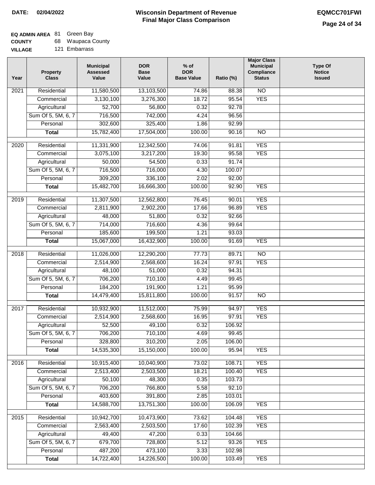# **EQ ADMIN AREA** 81 Green Bay

| <b>COUNTY</b> |  | 68 Waupaca County |  |
|---------------|--|-------------------|--|
|---------------|--|-------------------|--|

**VILLAGE** 121 Embarrass

| Year | <b>Property</b><br><b>Class</b>    | <b>Municipal</b><br><b>Assessed</b><br>Value | <b>DOR</b><br><b>Base</b><br>Value | $%$ of<br><b>DOR</b><br><b>Base Value</b> | Ratio (%)       | <b>Major Class</b><br><b>Municipal</b><br>Compliance<br><b>Status</b> | <b>Type Of</b><br><b>Notice</b><br><b>Issued</b> |
|------|------------------------------------|----------------------------------------------|------------------------------------|-------------------------------------------|-----------------|-----------------------------------------------------------------------|--------------------------------------------------|
| 2021 | Residential                        | 11,580,500                                   | 13,103,500                         | 74.86                                     | 88.38           | $\overline{NO}$                                                       |                                                  |
|      | Commercial                         | 3,130,100                                    | 3,276,300                          | 18.72                                     | 95.54           | <b>YES</b>                                                            |                                                  |
|      | Agricultural                       | 52,700                                       | 56,800                             | 0.32                                      | 92.78           |                                                                       |                                                  |
|      | Sum Of 5, 5M, 6, 7                 | 716,500                                      | 742,000                            | 4.24                                      | 96.56           |                                                                       |                                                  |
|      | Personal                           | 302,600                                      | 325,400                            | 1.86                                      | 92.99           |                                                                       |                                                  |
|      | <b>Total</b>                       | 15,782,400                                   | 17,504,000                         | 100.00                                    | 90.16           | $\overline{NO}$                                                       |                                                  |
| 2020 | Residential                        | 11,331,900                                   | 12,342,500                         | 74.06                                     | 91.81           | <b>YES</b>                                                            |                                                  |
|      | Commercial                         | 3,075,100                                    | 3,217,200                          | 19.30                                     | 95.58           | <b>YES</b>                                                            |                                                  |
|      | Agricultural                       | 50,000                                       | 54,500                             | 0.33                                      | 91.74           |                                                                       |                                                  |
|      | Sum Of 5, 5M, 6, 7                 | 716,500                                      | 716,000                            | 4.30                                      | 100.07          |                                                                       |                                                  |
|      | Personal                           | 309,200                                      | 336,100                            | 2.02                                      | 92.00           |                                                                       |                                                  |
|      | <b>Total</b>                       | 15,482,700                                   | 16,666,300                         | 100.00                                    | 92.90           | <b>YES</b>                                                            |                                                  |
| 2019 | Residential                        | 11,307,500                                   | 12,562,800                         | 76.45                                     | 90.01           | <b>YES</b>                                                            |                                                  |
|      | Commercial                         | 2,811,900                                    | 2,902,200                          | 17.66                                     | 96.89           | <b>YES</b>                                                            |                                                  |
|      | Agricultural                       | 48,000                                       | 51,800                             | 0.32                                      | 92.66           |                                                                       |                                                  |
|      | Sum Of 5, 5M, 6, 7                 | 714,000                                      | 716,600                            | 4.36                                      | 99.64           |                                                                       |                                                  |
|      | Personal                           | 185,600                                      | 199,500                            | 1.21                                      | 93.03           |                                                                       |                                                  |
|      | <b>Total</b>                       | 15,067,000                                   | 16,432,900                         | 100.00                                    | 91.69           | <b>YES</b>                                                            |                                                  |
|      |                                    |                                              |                                    |                                           |                 |                                                                       |                                                  |
| 2018 | Residential                        | 11,026,000                                   | 12,290,200                         | 77.73                                     | 89.71           | NO                                                                    |                                                  |
|      | Commercial                         | 2,514,900                                    | 2,568,600                          | 16.24                                     | 97.91           | <b>YES</b>                                                            |                                                  |
|      | Agricultural                       | 48,100                                       | 51,000                             | 0.32                                      | 94.31           |                                                                       |                                                  |
|      | Sum Of 5, 5M, 6, 7                 | 706,200                                      | 710,100                            | 4.49                                      | 99.45           |                                                                       |                                                  |
|      | Personal                           | 184,200                                      | 191,900                            | 1.21                                      | 95.99           |                                                                       |                                                  |
|      | <b>Total</b>                       | 14,479,400                                   | 15,811,800                         | 100.00                                    | 91.57           | NO                                                                    |                                                  |
| 2017 | Residential                        | 10,932,900                                   | 11,512,000                         | 75.99                                     | 94.97           | <b>YES</b>                                                            |                                                  |
|      | Commercial                         | 2,514,900                                    | 2,568,600                          | 16.95                                     | 97.91           | <b>YES</b>                                                            |                                                  |
|      | Agricultural                       | 52,500                                       | 49,100                             | 0.32                                      | 106.92          |                                                                       |                                                  |
|      | Sum Of 5, 5M, 6, 7                 | 706,200                                      | 710,100                            | 4.69                                      | 99.45           |                                                                       |                                                  |
|      | Personal                           | 328,800                                      | 310,200                            | 2.05                                      | 106.00          |                                                                       |                                                  |
|      | <b>Total</b>                       | 14,535,300                                   | 15,150,000                         | 100.00                                    | 95.94           | <b>YES</b>                                                            |                                                  |
| 2016 | Residential                        | 10,915,400                                   | 10,040,900                         | 73.02                                     | 108.71          | <b>YES</b>                                                            |                                                  |
|      | Commercial                         | 2,513,400                                    | 2,503,500                          | 18.21                                     | 100.40          | <b>YES</b>                                                            |                                                  |
|      | Agricultural                       | 50,100                                       | 48,300                             | 0.35                                      | 103.73          |                                                                       |                                                  |
|      | Sum Of 5, 5M, 6, 7                 | 706,200                                      | 766,800                            | 5.58                                      | 92.10           |                                                                       |                                                  |
|      | Personal                           | 403,600                                      | 391,800                            | 2.85                                      | 103.01          |                                                                       |                                                  |
|      | <b>Total</b>                       | 14,588,700                                   | 13,751,300                         | 100.00                                    | 106.09          | <b>YES</b>                                                            |                                                  |
|      |                                    |                                              |                                    |                                           |                 |                                                                       |                                                  |
| 2015 | Residential                        | 10,942,700                                   | 10,473,900                         | 73.62                                     | 104.48          | <b>YES</b>                                                            |                                                  |
|      | Commercial                         | 2,563,400<br>49,400                          | 2,503,500                          | 17.60                                     | 102.39          | <b>YES</b>                                                            |                                                  |
|      | Agricultural<br>Sum Of 5, 5M, 6, 7 | 679,700                                      | 47,200<br>728,800                  | 0.33<br>5.12                              | 104.66<br>93.26 | <b>YES</b>                                                            |                                                  |
|      | Personal                           | 487,200                                      | 473,100                            | 3.33                                      | 102.98          |                                                                       |                                                  |
|      | <b>Total</b>                       | 14,722,400                                   | 14,226,500                         | 100.00                                    | 103.49          | <b>YES</b>                                                            |                                                  |
|      |                                    |                                              |                                    |                                           |                 |                                                                       |                                                  |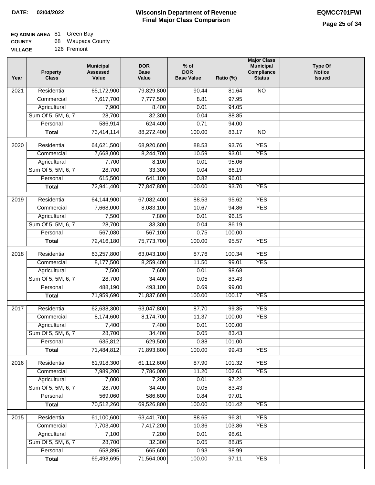# **EQ ADMIN AREA** 81 Green Bay

| <b>COUNTY</b> |  | 68 Waupaca County |  |
|---------------|--|-------------------|--|
|---------------|--|-------------------|--|

**VILLAGE** 126 Fremont

| Year | <b>Property</b><br><b>Class</b> | <b>Municipal</b><br><b>Assessed</b><br>Value | <b>DOR</b><br><b>Base</b><br>Value | $%$ of<br><b>DOR</b><br><b>Base Value</b> | Ratio (%) | <b>Major Class</b><br><b>Municipal</b><br>Compliance<br><b>Status</b> | <b>Type Of</b><br><b>Notice</b><br><b>Issued</b> |
|------|---------------------------------|----------------------------------------------|------------------------------------|-------------------------------------------|-----------|-----------------------------------------------------------------------|--------------------------------------------------|
| 2021 | Residential                     | 65,172,900                                   | 79,829,800                         | 90.44                                     | 81.64     | <b>NO</b>                                                             |                                                  |
|      | Commercial                      | 7,617,700                                    | 7,777,500                          | 8.81                                      | 97.95     |                                                                       |                                                  |
|      | Agricultural                    | 7,900                                        | 8,400                              | 0.01                                      | 94.05     |                                                                       |                                                  |
|      | Sum Of 5, 5M, 6, 7              | 28,700                                       | 32,300                             | 0.04                                      | 88.85     |                                                                       |                                                  |
|      | Personal                        | 586,914                                      | 624,400                            | 0.71                                      | 94.00     |                                                                       |                                                  |
|      | <b>Total</b>                    | 73,414,114                                   | 88,272,400                         | 100.00                                    | 83.17     | $\overline{NO}$                                                       |                                                  |
| 2020 | Residential                     | 64,621,500                                   | 68,920,600                         | 88.53                                     | 93.76     | <b>YES</b>                                                            |                                                  |
|      | Commercial                      | 7,668,000                                    | 8,244,700                          | 10.59                                     | 93.01     | <b>YES</b>                                                            |                                                  |
|      | Agricultural                    | 7,700                                        | 8,100                              | 0.01                                      | 95.06     |                                                                       |                                                  |
|      | Sum Of 5, 5M, 6, 7              | 28,700                                       | 33,300                             | 0.04                                      | 86.19     |                                                                       |                                                  |
|      | Personal                        | 615,500                                      | 641,100                            | 0.82                                      | 96.01     |                                                                       |                                                  |
|      | <b>Total</b>                    | 72,941,400                                   | 77,847,800                         | 100.00                                    | 93.70     | <b>YES</b>                                                            |                                                  |
| 2019 | Residential                     | 64,144,900                                   | 67,082,400                         | 88.53                                     | 95.62     | <b>YES</b>                                                            |                                                  |
|      | Commercial                      | 7,668,000                                    | 8,083,100                          | 10.67                                     | 94.86     | <b>YES</b>                                                            |                                                  |
|      | Agricultural                    | 7,500                                        | 7,800                              | 0.01                                      | 96.15     |                                                                       |                                                  |
|      | Sum Of 5, 5M, 6, 7              | 28,700                                       | 33,300                             | 0.04                                      | 86.19     |                                                                       |                                                  |
|      | Personal                        | 567,080                                      | 567,100                            | 0.75                                      | 100.00    |                                                                       |                                                  |
|      | <b>Total</b>                    | 72,416,180                                   | 75,773,700                         | 100.00                                    | 95.57     | <b>YES</b>                                                            |                                                  |
| 2018 | Residential                     | 63,257,800                                   | 63,043,100                         | 87.76                                     | 100.34    | <b>YES</b>                                                            |                                                  |
|      | Commercial                      | 8,177,500                                    | 8,259,400                          | 11.50                                     | 99.01     | <b>YES</b>                                                            |                                                  |
|      | Agricultural                    | 7,500                                        | 7,600                              | 0.01                                      | 98.68     |                                                                       |                                                  |
|      | Sum Of 5, 5M, 6, 7              | 28,700                                       | 34,400                             | 0.05                                      | 83.43     |                                                                       |                                                  |
|      | Personal                        | 488,190                                      | 493,100                            | 0.69                                      | 99.00     |                                                                       |                                                  |
|      | <b>Total</b>                    | 71,959,690                                   | 71,837,600                         | 100.00                                    | 100.17    | <b>YES</b>                                                            |                                                  |
| 2017 | Residential                     | 62,638,300                                   |                                    | 87.70                                     | 99.35     | <b>YES</b>                                                            |                                                  |
|      | Commercial                      | 8,174,600                                    | 63,047,800<br>8,174,700            | 11.37                                     | 100.00    | <b>YES</b>                                                            |                                                  |
|      | Agricultural                    | 7,400                                        | 7,400                              | 0.01                                      | 100.00    |                                                                       |                                                  |
|      | Sum Of 5, 5M, 6, 7              | 28,700                                       | 34,400                             | 0.05                                      | 83.43     |                                                                       |                                                  |
|      | Personal                        | 635,812                                      | 629,500                            | 0.88                                      | 101.00    |                                                                       |                                                  |
|      | <b>Total</b>                    | 71,484,812                                   | 71,893,800                         | 100.00                                    | 99.43     | <b>YES</b>                                                            |                                                  |
|      |                                 |                                              |                                    |                                           |           |                                                                       |                                                  |
| 2016 | Residential                     | 61,918,300                                   | 61,112,600                         | 87.90                                     | 101.32    | <b>YES</b>                                                            |                                                  |
|      | Commercial                      | 7,989,200                                    | 7,786,000                          | 11.20                                     | 102.61    | <b>YES</b>                                                            |                                                  |
|      | Agricultural                    | 7,000                                        | 7,200                              | 0.01                                      | 97.22     |                                                                       |                                                  |
|      | Sum Of 5, 5M, 6, 7              | 28,700                                       | 34,400                             | 0.05                                      | 83.43     |                                                                       |                                                  |
|      | Personal                        | 569,060                                      | 586,600                            | 0.84                                      | 97.01     |                                                                       |                                                  |
|      | <b>Total</b>                    | 70,512,260                                   | 69,526,800                         | 100.00                                    | 101.42    | <b>YES</b>                                                            |                                                  |
| 2015 | Residential                     | 61,100,600                                   | 63,441,700                         | 88.65                                     | 96.31     | <b>YES</b>                                                            |                                                  |
|      | Commercial                      | 7,703,400                                    | 7,417,200                          | 10.36                                     | 103.86    | <b>YES</b>                                                            |                                                  |
|      | Agricultural                    | 7,100                                        | 7,200                              | 0.01                                      | 98.61     |                                                                       |                                                  |
|      | Sum Of 5, 5M, 6, 7              | 28,700                                       | 32,300                             | 0.05                                      | 88.85     |                                                                       |                                                  |
|      | Personal                        | 658,895                                      | 665,600                            | 0.93                                      | 98.99     |                                                                       |                                                  |
|      | <b>Total</b>                    | 69,498,695                                   | 71,564,000                         | 100.00                                    | 97.11     | <b>YES</b>                                                            |                                                  |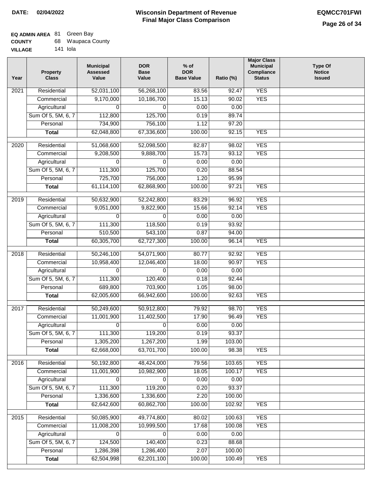#### **Wisconsin Department of Revenue Final Major Class Comparison DATE: 02/04/2022 EQMCC701FWI**

٦

#### **EQ ADMIN AREA** 81 Green Bay

| <b>COUNTY</b>  | 68 Waupaca County |
|----------------|-------------------|
| <b>VILLAGE</b> | 141 Iola          |

| Year              | <b>Property</b><br><b>Class</b> | <b>Municipal</b><br><b>Assessed</b><br>Value | <b>DOR</b><br><b>Base</b><br>Value | $%$ of<br><b>DOR</b><br><b>Base Value</b> | Ratio (%) | <b>Major Class</b><br><b>Municipal</b><br>Compliance<br><b>Status</b> | <b>Type Of</b><br><b>Notice</b><br><b>Issued</b> |
|-------------------|---------------------------------|----------------------------------------------|------------------------------------|-------------------------------------------|-----------|-----------------------------------------------------------------------|--------------------------------------------------|
| 2021              | Residential                     | 52,031,100                                   | 56,268,100                         | 83.56                                     | 92.47     | <b>YES</b>                                                            |                                                  |
|                   | Commercial                      | 9,170,000                                    | 10,186,700                         | 15.13                                     | 90.02     | <b>YES</b>                                                            |                                                  |
|                   | Agricultural                    | 0                                            | 0                                  | 0.00                                      | 0.00      |                                                                       |                                                  |
|                   | Sum Of 5, 5M, 6, 7              | 112,800                                      | 125,700                            | 0.19                                      | 89.74     |                                                                       |                                                  |
|                   | Personal                        | 734,900                                      | 756,100                            | 1.12                                      | 97.20     |                                                                       |                                                  |
|                   | <b>Total</b>                    | 62,048,800                                   | 67,336,600                         | 100.00                                    | 92.15     | <b>YES</b>                                                            |                                                  |
| $\overline{2020}$ | Residential                     | 51,068,600                                   | 52,098,500                         | 82.87                                     | 98.02     | <b>YES</b>                                                            |                                                  |
|                   | Commercial                      | 9,208,500                                    | 9,888,700                          | 15.73                                     | 93.12     | <b>YES</b>                                                            |                                                  |
|                   | Agricultural                    | 0                                            | 0                                  | 0.00                                      | 0.00      |                                                                       |                                                  |
|                   | Sum Of 5, 5M, 6, 7              | 111,300                                      | 125,700                            | 0.20                                      | 88.54     |                                                                       |                                                  |
|                   | Personal                        | 725,700                                      | 756,000                            | 1.20                                      | 95.99     |                                                                       |                                                  |
|                   | <b>Total</b>                    | 61,114,100                                   | 62,868,900                         | 100.00                                    | 97.21     | <b>YES</b>                                                            |                                                  |
|                   |                                 |                                              |                                    |                                           |           |                                                                       |                                                  |
| 2019              | Residential                     | 50,632,900                                   | 52,242,800                         | 83.29                                     | 96.92     | <b>YES</b>                                                            |                                                  |
|                   | Commercial                      | 9,051,000                                    | 9,822,900                          | 15.66                                     | 92.14     | <b>YES</b>                                                            |                                                  |
|                   | Agricultural                    | 0                                            | $\Omega$                           | 0.00                                      | 0.00      |                                                                       |                                                  |
|                   | Sum Of 5, 5M, 6, 7              | 111,300                                      | 118,500                            | 0.19                                      | 93.92     |                                                                       |                                                  |
|                   | Personal                        | 510,500                                      | 543,100                            | 0.87                                      | 94.00     |                                                                       |                                                  |
|                   | <b>Total</b>                    | 60,305,700                                   | 62,727,300                         | 100.00                                    | 96.14     | <b>YES</b>                                                            |                                                  |
| 2018              | Residential                     | 50,246,100                                   | 54,071,900                         | 80.77                                     | 92.92     | <b>YES</b>                                                            |                                                  |
|                   | Commercial                      | 10,958,400                                   | 12,046,400                         | 18.00                                     | 90.97     | <b>YES</b>                                                            |                                                  |
|                   | Agricultural                    | 0                                            | $\Omega$                           | 0.00                                      | 0.00      |                                                                       |                                                  |
|                   | Sum Of 5, 5M, 6, 7              | 111,300                                      | 120,400                            | 0.18                                      | 92.44     |                                                                       |                                                  |
|                   | Personal                        | 689,800                                      | 703,900                            | 1.05                                      | 98.00     |                                                                       |                                                  |
|                   | <b>Total</b>                    | 62,005,600                                   | 66,942,600                         | 100.00                                    | 92.63     | <b>YES</b>                                                            |                                                  |
| 2017              | Residential                     | 50,249,600                                   | 50,912,800                         | 79.92                                     | 98.70     | <b>YES</b>                                                            |                                                  |
|                   | Commercial                      | 11,001,900                                   | 11,402,500                         | 17.90                                     | 96.49     | <b>YES</b>                                                            |                                                  |
|                   | Agricultural                    | 0                                            | 0                                  | 0.00                                      | 0.00      |                                                                       |                                                  |
|                   | Sum Of 5, 5M, 6, 7              | 111,300                                      | 119,200                            | 0.19                                      | 93.37     |                                                                       |                                                  |
|                   | Personal                        | 1,305,200                                    | 1,267,200                          | 1.99                                      | 103.00    |                                                                       |                                                  |
|                   | <b>Total</b>                    | 62,668,000                                   | 63,701,700                         | 100.00                                    | 98.38     | <b>YES</b>                                                            |                                                  |
| 2016              | Residential                     | 50,192,800                                   | 48,424,000                         | 79.56                                     | 103.65    | <b>YES</b>                                                            |                                                  |
|                   | Commercial                      | 11,001,900                                   | 10,982,900                         | 18.05                                     | 100.17    | <b>YES</b>                                                            |                                                  |
|                   | Agricultural                    | 0                                            | 0                                  | 0.00                                      | 0.00      |                                                                       |                                                  |
|                   | Sum Of 5, 5M, 6, 7              | 111,300                                      | 119,200                            | 0.20                                      | 93.37     |                                                                       |                                                  |
|                   | Personal                        | 1,336,600                                    | 1,336,600                          | 2.20                                      | 100.00    |                                                                       |                                                  |
|                   | <b>Total</b>                    | 62,642,600                                   | 60,862,700                         | 100.00                                    | 102.92    | <b>YES</b>                                                            |                                                  |
|                   |                                 |                                              |                                    |                                           |           |                                                                       |                                                  |
| 2015              | Residential                     | 50,085,900                                   | 49,774,800                         | 80.02                                     | 100.63    | <b>YES</b>                                                            |                                                  |
|                   | Commercial                      | 11,008,200                                   | 10,999,500                         | 17.68                                     | 100.08    | <b>YES</b>                                                            |                                                  |
|                   | Agricultural                    | 0                                            | 0                                  | 0.00                                      | 0.00      |                                                                       |                                                  |
|                   | Sum Of 5, 5M, 6, 7              | 124,500                                      | 140,400                            | 0.23                                      | 88.68     |                                                                       |                                                  |
|                   | Personal                        | 1,286,398                                    | 1,286,400                          | 2.07                                      | 100.00    |                                                                       |                                                  |
|                   | <b>Total</b>                    | 62,504,998                                   | 62,201,100                         | 100.00                                    | 100.49    | <b>YES</b>                                                            |                                                  |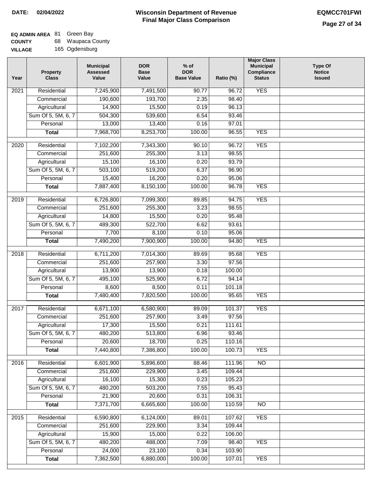| <b>COUNTY</b>  | 68. | <b>Waupaca County</b> |
|----------------|-----|-----------------------|
| <b>VILLAGE</b> |     | 165 Ogdensburg        |

| Year | <b>Property</b><br><b>Class</b> | <b>Municipal</b><br><b>Assessed</b><br>Value | <b>DOR</b><br><b>Base</b><br>Value | % of<br><b>DOR</b><br><b>Base Value</b> | Ratio (%) | <b>Major Class</b><br><b>Municipal</b><br>Compliance<br><b>Status</b> | <b>Type Of</b><br><b>Notice</b><br><b>Issued</b> |
|------|---------------------------------|----------------------------------------------|------------------------------------|-----------------------------------------|-----------|-----------------------------------------------------------------------|--------------------------------------------------|
| 2021 | Residential                     | 7,245,900                                    | 7,491,500                          | 90.77                                   | 96.72     | <b>YES</b>                                                            |                                                  |
|      | Commercial                      | 190,600                                      | 193,700                            | 2.35                                    | 98.40     |                                                                       |                                                  |
|      | Agricultural                    | 14,900                                       | 15,500                             | 0.19                                    | 96.13     |                                                                       |                                                  |
|      | Sum Of 5, 5M, 6, 7              | 504,300                                      | 539,600                            | 6.54                                    | 93.46     |                                                                       |                                                  |
|      | Personal                        | 13,000                                       | 13,400                             | 0.16                                    | 97.01     |                                                                       |                                                  |
|      | <b>Total</b>                    | 7,968,700                                    | 8,253,700                          | 100.00                                  | 96.55     | <b>YES</b>                                                            |                                                  |
| 2020 | Residential                     | 7,102,200                                    | 7,343,300                          | 90.10                                   | 96.72     | <b>YES</b>                                                            |                                                  |
|      | Commercial                      | 251,600                                      | 255,300                            | 3.13                                    | 98.55     |                                                                       |                                                  |
|      | Agricultural                    | 15,100                                       | 16,100                             | 0.20                                    | 93.79     |                                                                       |                                                  |
|      | Sum Of 5, 5M, 6, 7              | 503,100                                      | 519,200                            | 6.37                                    | 96.90     |                                                                       |                                                  |
|      | Personal                        | 15,400                                       | 16,200                             | 0.20                                    | 95.06     |                                                                       |                                                  |
|      | <b>Total</b>                    | 7,887,400                                    | 8,150,100                          | 100.00                                  | 96.78     | <b>YES</b>                                                            |                                                  |
| 2019 | Residential                     | 6,726,800                                    | 7,099,300                          | 89.85                                   | 94.75     | <b>YES</b>                                                            |                                                  |
|      | Commercial                      | 251,600                                      | 255,300                            | 3.23                                    | 98.55     |                                                                       |                                                  |
|      | Agricultural                    | 14,800                                       | 15,500                             | 0.20                                    | 95.48     |                                                                       |                                                  |
|      | Sum Of 5, 5M, 6, 7              | 489,300                                      | 522,700                            | 6.62                                    | 93.61     |                                                                       |                                                  |
|      | Personal                        | 7,700                                        | 8,100                              | 0.10                                    | 95.06     |                                                                       |                                                  |
|      | <b>Total</b>                    | 7,490,200                                    | 7,900,900                          | 100.00                                  | 94.80     | <b>YES</b>                                                            |                                                  |
| 2018 | Residential                     | 6,711,200                                    | 7,014,300                          | 89.69                                   | 95.68     | <b>YES</b>                                                            |                                                  |
|      | Commercial                      | 251,600                                      | 257,900                            | 3.30                                    | 97.56     |                                                                       |                                                  |
|      | Agricultural                    | 13,900                                       | 13,900                             | 0.18                                    | 100.00    |                                                                       |                                                  |
|      | Sum Of 5, 5M, 6, 7              | 495,100                                      | 525,900                            | 6.72                                    | 94.14     |                                                                       |                                                  |
|      | Personal                        | 8,600                                        | 8,500                              | 0.11                                    | 101.18    |                                                                       |                                                  |
|      | <b>Total</b>                    | 7,480,400                                    | 7,820,500                          | 100.00                                  | 95.65     | <b>YES</b>                                                            |                                                  |
| 2017 | Residential                     | 6,671,100                                    | 6,580,900                          | 89.09                                   | 101.37    | <b>YES</b>                                                            |                                                  |
|      | Commercial                      | 251,600                                      | 257,900                            | 3.49                                    | 97.56     |                                                                       |                                                  |
|      | Agricultural                    | 17,300                                       | 15,500                             | 0.21                                    | 111.61    |                                                                       |                                                  |
|      | Sum Of 5, 5M, 6, 7              | 480,200                                      | 513,800                            | 6.96                                    | 93.46     |                                                                       |                                                  |
|      | Personal                        | 20,600                                       | 18,700                             | 0.25                                    | 110.16    |                                                                       |                                                  |
|      | <b>Total</b>                    | 7,440,800                                    | 7,386,800                          | 100.00                                  | 100.73    | <b>YES</b>                                                            |                                                  |
| 2016 | Residential                     | 6,601,900                                    | 5,896,600                          | 88.46                                   | 111.96    | $\overline{NO}$                                                       |                                                  |
|      | Commercial                      | 251,600                                      | 229,900                            | 3.45                                    | 109.44    |                                                                       |                                                  |
|      | Agricultural                    | 16,100                                       | 15,300                             | 0.23                                    | 105.23    |                                                                       |                                                  |
|      | Sum Of 5, 5M, 6, 7              | 480,200                                      | 503,200                            | 7.55                                    | 95.43     |                                                                       |                                                  |
|      | Personal                        | 21,900                                       | 20,600                             | 0.31                                    | 106.31    |                                                                       |                                                  |
|      | <b>Total</b>                    | 7,371,700                                    | 6,665,600                          | 100.00                                  | 110.59    | $\overline{NO}$                                                       |                                                  |
| 2015 | Residential                     | 6,590,800                                    | 6,124,000                          | 89.01                                   | 107.62    | <b>YES</b>                                                            |                                                  |
|      | Commercial                      | 251,600                                      | 229,900                            | 3.34                                    | 109.44    |                                                                       |                                                  |
|      | Agricultural                    | 15,900                                       | 15,000                             | 0.22                                    | 106.00    |                                                                       |                                                  |
|      | Sum Of 5, 5M, 6, 7              | 480,200                                      | 488,000                            | 7.09                                    | 98.40     | <b>YES</b>                                                            |                                                  |
|      | Personal                        | 24,000                                       | 23,100                             | 0.34                                    | 103.90    |                                                                       |                                                  |
|      | <b>Total</b>                    | 7,362,500                                    | 6,880,000                          | 100.00                                  | 107.01    | <b>YES</b>                                                            |                                                  |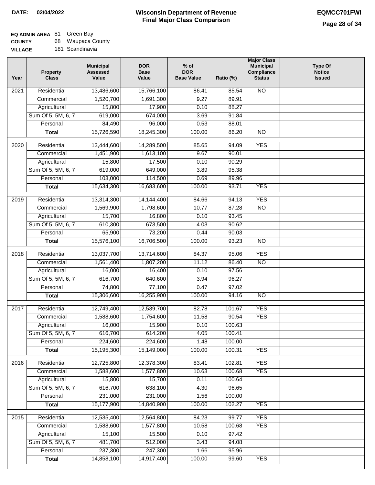# **EQ ADMIN AREA** 81 Green Bay

**COUNTY VILLAGE** 68 Waupaca County

| 181 Scandinavia<br>AGE |  |
|------------------------|--|
|------------------------|--|

| Year              | <b>Property</b><br><b>Class</b> | <b>Municipal</b><br><b>Assessed</b><br>Value | <b>DOR</b><br><b>Base</b><br>Value | $%$ of<br><b>DOR</b><br><b>Base Value</b> | Ratio (%) | <b>Major Class</b><br><b>Municipal</b><br>Compliance<br><b>Status</b> | <b>Type Of</b><br><b>Notice</b><br><b>Issued</b> |
|-------------------|---------------------------------|----------------------------------------------|------------------------------------|-------------------------------------------|-----------|-----------------------------------------------------------------------|--------------------------------------------------|
| 2021              | Residential                     | 13,486,600                                   | 15,766,100                         | 86.41                                     | 85.54     | <b>NO</b>                                                             |                                                  |
|                   | Commercial                      | 1,520,700                                    | 1,691,300                          | 9.27                                      | 89.91     |                                                                       |                                                  |
|                   | Agricultural                    | 15,800                                       | 17,900                             | 0.10                                      | 88.27     |                                                                       |                                                  |
|                   | Sum Of 5, 5M, 6, 7              | 619,000                                      | 674,000                            | 3.69                                      | 91.84     |                                                                       |                                                  |
|                   | Personal                        | 84,490                                       | 96,000                             | 0.53                                      | 88.01     |                                                                       |                                                  |
|                   | <b>Total</b>                    | 15,726,590                                   | 18,245,300                         | 100.00                                    | 86.20     | $\overline{NO}$                                                       |                                                  |
| 2020              | Residential                     | 13,444,600                                   | 14,289,500                         | 85.65                                     | 94.09     | <b>YES</b>                                                            |                                                  |
|                   | Commercial                      | 1,451,900                                    | 1,613,100                          | 9.67                                      | 90.01     |                                                                       |                                                  |
|                   | Agricultural                    | 15,800                                       | 17,500                             | 0.10                                      | 90.29     |                                                                       |                                                  |
|                   | Sum Of 5, 5M, 6, 7              | 619,000                                      | 649,000                            | 3.89                                      | 95.38     |                                                                       |                                                  |
|                   | Personal                        | 103,000                                      | 114,500                            | 0.69                                      | 89.96     |                                                                       |                                                  |
|                   | <b>Total</b>                    | 15,634,300                                   | 16,683,600                         | 100.00                                    | 93.71     | <b>YES</b>                                                            |                                                  |
|                   |                                 |                                              |                                    |                                           |           |                                                                       |                                                  |
| 2019              | Residential                     | 13,314,300                                   | 14,144,400                         | 84.66                                     | 94.13     | <b>YES</b>                                                            |                                                  |
|                   | Commercial                      | 1,569,900                                    | 1,798,600                          | 10.77                                     | 87.28     | $\overline{NO}$                                                       |                                                  |
|                   | Agricultural                    | 15,700                                       | 16,800                             | 0.10                                      | 93.45     |                                                                       |                                                  |
|                   | Sum Of 5, 5M, 6, 7              | 610,300                                      | 673,500                            | 4.03                                      | 90.62     |                                                                       |                                                  |
|                   | Personal                        | 65,900                                       | 73,200                             | 0.44                                      | 90.03     |                                                                       |                                                  |
|                   | <b>Total</b>                    | 15,576,100                                   | 16,706,500                         | 100.00                                    | 93.23     | $\overline{NO}$                                                       |                                                  |
| $\overline{2018}$ | Residential                     | 13,037,700                                   | 13,714,600                         | 84.37                                     | 95.06     | <b>YES</b>                                                            |                                                  |
|                   | Commercial                      | 1,561,400                                    | 1,807,200                          | 11.12                                     | 86.40     | N <sub>O</sub>                                                        |                                                  |
|                   | Agricultural                    | 16,000                                       | 16,400                             | 0.10                                      | 97.56     |                                                                       |                                                  |
|                   | Sum Of 5, 5M, 6, 7              | 616,700                                      | 640,600                            | 3.94                                      | 96.27     |                                                                       |                                                  |
|                   | Personal                        | 74,800                                       | 77,100                             | 0.47                                      | 97.02     |                                                                       |                                                  |
|                   | <b>Total</b>                    | 15,306,600                                   | 16,255,900                         | 100.00                                    | 94.16     | NO                                                                    |                                                  |
| 2017              | Residential                     | 12,749,400                                   | 12,539,700                         | 82.78                                     | 101.67    | <b>YES</b>                                                            |                                                  |
|                   | Commercial                      | 1,588,600                                    | 1,754,600                          | 11.58                                     | 90.54     | <b>YES</b>                                                            |                                                  |
|                   | Agricultural                    | 16,000                                       | 15,900                             | 0.10                                      | 100.63    |                                                                       |                                                  |
|                   | Sum Of 5, 5M, 6, 7              | 616,700                                      | 614,200                            | 4.05                                      | 100.41    |                                                                       |                                                  |
|                   | Personal                        | 224,600                                      | 224,600                            | 1.48                                      | 100.00    |                                                                       |                                                  |
|                   | <b>Total</b>                    | 15,195,300                                   | 15,149,000                         | 100.00                                    | 100.31    | <b>YES</b>                                                            |                                                  |
| 2016              | Residential                     | 12,725,800                                   | 12,378,300                         | 83.41                                     | 102.81    | <b>YES</b>                                                            |                                                  |
|                   | Commercial                      | 1,588,600                                    | 1,577,800                          | 10.63                                     | 100.68    | <b>YES</b>                                                            |                                                  |
|                   | Agricultural                    | 15,800                                       | 15,700                             | 0.11                                      | 100.64    |                                                                       |                                                  |
|                   | Sum Of 5, 5M, 6, 7              | 616,700                                      | 638,100                            | 4.30                                      | 96.65     |                                                                       |                                                  |
|                   | Personal                        | 231,000                                      | 231,000                            | 1.56                                      | 100.00    |                                                                       |                                                  |
|                   | <b>Total</b>                    | 15,177,900                                   | 14,840,900                         | 100.00                                    | 102.27    | <b>YES</b>                                                            |                                                  |
|                   |                                 |                                              |                                    |                                           |           |                                                                       |                                                  |
| 2015              | Residential                     | 12,535,400                                   | 12,564,800                         | 84.23                                     | 99.77     | <b>YES</b>                                                            |                                                  |
|                   | Commercial                      | 1,588,600                                    | 1,577,800                          | 10.58                                     | 100.68    | <b>YES</b>                                                            |                                                  |
|                   | Agricultural                    | 15,100                                       | 15,500                             | 0.10                                      | 97.42     |                                                                       |                                                  |
|                   | Sum Of 5, 5M, 6, 7              | 481,700                                      | 512,000                            | 3.43                                      | 94.08     |                                                                       |                                                  |
|                   | Personal                        | 237,300                                      | 247,300                            | 1.66                                      | 95.96     |                                                                       |                                                  |
|                   | <b>Total</b>                    | 14,858,100                                   | 14,917,400                         | 100.00                                    | 99.60     | <b>YES</b>                                                            |                                                  |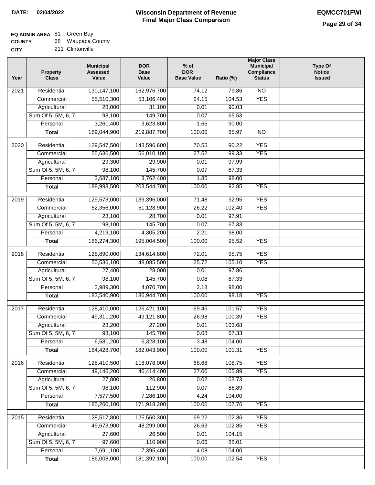### **EQ ADMIN AREA** 81 Green Bay

**COUNTY** 68 Waupaca County

| <b>CITY</b> | 211 Clintonville |
|-------------|------------------|
|             |                  |

| Residential<br>130, 147, 100<br>162,976,700<br>$\overline{NO}$<br>2021<br>74.12<br>79.86<br>53,106,400<br><b>YES</b><br>55,510,300<br>24.15<br>104.53<br>Commercial<br>31,100<br>90.03<br>Agricultural<br>28,000<br>0.01<br>98,100<br>149,700<br>Sum Of 5, 5M, 6, 7<br>0.07<br>65.53<br>Personal<br>3,261,400<br>3,623,800<br>1.65<br>90.00<br>189,044,900<br>219,887,700<br>100.00<br>85.97<br>$\overline{NO}$<br><b>Total</b><br><b>YES</b><br>Residential<br>129,547,500<br>143,596,600<br>70.55<br>90.22<br>2020<br><b>YES</b><br>Commercial<br>55,636,500<br>56,010,100<br>27.52<br>99.33<br>29,900<br>97.99<br>Agricultural<br>29,300<br>0.01<br>Sum Of 5, 5M, 6, 7<br>98,100<br>145,700<br>0.07<br>67.33<br>3,687,100<br>Personal<br>3,762,400<br>1.85<br>98.00<br>188,998,500<br><b>YES</b><br><b>Total</b><br>203,544,700<br>100.00<br>92.85<br><b>YES</b><br>$\frac{1}{2019}$<br>Residential<br>129,573,000<br>139,396,000<br>71.48<br>92.95<br><b>YES</b><br>Commercial<br>52,356,000<br>51,128,900<br>26.22<br>102.40<br>28,700<br>Agricultural<br>28,100<br>0.01<br>97.91<br>Sum Of 5, 5M, 6, 7<br>98,100<br>145,700<br>0.07<br>67.33<br>4,219,100<br>4,305,200<br>2.21<br>Personal<br>98.00<br><b>YES</b><br>186,274,300<br>195,004,500<br>100.00<br>95.52<br><b>Total</b><br><b>YES</b><br>2018<br>Residential<br>128,890,000<br>134,614,800<br>72.01<br>95.75<br>50,536,100<br>48,085,500<br>25.72<br>105.10<br><b>YES</b><br>Commercial<br>Agricultural<br>27,400<br>28,000<br>0.01<br>97.86 |  |
|---------------------------------------------------------------------------------------------------------------------------------------------------------------------------------------------------------------------------------------------------------------------------------------------------------------------------------------------------------------------------------------------------------------------------------------------------------------------------------------------------------------------------------------------------------------------------------------------------------------------------------------------------------------------------------------------------------------------------------------------------------------------------------------------------------------------------------------------------------------------------------------------------------------------------------------------------------------------------------------------------------------------------------------------------------------------------------------------------------------------------------------------------------------------------------------------------------------------------------------------------------------------------------------------------------------------------------------------------------------------------------------------------------------------------------------------------------------------------------------------------------------|--|
|                                                                                                                                                                                                                                                                                                                                                                                                                                                                                                                                                                                                                                                                                                                                                                                                                                                                                                                                                                                                                                                                                                                                                                                                                                                                                                                                                                                                                                                                                                               |  |
|                                                                                                                                                                                                                                                                                                                                                                                                                                                                                                                                                                                                                                                                                                                                                                                                                                                                                                                                                                                                                                                                                                                                                                                                                                                                                                                                                                                                                                                                                                               |  |
|                                                                                                                                                                                                                                                                                                                                                                                                                                                                                                                                                                                                                                                                                                                                                                                                                                                                                                                                                                                                                                                                                                                                                                                                                                                                                                                                                                                                                                                                                                               |  |
|                                                                                                                                                                                                                                                                                                                                                                                                                                                                                                                                                                                                                                                                                                                                                                                                                                                                                                                                                                                                                                                                                                                                                                                                                                                                                                                                                                                                                                                                                                               |  |
|                                                                                                                                                                                                                                                                                                                                                                                                                                                                                                                                                                                                                                                                                                                                                                                                                                                                                                                                                                                                                                                                                                                                                                                                                                                                                                                                                                                                                                                                                                               |  |
|                                                                                                                                                                                                                                                                                                                                                                                                                                                                                                                                                                                                                                                                                                                                                                                                                                                                                                                                                                                                                                                                                                                                                                                                                                                                                                                                                                                                                                                                                                               |  |
|                                                                                                                                                                                                                                                                                                                                                                                                                                                                                                                                                                                                                                                                                                                                                                                                                                                                                                                                                                                                                                                                                                                                                                                                                                                                                                                                                                                                                                                                                                               |  |
|                                                                                                                                                                                                                                                                                                                                                                                                                                                                                                                                                                                                                                                                                                                                                                                                                                                                                                                                                                                                                                                                                                                                                                                                                                                                                                                                                                                                                                                                                                               |  |
|                                                                                                                                                                                                                                                                                                                                                                                                                                                                                                                                                                                                                                                                                                                                                                                                                                                                                                                                                                                                                                                                                                                                                                                                                                                                                                                                                                                                                                                                                                               |  |
|                                                                                                                                                                                                                                                                                                                                                                                                                                                                                                                                                                                                                                                                                                                                                                                                                                                                                                                                                                                                                                                                                                                                                                                                                                                                                                                                                                                                                                                                                                               |  |
|                                                                                                                                                                                                                                                                                                                                                                                                                                                                                                                                                                                                                                                                                                                                                                                                                                                                                                                                                                                                                                                                                                                                                                                                                                                                                                                                                                                                                                                                                                               |  |
|                                                                                                                                                                                                                                                                                                                                                                                                                                                                                                                                                                                                                                                                                                                                                                                                                                                                                                                                                                                                                                                                                                                                                                                                                                                                                                                                                                                                                                                                                                               |  |
|                                                                                                                                                                                                                                                                                                                                                                                                                                                                                                                                                                                                                                                                                                                                                                                                                                                                                                                                                                                                                                                                                                                                                                                                                                                                                                                                                                                                                                                                                                               |  |
|                                                                                                                                                                                                                                                                                                                                                                                                                                                                                                                                                                                                                                                                                                                                                                                                                                                                                                                                                                                                                                                                                                                                                                                                                                                                                                                                                                                                                                                                                                               |  |
|                                                                                                                                                                                                                                                                                                                                                                                                                                                                                                                                                                                                                                                                                                                                                                                                                                                                                                                                                                                                                                                                                                                                                                                                                                                                                                                                                                                                                                                                                                               |  |
|                                                                                                                                                                                                                                                                                                                                                                                                                                                                                                                                                                                                                                                                                                                                                                                                                                                                                                                                                                                                                                                                                                                                                                                                                                                                                                                                                                                                                                                                                                               |  |
|                                                                                                                                                                                                                                                                                                                                                                                                                                                                                                                                                                                                                                                                                                                                                                                                                                                                                                                                                                                                                                                                                                                                                                                                                                                                                                                                                                                                                                                                                                               |  |
|                                                                                                                                                                                                                                                                                                                                                                                                                                                                                                                                                                                                                                                                                                                                                                                                                                                                                                                                                                                                                                                                                                                                                                                                                                                                                                                                                                                                                                                                                                               |  |
|                                                                                                                                                                                                                                                                                                                                                                                                                                                                                                                                                                                                                                                                                                                                                                                                                                                                                                                                                                                                                                                                                                                                                                                                                                                                                                                                                                                                                                                                                                               |  |
|                                                                                                                                                                                                                                                                                                                                                                                                                                                                                                                                                                                                                                                                                                                                                                                                                                                                                                                                                                                                                                                                                                                                                                                                                                                                                                                                                                                                                                                                                                               |  |
|                                                                                                                                                                                                                                                                                                                                                                                                                                                                                                                                                                                                                                                                                                                                                                                                                                                                                                                                                                                                                                                                                                                                                                                                                                                                                                                                                                                                                                                                                                               |  |
|                                                                                                                                                                                                                                                                                                                                                                                                                                                                                                                                                                                                                                                                                                                                                                                                                                                                                                                                                                                                                                                                                                                                                                                                                                                                                                                                                                                                                                                                                                               |  |
| Sum Of 5, 5M, 6, 7<br>145,700<br>98,100<br>0.08<br>67.33                                                                                                                                                                                                                                                                                                                                                                                                                                                                                                                                                                                                                                                                                                                                                                                                                                                                                                                                                                                                                                                                                                                                                                                                                                                                                                                                                                                                                                                      |  |
| 3,989,300<br>4,070,700<br>2.18<br>98.00<br>Personal                                                                                                                                                                                                                                                                                                                                                                                                                                                                                                                                                                                                                                                                                                                                                                                                                                                                                                                                                                                                                                                                                                                                                                                                                                                                                                                                                                                                                                                           |  |
| <b>YES</b><br>183,540,900<br>186,944,700<br>100.00<br>98.18<br><b>Total</b>                                                                                                                                                                                                                                                                                                                                                                                                                                                                                                                                                                                                                                                                                                                                                                                                                                                                                                                                                                                                                                                                                                                                                                                                                                                                                                                                                                                                                                   |  |
| 2017<br>Residential<br>128,410,000<br>126,421,100<br>69.45<br>101.57<br><b>YES</b>                                                                                                                                                                                                                                                                                                                                                                                                                                                                                                                                                                                                                                                                                                                                                                                                                                                                                                                                                                                                                                                                                                                                                                                                                                                                                                                                                                                                                            |  |
| 49,311,200<br>49,121,800<br>26.98<br><b>YES</b><br>Commercial<br>100.39                                                                                                                                                                                                                                                                                                                                                                                                                                                                                                                                                                                                                                                                                                                                                                                                                                                                                                                                                                                                                                                                                                                                                                                                                                                                                                                                                                                                                                       |  |
| 28,200<br>27,200<br>103.68<br>Agricultural<br>0.01                                                                                                                                                                                                                                                                                                                                                                                                                                                                                                                                                                                                                                                                                                                                                                                                                                                                                                                                                                                                                                                                                                                                                                                                                                                                                                                                                                                                                                                            |  |
| Sum Of 5, 5M, 6, 7<br>98,100<br>145,700<br>0.08<br>67.33                                                                                                                                                                                                                                                                                                                                                                                                                                                                                                                                                                                                                                                                                                                                                                                                                                                                                                                                                                                                                                                                                                                                                                                                                                                                                                                                                                                                                                                      |  |
| 6,581,200<br>6,328,100<br>3.48<br>104.00<br>Personal                                                                                                                                                                                                                                                                                                                                                                                                                                                                                                                                                                                                                                                                                                                                                                                                                                                                                                                                                                                                                                                                                                                                                                                                                                                                                                                                                                                                                                                          |  |
| 184,428,700<br>100.00<br><b>YES</b><br>182,043,900<br>101.31<br><b>Total</b>                                                                                                                                                                                                                                                                                                                                                                                                                                                                                                                                                                                                                                                                                                                                                                                                                                                                                                                                                                                                                                                                                                                                                                                                                                                                                                                                                                                                                                  |  |
| Residential<br>128,410,500<br>118,078,000<br>68.68<br>108.75<br><b>YES</b><br>2016                                                                                                                                                                                                                                                                                                                                                                                                                                                                                                                                                                                                                                                                                                                                                                                                                                                                                                                                                                                                                                                                                                                                                                                                                                                                                                                                                                                                                            |  |
| <b>YES</b><br>Commercial<br>49,146,200<br>46,414,400<br>27.00<br>105.89                                                                                                                                                                                                                                                                                                                                                                                                                                                                                                                                                                                                                                                                                                                                                                                                                                                                                                                                                                                                                                                                                                                                                                                                                                                                                                                                                                                                                                       |  |
| Agricultural<br>27,800<br>26,800<br>0.02<br>103.73                                                                                                                                                                                                                                                                                                                                                                                                                                                                                                                                                                                                                                                                                                                                                                                                                                                                                                                                                                                                                                                                                                                                                                                                                                                                                                                                                                                                                                                            |  |
| Sum Of 5, 5M, 6, 7<br>98,100<br>112,900<br>86.89<br>0.07                                                                                                                                                                                                                                                                                                                                                                                                                                                                                                                                                                                                                                                                                                                                                                                                                                                                                                                                                                                                                                                                                                                                                                                                                                                                                                                                                                                                                                                      |  |
| 7,577,500<br>Personal<br>7,286,100<br>4.24<br>104.00                                                                                                                                                                                                                                                                                                                                                                                                                                                                                                                                                                                                                                                                                                                                                                                                                                                                                                                                                                                                                                                                                                                                                                                                                                                                                                                                                                                                                                                          |  |
| 185,260,100<br>171,918,200<br><b>Total</b><br>100.00<br>107.76<br><b>YES</b>                                                                                                                                                                                                                                                                                                                                                                                                                                                                                                                                                                                                                                                                                                                                                                                                                                                                                                                                                                                                                                                                                                                                                                                                                                                                                                                                                                                                                                  |  |
| 128,517,800<br>125,560,300<br><b>YES</b><br>2015<br>Residential<br>69.22<br>102.36                                                                                                                                                                                                                                                                                                                                                                                                                                                                                                                                                                                                                                                                                                                                                                                                                                                                                                                                                                                                                                                                                                                                                                                                                                                                                                                                                                                                                            |  |
| 49,673,900<br>48,299,000<br>26.63<br>102.85<br><b>YES</b><br>Commercial                                                                                                                                                                                                                                                                                                                                                                                                                                                                                                                                                                                                                                                                                                                                                                                                                                                                                                                                                                                                                                                                                                                                                                                                                                                                                                                                                                                                                                       |  |
| 26,500<br>104.15<br>Agricultural<br>27,600<br>0.01                                                                                                                                                                                                                                                                                                                                                                                                                                                                                                                                                                                                                                                                                                                                                                                                                                                                                                                                                                                                                                                                                                                                                                                                                                                                                                                                                                                                                                                            |  |
| Sum Of 5, 5M, 6, 7<br>97,600<br>110,900<br>0.06<br>88.01                                                                                                                                                                                                                                                                                                                                                                                                                                                                                                                                                                                                                                                                                                                                                                                                                                                                                                                                                                                                                                                                                                                                                                                                                                                                                                                                                                                                                                                      |  |
| 7,691,100<br>7,395,400<br>4.08<br>104.00<br>Personal                                                                                                                                                                                                                                                                                                                                                                                                                                                                                                                                                                                                                                                                                                                                                                                                                                                                                                                                                                                                                                                                                                                                                                                                                                                                                                                                                                                                                                                          |  |
| 186,008,000<br>181,392,100<br>100.00<br><b>YES</b><br><b>Total</b><br>102.54                                                                                                                                                                                                                                                                                                                                                                                                                                                                                                                                                                                                                                                                                                                                                                                                                                                                                                                                                                                                                                                                                                                                                                                                                                                                                                                                                                                                                                  |  |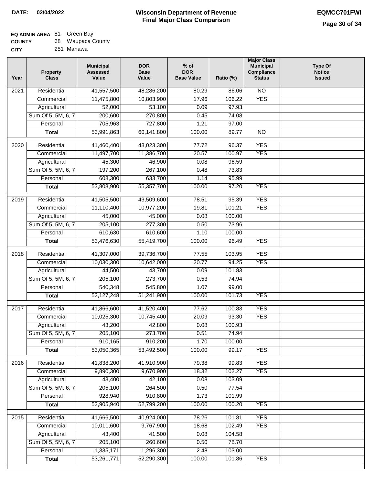**CITY**

#### **Wisconsin Department of Revenue Final Major Class Comparison DATE: 02/04/2022 EQMCC701FWI**

### **EQ ADMIN AREA** 81 Green Bay

| <b>COUNTY</b> |  | 68 Waupaca County |  |
|---------------|--|-------------------|--|
|---------------|--|-------------------|--|

251 Manawa

| Year | <b>Property</b><br><b>Class</b> | <b>Municipal</b><br><b>Assessed</b><br>Value | <b>DOR</b><br><b>Base</b><br>Value | $%$ of<br><b>DOR</b><br><b>Base Value</b> | Ratio (%) | <b>Major Class</b><br><b>Municipal</b><br>Compliance<br><b>Status</b> | <b>Type Of</b><br><b>Notice</b><br><b>Issued</b> |
|------|---------------------------------|----------------------------------------------|------------------------------------|-------------------------------------------|-----------|-----------------------------------------------------------------------|--------------------------------------------------|
| 2021 | Residential                     | 41,557,500                                   | 48,286,200                         | 80.29                                     | 86.06     | N <sub>O</sub>                                                        |                                                  |
|      | Commercial                      | 11,475,800                                   | 10,803,900                         | 17.96                                     | 106.22    | <b>YES</b>                                                            |                                                  |
|      | Agricultural                    | 52,000                                       | 53,100                             | 0.09                                      | 97.93     |                                                                       |                                                  |
|      | Sum Of 5, 5M, 6, 7              | 200,600                                      | 270,800                            | 0.45                                      | 74.08     |                                                                       |                                                  |
|      | Personal                        | 705,963                                      | 727,800                            | 1.21                                      | 97.00     |                                                                       |                                                  |
|      | <b>Total</b>                    | 53,991,863                                   | 60,141,800                         | 100.00                                    | 89.77     | $\overline{NO}$                                                       |                                                  |
| 2020 | Residential                     | 41,460,400                                   | 43,023,300                         | 77.72                                     | 96.37     | <b>YES</b>                                                            |                                                  |
|      | Commercial                      | 11,497,700                                   | 11,386,700                         | 20.57                                     | 100.97    | <b>YES</b>                                                            |                                                  |
|      | Agricultural                    | 45,300                                       | 46,900                             | 0.08                                      | 96.59     |                                                                       |                                                  |
|      | Sum Of 5, 5M, 6, 7              | 197,200                                      | 267,100                            | 0.48                                      | 73.83     |                                                                       |                                                  |
|      | Personal                        | 608,300                                      | 633,700                            | 1.14                                      | 95.99     |                                                                       |                                                  |
|      | <b>Total</b>                    | 53,808,900                                   | 55,357,700                         | 100.00                                    | 97.20     | <b>YES</b>                                                            |                                                  |
| 2019 | Residential                     | 41,505,500                                   | 43,509,600                         | 78.51                                     | 95.39     | <b>YES</b>                                                            |                                                  |
|      | Commercial                      | 11,110,400                                   | 10,977,200                         | 19.81                                     | 101.21    | <b>YES</b>                                                            |                                                  |
|      | Agricultural                    | 45,000                                       | 45,000                             | 0.08                                      | 100.00    |                                                                       |                                                  |
|      | Sum Of 5, 5M, 6, 7              | 205,100                                      | 277,300                            | 0.50                                      | 73.96     |                                                                       |                                                  |
|      | Personal                        | 610,630                                      | 610,600                            | 1.10                                      | 100.00    |                                                                       |                                                  |
|      | <b>Total</b>                    | 53,476,630                                   | 55,419,700                         | 100.00                                    | 96.49     | <b>YES</b>                                                            |                                                  |
| 2018 | Residential                     | 41,307,000                                   | 39,736,700                         | 77.55                                     | 103.95    | <b>YES</b>                                                            |                                                  |
|      | Commercial                      | 10,030,300                                   | 10,642,000                         | 20.77                                     | 94.25     | <b>YES</b>                                                            |                                                  |
|      | Agricultural                    | 44,500                                       | 43,700                             | 0.09                                      | 101.83    |                                                                       |                                                  |
|      | Sum Of 5, 5M, 6, 7              | 205,100                                      | 273,700                            | 0.53                                      | 74.94     |                                                                       |                                                  |
|      | Personal                        | 540,348                                      | 545,800                            | 1.07                                      | 99.00     |                                                                       |                                                  |
|      | <b>Total</b>                    | 52,127,248                                   | 51,241,900                         | 100.00                                    | 101.73    | <b>YES</b>                                                            |                                                  |
| 2017 | Residential                     | 41,866,600                                   | 41,520,400                         | 77.62                                     | 100.83    | <b>YES</b>                                                            |                                                  |
|      | Commercial                      | 10,025,300                                   | 10,745,400                         | 20.09                                     | 93.30     | <b>YES</b>                                                            |                                                  |
|      | Agricultural                    | 43,200                                       | 42,800                             | 0.08                                      | 100.93    |                                                                       |                                                  |
|      | Sum Of 5, 5M, 6, 7              | 205,100                                      | 273,700                            | 0.51                                      | 74.94     |                                                                       |                                                  |
|      | Personal                        | 910,165                                      | 910,200                            | 1.70                                      | 100.00    |                                                                       |                                                  |
|      | <b>Total</b>                    | 53,050,365                                   | 53,492,500                         | 100.00                                    | 99.17     | <b>YES</b>                                                            |                                                  |
| 2016 | Residential                     | 41,838,200                                   | 41,910,900                         | 79.38                                     | 99.83     | <b>YES</b>                                                            |                                                  |
|      | Commercial                      | 9,890,300                                    | 9,670,900                          | 18.32                                     | 102.27    | <b>YES</b>                                                            |                                                  |
|      | Agricultural                    | 43,400                                       | 42,100                             | 0.08                                      | 103.09    |                                                                       |                                                  |
|      | Sum Of 5, 5M, 6, 7              | 205,100                                      | 264,500                            | 0.50                                      | 77.54     |                                                                       |                                                  |
|      | Personal                        | 928,940                                      | 910,800                            | 1.73                                      | 101.99    |                                                                       |                                                  |
|      | <b>Total</b>                    | 52,905,940                                   | 52,799,200                         | 100.00                                    | 100.20    | <b>YES</b>                                                            |                                                  |
| 2015 | Residential                     | 41,666,500                                   | 40,924,000                         | 78.26                                     | 101.81    | <b>YES</b>                                                            |                                                  |
|      | Commercial                      | 10,011,600                                   | 9,767,900                          | 18.68                                     | 102.49    | <b>YES</b>                                                            |                                                  |
|      | Agricultural                    | 43,400                                       | 41,500                             | 0.08                                      | 104.58    |                                                                       |                                                  |
|      | Sum Of 5, 5M, 6, 7              | 205,100                                      | 260,600                            | 0.50                                      | 78.70     |                                                                       |                                                  |
|      | Personal                        | 1,335,171                                    | 1,296,300                          | 2.48                                      | 103.00    |                                                                       |                                                  |
|      | <b>Total</b>                    | 53,261,771                                   | 52,290,300                         | 100.00                                    | 101.86    | <b>YES</b>                                                            |                                                  |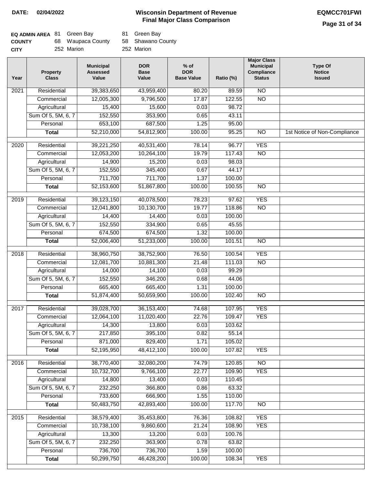| <b>EQ ADMIN AREA 81 Green Bay</b> |                   | 81 Green Bay      |
|-----------------------------------|-------------------|-------------------|
| <b>COUNTY</b>                     | 68 Waupaca County | 58 Shawano County |
| <b>CITY</b>                       | 252 Marion        | 252 Marion        |

| Year | <b>Property</b><br><b>Class</b> | <b>Municipal</b><br><b>Assessed</b><br>Value | <b>DOR</b><br><b>Base</b><br>Value | $%$ of<br><b>DOR</b><br><b>Base Value</b> | Ratio (%) | <b>Major Class</b><br><b>Municipal</b><br>Compliance<br><b>Status</b> | <b>Type Of</b><br><b>Notice</b><br><b>Issued</b> |
|------|---------------------------------|----------------------------------------------|------------------------------------|-------------------------------------------|-----------|-----------------------------------------------------------------------|--------------------------------------------------|
| 2021 | Residential                     | 39,383,650                                   | 43,959,400                         | 80.20                                     | 89.59     | $\overline{NO}$                                                       |                                                  |
|      | Commercial                      | 12,005,300                                   | 9,796,500                          | 17.87                                     | 122.55    | $\overline{NO}$                                                       |                                                  |
|      | Agricultural                    | 15,400                                       | 15,600                             | 0.03                                      | 98.72     |                                                                       |                                                  |
|      | Sum Of 5, 5M, 6, 7              | 152,550                                      | 353,900                            | 0.65                                      | 43.11     |                                                                       |                                                  |
|      | Personal                        | 653,100                                      | 687,500                            | 1.25                                      | 95.00     |                                                                       |                                                  |
|      | <b>Total</b>                    | 52,210,000                                   | 54,812,900                         | 100.00                                    | 95.25     | $\overline{NO}$                                                       | 1st Notice of Non-Compliance                     |
| 2020 | Residential                     | 39,221,250                                   | 40,531,400                         | 78.14                                     | 96.77     | <b>YES</b>                                                            |                                                  |
|      | Commercial                      | 12,053,200                                   | 10,264,100                         | 19.79                                     | 117.43    | $\overline{NO}$                                                       |                                                  |
|      | Agricultural                    | 14,900                                       | 15,200                             | 0.03                                      | 98.03     |                                                                       |                                                  |
|      | Sum Of 5, 5M, 6, 7              | 152,550                                      | 345,400                            | 0.67                                      | 44.17     |                                                                       |                                                  |
|      | Personal                        | 711,700                                      | 711,700                            | 1.37                                      | 100.00    |                                                                       |                                                  |
|      | <b>Total</b>                    | 52,153,600                                   | 51,867,800                         | 100.00                                    | 100.55    | $\overline{NO}$                                                       |                                                  |
|      |                                 |                                              |                                    |                                           |           |                                                                       |                                                  |
| 2019 | Residential                     | 39,123,150                                   | 40,078,500                         | 78.23                                     | 97.62     | <b>YES</b>                                                            |                                                  |
|      | Commercial                      | 12,041,800                                   | 10,130,700                         | 19.77                                     | 118.86    | $\overline{NO}$                                                       |                                                  |
|      | Agricultural                    | 14,400                                       | 14,400                             | 0.03                                      | 100.00    |                                                                       |                                                  |
|      | Sum Of 5, 5M, 6, 7              | 152,550                                      | 334,900                            | 0.65                                      | 45.55     |                                                                       |                                                  |
|      | Personal                        | 674,500                                      | 674,500                            | 1.32                                      | 100.00    |                                                                       |                                                  |
|      | <b>Total</b>                    | 52,006,400                                   | 51,233,000                         | 100.00                                    | 101.51    | $\overline{NO}$                                                       |                                                  |
| 2018 | Residential                     | 38,960,750                                   | 38,752,900                         | 76.50                                     | 100.54    | <b>YES</b>                                                            |                                                  |
|      | Commercial                      | 12,081,700                                   | 10,881,300                         | 21.48                                     | 111.03    | <b>NO</b>                                                             |                                                  |
|      | Agricultural                    | 14,000                                       | 14,100                             | 0.03                                      | 99.29     |                                                                       |                                                  |
|      | Sum Of 5, 5M, 6, 7              | 152,550                                      | 346,200                            | 0.68                                      | 44.06     |                                                                       |                                                  |
|      | Personal                        | 665,400                                      | 665,400                            | 1.31                                      | 100.00    |                                                                       |                                                  |
|      | <b>Total</b>                    | 51,874,400                                   | 50,659,900                         | 100.00                                    | 102.40    | $\overline{10}$                                                       |                                                  |
| 2017 | Residential                     | 39,028,700                                   | 36, 153, 400                       | 74.68                                     | 107.95    | <b>YES</b>                                                            |                                                  |
|      | Commercial                      | 12,064,100                                   | 11,020,400                         | 22.76                                     | 109.47    | <b>YES</b>                                                            |                                                  |
|      | Agricultural                    | 14,300                                       | 13,800                             | 0.03                                      | 103.62    |                                                                       |                                                  |
|      | Sum Of 5, 5M, 6, 7              | 217,850                                      | 395,100                            | 0.82                                      | 55.14     |                                                                       |                                                  |
|      | Personal                        | 871,000                                      | 829,400                            | 1.71                                      | 105.02    |                                                                       |                                                  |
|      | <b>Total</b>                    | 52,195,950                                   | 48,412,100                         | 100.00                                    | 107.82    | <b>YES</b>                                                            |                                                  |
| 2016 | Residential                     | 38,770,400                                   | 32,080,200                         | 74.79                                     | 120.85    | $\overline{NO}$                                                       |                                                  |
|      | Commercial                      | 10,732,700                                   | 9,766,100                          | 22.77                                     | 109.90    | <b>YES</b>                                                            |                                                  |
|      | Agricultural                    | 14,800                                       | 13,400                             | 0.03                                      | 110.45    |                                                                       |                                                  |
|      | Sum Of 5, 5M, 6, 7              | 232,250                                      | 366,800                            | 0.86                                      | 63.32     |                                                                       |                                                  |
|      | Personal                        | 733,600                                      | 666,900                            | 1.55                                      | 110.00    |                                                                       |                                                  |
|      | <b>Total</b>                    | 50,483,750                                   | 42,893,400                         | 100.00                                    | 117.70    | N <sub>O</sub>                                                        |                                                  |
| 2015 | Residential                     | 38,579,400                                   | 35,453,800                         | 76.36                                     | 108.82    | <b>YES</b>                                                            |                                                  |
|      | Commercial                      | 10,738,100                                   | 9,860,600                          | 21.24                                     | 108.90    | <b>YES</b>                                                            |                                                  |
|      | Agricultural                    | 13,300                                       | 13,200                             | 0.03                                      | 100.76    |                                                                       |                                                  |
|      | Sum Of 5, 5M, 6, 7              | 232,250                                      | 363,900                            | 0.78                                      | 63.82     |                                                                       |                                                  |
|      | Personal                        | 736,700                                      | 736,700                            | 1.59                                      | 100.00    |                                                                       |                                                  |
|      | <b>Total</b>                    | 50,299,750                                   | 46,428,200                         | 100.00                                    | 108.34    | <b>YES</b>                                                            |                                                  |
|      |                                 |                                              |                                    |                                           |           |                                                                       |                                                  |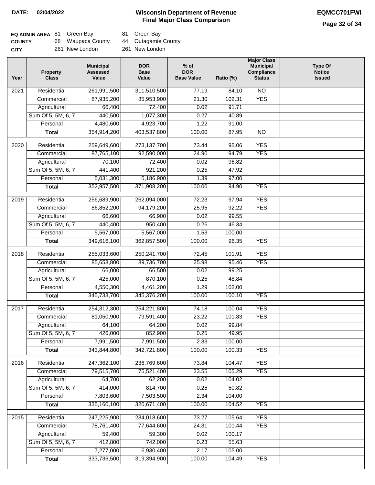### **Page 32 of 34**

| <b>EQ ADMIN AREA 81 Green Bay</b> |                   | 81 Green Bay        |
|-----------------------------------|-------------------|---------------------|
| <b>COUNTY</b>                     | 68 Waupaca County | 44 Outagamie County |
| <b>CITY</b>                       | 261 New London    | 261 New London      |

| Year              | <b>Property</b><br><b>Class</b> | <b>Municipal</b><br><b>Assessed</b><br>Value | <b>DOR</b><br><b>Base</b><br>Value | $%$ of<br><b>DOR</b><br><b>Base Value</b> | Ratio (%) | <b>Major Class</b><br><b>Municipal</b><br>Compliance<br><b>Status</b> | <b>Type Of</b><br><b>Notice</b><br><b>Issued</b> |
|-------------------|---------------------------------|----------------------------------------------|------------------------------------|-------------------------------------------|-----------|-----------------------------------------------------------------------|--------------------------------------------------|
| $\overline{202}1$ | Residential                     | 261,991,500                                  | 311,510,500                        | 77.19                                     | 84.10     | $\overline{NO}$                                                       |                                                  |
|                   | Commercial                      | 87,935,200                                   | 85,953,900                         | 21.30                                     | 102.31    | <b>YES</b>                                                            |                                                  |
|                   | Agricultural                    | 66,400                                       | 72,400                             | 0.02                                      | 91.71     |                                                                       |                                                  |
|                   | Sum Of 5, 5M, 6, 7              | 440,500                                      | 1,077,300                          | 0.27                                      | 40.89     |                                                                       |                                                  |
|                   | Personal                        | 4,480,600                                    | 4,923,700                          | 1.22                                      | 91.00     |                                                                       |                                                  |
|                   | <b>Total</b>                    | 354,914,200                                  | 403,537,800                        | 100.00                                    | 87.95     | <b>NO</b>                                                             |                                                  |
| 2020              | Residential                     | 259,649,600                                  | 273, 137, 700                      | 73.44                                     | 95.06     | <b>YES</b>                                                            |                                                  |
|                   | Commercial                      | 87,765,100                                   | 92,590,000                         | 24.90                                     | 94.79     | <b>YES</b>                                                            |                                                  |
|                   | Agricultural                    | 70,100                                       | 72,400                             | 0.02                                      | 96.82     |                                                                       |                                                  |
|                   | Sum Of 5, 5M, 6, 7              | 441,400                                      | 921,200                            | 0.25                                      | 47.92     |                                                                       |                                                  |
|                   | Personal                        | 5,031,300                                    | 5,186,900                          | 1.39                                      | 97.00     |                                                                       |                                                  |
|                   | <b>Total</b>                    | 352,957,500                                  | 371,908,200                        | 100.00                                    | 94.90     | <b>YES</b>                                                            |                                                  |
|                   |                                 |                                              |                                    |                                           |           |                                                                       |                                                  |
| 2019              | Residential                     | 256,689,900                                  | 262,094,000                        | 72.23                                     | 97.94     | <b>YES</b>                                                            |                                                  |
|                   | Commercial                      | 86,852,200                                   | 94,179,200                         | 25.95                                     | 92.22     | <b>YES</b>                                                            |                                                  |
|                   | Agricultural                    | 66,600                                       | 66,900                             | 0.02                                      | 99.55     |                                                                       |                                                  |
|                   | Sum Of 5, 5M, 6, 7              | 440,400                                      | 950,400                            | 0.26                                      | 46.34     |                                                                       |                                                  |
|                   | Personal                        | 5,567,000                                    | 5,567,000                          | 1.53                                      | 100.00    |                                                                       |                                                  |
|                   | <b>Total</b>                    | 349,616,100                                  | 362,857,500                        | 100.00                                    | 96.35     | <b>YES</b>                                                            |                                                  |
| 2018              | Residential                     | 255,033,600                                  | 250, 241, 700                      | 72.45                                     | 101.91    | <b>YES</b>                                                            |                                                  |
|                   | Commercial                      | 85,658,800                                   | 89,736,700                         | 25.98                                     | 95.46     | <b>YES</b>                                                            |                                                  |
|                   | Agricultural                    | 66,000                                       | 66,500                             | 0.02                                      | 99.25     |                                                                       |                                                  |
|                   | Sum Of 5, 5M, 6, 7              | 425,000                                      | 870,100                            | 0.25                                      | 48.84     |                                                                       |                                                  |
|                   | Personal                        | 4,550,300                                    | 4,461,200                          | 1.29                                      | 102.00    |                                                                       |                                                  |
|                   | <b>Total</b>                    | 345,733,700                                  | 345,376,200                        | 100.00                                    | 100.10    | <b>YES</b>                                                            |                                                  |
| 2017              | Residential                     | 254,312,300                                  | 254,221,800                        | 74.18                                     | 100.04    | <b>YES</b>                                                            |                                                  |
|                   | Commercial                      | 81,050,900                                   | 79,591,400                         | 23.22                                     | 101.83    | <b>YES</b>                                                            |                                                  |
|                   | Agricultural                    | 64,100                                       | 64,200                             | 0.02                                      | 99.84     |                                                                       |                                                  |
|                   | Sum Of 5, 5M, 6, 7              | 426,000                                      | 852,900                            | 0.25                                      | 49.95     |                                                                       |                                                  |
|                   | Personal                        | 7,991,500                                    | 7,991,500                          | 2.33                                      | 100.00    |                                                                       |                                                  |
|                   | <b>Total</b>                    | 343,844,800                                  | 342,721,800                        | 100.00                                    | 100.33    | <b>YES</b>                                                            |                                                  |
| 2016              | Residential                     | 247,362,100                                  | 236,769,600                        | 73.84                                     | 104.47    | <b>YES</b>                                                            |                                                  |
|                   | Commercial                      | 79,515,700                                   | 75,521,400                         | 23.55                                     | 105.29    | <b>YES</b>                                                            |                                                  |
|                   | Agricultural                    | 64,700                                       | 62,200                             | 0.02                                      | 104.02    |                                                                       |                                                  |
|                   | Sum Of 5, 5M, 6, 7              | 414,000                                      | 814,700                            | 0.25                                      | 50.82     |                                                                       |                                                  |
|                   | Personal                        | 7,803,600                                    | 7,503,500                          | 2.34                                      | 104.00    |                                                                       |                                                  |
|                   | <b>Total</b>                    | 335,160,100                                  | 320,671,400                        | 100.00                                    | 104.52    | <b>YES</b>                                                            |                                                  |
|                   |                                 |                                              |                                    |                                           |           |                                                                       |                                                  |
| 2015              | Residential                     | 247,225,900                                  | 234,018,600                        | 73.27                                     | 105.64    | <b>YES</b>                                                            |                                                  |
|                   | Commercial                      | 78,761,400                                   | 77,644,600                         | 24.31                                     | 101.44    | <b>YES</b>                                                            |                                                  |
|                   | Agricultural                    | 59,400                                       | 59,300                             | 0.02                                      | 100.17    |                                                                       |                                                  |
|                   | Sum Of 5, 5M, 6, 7              | 412,800                                      | 742,000                            | 0.23                                      | 55.63     |                                                                       |                                                  |
|                   | Personal                        | 7,277,000                                    | 6,930,400                          | 2.17                                      | 105.00    |                                                                       |                                                  |
|                   | <b>Total</b>                    | 333,736,500                                  | 319,394,900                        | 100.00                                    | 104.49    | <b>YES</b>                                                            |                                                  |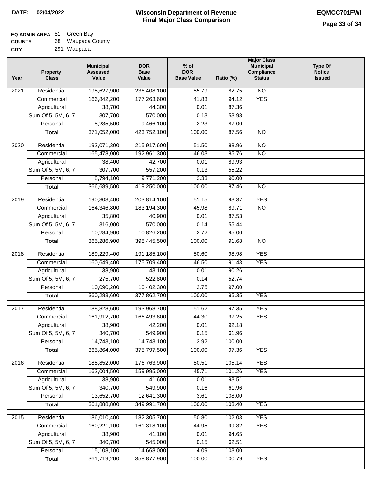| <b>COUNTY</b> | 68 Waupaca County |
|---------------|-------------------|
| CITY          | 291 Waupaca       |

|  | 291 Waupaca |
|--|-------------|
|--|-------------|

| Year | <b>Property</b><br><b>Class</b> | <b>Municipal</b><br><b>Assessed</b><br>Value | <b>DOR</b><br><b>Base</b><br>Value | $%$ of<br><b>DOR</b><br><b>Base Value</b> | Ratio (%) | <b>Major Class</b><br><b>Municipal</b><br>Compliance<br><b>Status</b> | <b>Type Of</b><br><b>Notice</b><br><b>Issued</b> |
|------|---------------------------------|----------------------------------------------|------------------------------------|-------------------------------------------|-----------|-----------------------------------------------------------------------|--------------------------------------------------|
| 2021 | Residential                     | 195,627,900                                  | 236,408,100                        | 55.79                                     | 82.75     | <b>NO</b>                                                             |                                                  |
|      | Commercial                      | 166,842,200                                  | 177,263,600                        | 41.83                                     | 94.12     | <b>YES</b>                                                            |                                                  |
|      | Agricultural                    | 38,700                                       | 44,300                             | 0.01                                      | 87.36     |                                                                       |                                                  |
|      | Sum Of 5, 5M, 6, 7              | 307,700                                      | 570,000                            | 0.13                                      | 53.98     |                                                                       |                                                  |
|      | Personal                        | 8,235,500                                    | 9,466,100                          | 2.23                                      | 87.00     |                                                                       |                                                  |
|      | <b>Total</b>                    | 371,052,000                                  | 423,752,100                        | 100.00                                    | 87.56     | $\overline{NO}$                                                       |                                                  |
| 2020 | Residential                     | 192,071,300                                  | 215,917,600                        | 51.50                                     | 88.96     | $\overline{10}$                                                       |                                                  |
|      | Commercial                      | 165,478,000                                  | 192,961,300                        | 46.03                                     | 85.76     | $\overline{NO}$                                                       |                                                  |
|      | Agricultural                    | 38,400                                       | 42,700                             | 0.01                                      | 89.93     |                                                                       |                                                  |
|      | Sum Of 5, 5M, 6, 7              | 307,700                                      | 557,200                            | 0.13                                      | 55.22     |                                                                       |                                                  |
|      | Personal                        | 8,794,100                                    | 9,771,200                          | 2.33                                      | 90.00     |                                                                       |                                                  |
|      | <b>Total</b>                    | 366,689,500                                  | 419,250,000                        | 100.00                                    | 87.46     | <b>NO</b>                                                             |                                                  |
|      |                                 |                                              |                                    |                                           |           |                                                                       |                                                  |
| 2019 | Residential                     | 190,303,400                                  | 203,814,100                        | 51.15                                     | 93.37     | <b>YES</b>                                                            |                                                  |
|      | Commercial                      | 164,346,800                                  | 183,194,300                        | 45.98                                     | 89.71     | $\overline{NO}$                                                       |                                                  |
|      | Agricultural                    | 35,800                                       | 40,900                             | 0.01                                      | 87.53     |                                                                       |                                                  |
|      | Sum Of 5, 5M, 6, 7              | 316,000                                      | 570,000                            | 0.14                                      | 55.44     |                                                                       |                                                  |
|      | Personal                        | 10,284,900                                   | 10,826,200                         | 2.72                                      | 95.00     |                                                                       |                                                  |
|      | <b>Total</b>                    | 365,286,900                                  | 398,445,500                        | 100.00                                    | 91.68     | $\overline{NO}$                                                       |                                                  |
| 2018 | Residential                     | 189,229,400                                  | 191,185,100                        | 50.60                                     | 98.98     | <b>YES</b>                                                            |                                                  |
|      | Commercial                      | 160,649,400                                  | 175,709,400                        | 46.50                                     | 91.43     | <b>YES</b>                                                            |                                                  |
|      | Agricultural                    | 38,900                                       | 43,100                             | 0.01                                      | 90.26     |                                                                       |                                                  |
|      | Sum Of 5, 5M, 6, 7              | 275,700                                      | 522,800                            | 0.14                                      | 52.74     |                                                                       |                                                  |
|      | Personal                        | 10,090,200                                   | 10,402,300                         | 2.75                                      | 97.00     |                                                                       |                                                  |
|      | <b>Total</b>                    | 360,283,600                                  | 377,862,700                        | 100.00                                    | 95.35     | <b>YES</b>                                                            |                                                  |
| 2017 | Residential                     | 188,828,600                                  | 193,968,700                        | 51.62                                     | 97.35     | <b>YES</b>                                                            |                                                  |
|      | Commercial                      | 161,912,700                                  | 166,493,600                        | 44.30                                     | 97.25     | <b>YES</b>                                                            |                                                  |
|      | Agricultural                    | 38,900                                       | 42,200                             | 0.01                                      | 92.18     |                                                                       |                                                  |
|      | Sum Of 5, 5M, 6, 7              | 340,700                                      | 549,900                            | 0.15                                      | 61.96     |                                                                       |                                                  |
|      | Personal                        | 14,743,100                                   | 14,743,100                         | 3.92                                      | 100.00    |                                                                       |                                                  |
|      | <b>Total</b>                    | 365,864,000                                  | 375,797,500                        | 100.00                                    | 97.36     | <b>YES</b>                                                            |                                                  |
| 2016 | Residential                     | 185,852,000                                  | 176,763,900                        | 50.51                                     | 105.14    | <b>YES</b>                                                            |                                                  |
|      | Commercial                      | 162,004,500                                  | 159,995,000                        | 45.71                                     | 101.26    | <b>YES</b>                                                            |                                                  |
|      | Agricultural                    | 38,900                                       | 41,600                             | 0.01                                      | 93.51     |                                                                       |                                                  |
|      | Sum Of 5, 5M, 6, 7              | 340,700                                      | 549,900                            | 0.16                                      | 61.96     |                                                                       |                                                  |
|      | Personal                        | 13,652,700                                   | 12,641,300                         | 3.61                                      | 108.00    |                                                                       |                                                  |
|      | <b>Total</b>                    | 361,888,800                                  | 349,991,700                        | 100.00                                    | 103.40    | <b>YES</b>                                                            |                                                  |
|      |                                 |                                              |                                    |                                           |           |                                                                       |                                                  |
| 2015 | Residential                     | 186,010,400                                  | 182,305,700                        | 50.80                                     | 102.03    | <b>YES</b>                                                            |                                                  |
|      | Commercial                      | 160,221,100                                  | 161,318,100                        | 44.95                                     | 99.32     | <b>YES</b>                                                            |                                                  |
|      | Agricultural                    | 38,900                                       | 41,100                             | 0.01                                      | 94.65     |                                                                       |                                                  |
|      | Sum Of 5, 5M, 6, 7              | 340,700                                      | 545,000                            | 0.15                                      | 62.51     |                                                                       |                                                  |
|      | Personal                        | 15,108,100                                   | 14,668,000                         | 4.09                                      | 103.00    |                                                                       |                                                  |
|      | <b>Total</b>                    | 361,719,200                                  | 358,877,900                        | 100.00                                    | 100.79    | <b>YES</b>                                                            |                                                  |